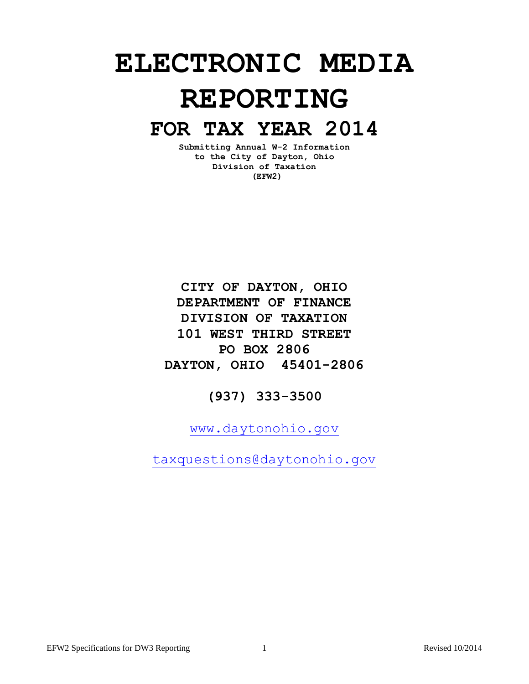# **ELECTRONIC MEDIA REPORTING**

# **FOR TAX YEAR 2014**

**Submitting Annual W-2 Information to the City of Dayton, Ohio Division of Taxation (EFW2)**

**CITY OF DAYTON, OHIO DEPARTMENT OF FINANCE DIVISION OF TAXATION 101 WEST THIRD STREET PO BOX 2806 DAYTON, OHIO 45401-2806**

**(937) 333-3500**

[www.daytonohio.gov](http://www.cityofdayton.org/)

[taxquestions@daytonohio.gov](mailto:www.taxquestions@ci.dayton.oh.us)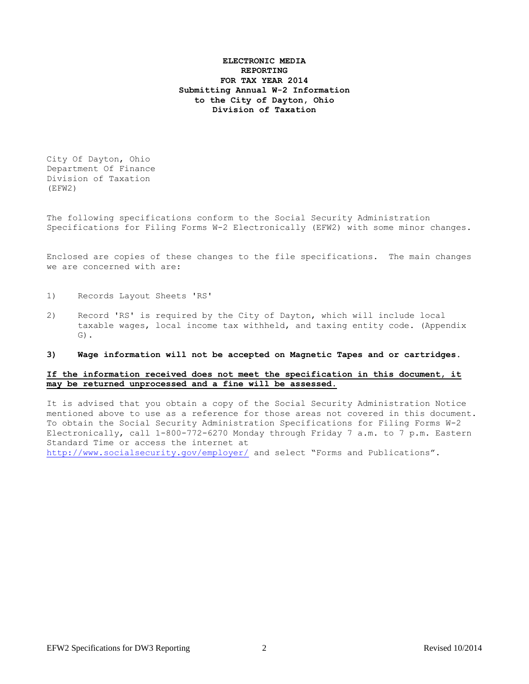# **ELECTRONIC MEDIA REPORTING FOR TAX YEAR 2014 Submitting Annual W-2 Information to the City of Dayton, Ohio Division of Taxation**

City Of Dayton, Ohio Department Of Finance Division of Taxation (EFW2)

The following specifications conform to the Social Security Administration Specifications for Filing Forms W-2 Electronically (EFW2) with some minor changes.

Enclosed are copies of these changes to the file specifications. The main changes we are concerned with are:

- 1) Records Layout Sheets 'RS'
- 2) Record 'RS' is required by the City of Dayton, which will include local taxable wages, local income tax withheld, and taxing entity code. (Appendix G).

#### **3) Wage information will not be accepted on Magnetic Tapes and or cartridges.**

# **If the information received does not meet the specification in this document, it may be returned unprocessed and a fine will be assessed.**

It is advised that you obtain a copy of the Social Security Administration Notice mentioned above to use as a reference for those areas not covered in this document. To obtain the Social Security Administration Specifications for Filing Forms W-2 Electronically, call 1-800-772-6270 Monday through Friday 7 a.m. to 7 p.m. Eastern Standard Time or access the internet at <http://www.socialsecurity.gov/employer/> and select "Forms and Publications".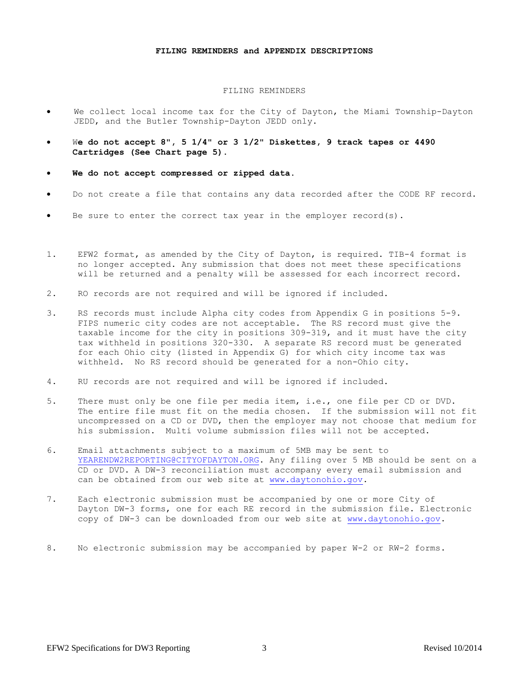#### **FILING REMINDERS and APPENDIX DESCRIPTIONS**

#### FILING REMINDERS

- We collect local income tax for the City of Dayton, the Miami Township-Dayton JEDD, and the Butler Township-Dayton JEDD only.
- W**e do not accept 8", 5 1/4" or 3 1/2" Diskettes, 9 track tapes or 4490 Cartridges (See Chart page 5).**
- **We do not accept compressed or zipped data.**
- Do not create a file that contains any data recorded after the CODE RF record.
- Be sure to enter the correct tax year in the employer record(s).
- 1. EFW2 format, as amended by the City of Dayton, is required. TIB-4 format is no longer accepted. Any submission that does not meet these specifications will be returned and a penalty will be assessed for each incorrect record.
- 2. RO records are not required and will be ignored if included.
- 3. RS records must include Alpha city codes from Appendix G in positions 5-9. FIPS numeric city codes are not acceptable. The RS record must give the taxable income for the city in positions 309-319, and it must have the city tax withheld in positions 320-330. A separate RS record must be generated for each Ohio city (listed in Appendix G) for which city income tax was withheld. No RS record should be generated for a non-Ohio city.
- 4. RU records are not required and will be ignored if included.
- 5. There must only be one file per media item, i.e., one file per CD or DVD. The entire file must fit on the media chosen. If the submission will not fit uncompressed on a CD or DVD, then the employer may not choose that medium for his submission. Multi volume submission files will not be accepted.
- 6. Email attachments subject to a maximum of 5MB may be sent to [YEARENDW2REPORTING@CITYOFDAYTON.ORG.](mailto:YEARENDW2REPORTING@CITYOFDAYTON.ORG) Any filing over 5 MB should be sent on a CD or DVD. A DW-3 reconciliation must accompany every email submission and can be obtained from our web site at [www.daytonohio.gov.](http://www.cityofdatyon.org/)
- 7. Each electronic submission must be accompanied by one or more City of Dayton DW-3 forms, one for each RE record in the submission file. Electronic copy of DW-3 can be downloaded from our web site at [www.daytonohio.gov.](http://www.cityofdatyon.org/)
- 8. No electronic submission may be accompanied by paper W-2 or RW-2 forms.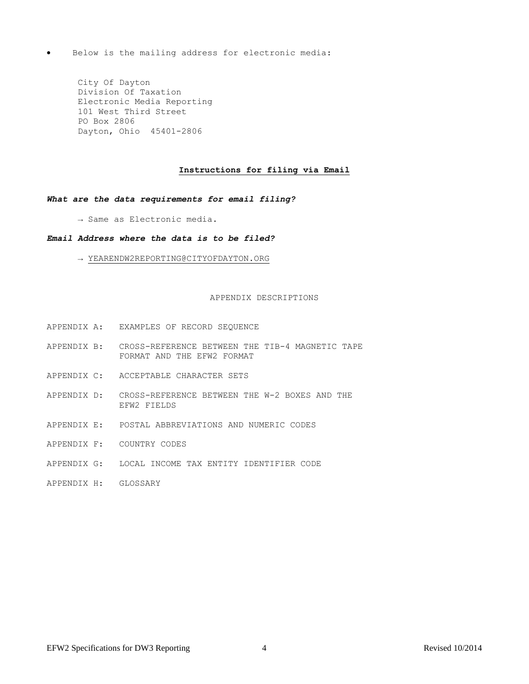Below is the mailing address for electronic media:

City Of Dayton Division Of Taxation Electronic Media Reporting 101 West Third Street PO Box 2806 Dayton, Ohio 45401-2806

# **Instructions for filing via Email**

# *What are the data requirements for email filing?*

→ Same as Electronic media.

# *Email Address where the data is to be filed?*

→ YEARENDW2REPORTING@CITYOFDAYTON.ORG

# APPENDIX DESCRIPTIONS

- APPENDIX A: EXAMPLES OF RECORD SEQUENCE
- APPENDIX B: CROSS-REFERENCE BETWEEN THE TIB-4 MAGNETIC TAPE FORMAT AND THE EFW2 FORMAT
- APPENDIX C: ACCEPTABLE CHARACTER SETS
- APPENDIX D: CROSS-REFERENCE BETWEEN THE W-2 BOXES AND THE EFW2 FIELDS
- APPENDIX E: POSTAL ABBREVIATIONS AND NUMERIC CODES
- APPENDIX F: COUNTRY CODES
- APPENDIX G: LOCAL INCOME TAX ENTITY IDENTIFIER CODE
- APPENDIX H: GLOSSARY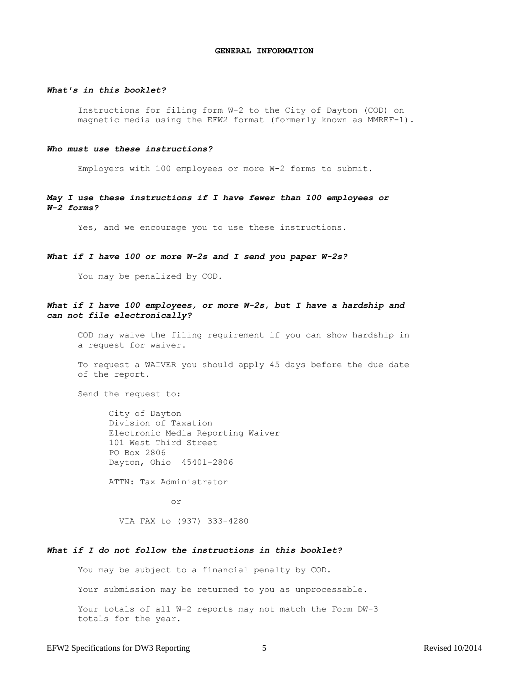#### **GENERAL INFORMATION**

# *What's in this booklet?*

Instructions for filing form W-2 to the City of Dayton (COD) on magnetic media using the EFW2 format (formerly known as MMREF-1).

#### *Who must use these instructions?*

Employers with 100 employees or more W-2 forms to submit.

*May I use these instructions if I have fewer than 100 employees or W-2 forms?*

Yes, and we encourage you to use these instructions.

# *What if I have 100 or more W-2s and I send you paper W-2s?*

You may be penalized by COD.

#### *What if I have 100 employees, or more W-2s, but I have a hardship and can not file electronically?*

COD may waive the filing requirement if you can show hardship in a request for waiver.

To request a WAIVER you should apply 45 days before the due date of the report.

Send the request to:

City of Dayton Division of Taxation Electronic Media Reporting Waiver 101 West Third Street PO Box 2806 Dayton, Ohio 45401-2806

ATTN: Tax Administrator

or

VIA FAX to (937) 333-4280

#### *What if I do not follow the instructions in this booklet?*

You may be subject to a financial penalty by COD.

Your submission may be returned to you as unprocessable.

Your totals of all W-2 reports may not match the Form DW-3 totals for the year.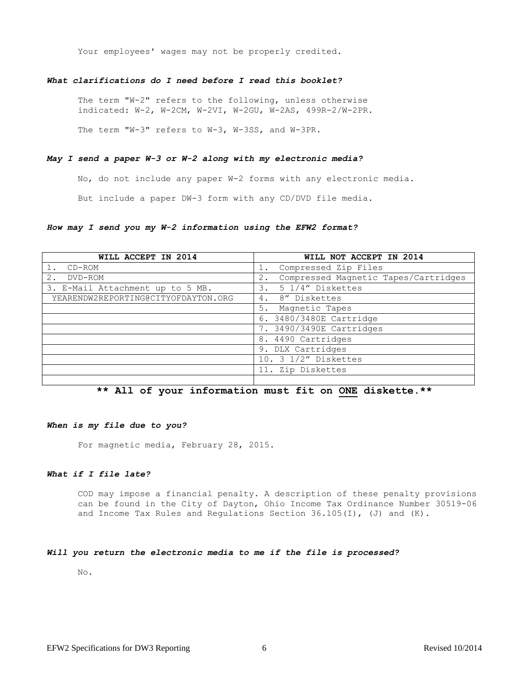Your employees' wages may not be properly credited.

# *What clarifications do I need before I read this booklet?*

The term "W-2" refers to the following, unless otherwise indicated: W-2, W-2CM, W-2VI, W-2GU, W-2AS, 499R-2/W-2PR.

The term "W-3" refers to W-3, W-3SS, and W-3PR.

#### *May I send a paper W-3 or W-2 along with my electronic media?*

No, do not include any paper W-2 forms with any electronic media.

But include a paper DW-3 form with any CD/DVD file media.

# *How may I send you my W-2 information using the EFW2 format?*

| WILL ACCEPT IN 2014                 | WILL NOT ACCEPT IN 2014                       |
|-------------------------------------|-----------------------------------------------|
| $CD-ROM$                            | Compressed Zip Files                          |
| $2$ .<br>DVD-ROM                    | Compressed Magnetic Tapes/Cartridges<br>$2$ . |
| 3. E-Mail Attachment up to 5 MB.    | 5 1/4" Diskettes<br>3.                        |
| YEARENDW2REPORTING@CITYOFDAYTON.ORG | 4. 8" Diskettes                               |
|                                     | Magnetic Tapes<br>5.                          |
|                                     | 6. 3480/3480E Cartridge                       |
|                                     | 7. 3490/3490E Cartridges                      |
|                                     | 8. 4490 Cartridges                            |
|                                     | 9. DLX Cartridges                             |
|                                     | 10. 3 1/2" Diskettes                          |
|                                     | 11. Zip Diskettes                             |
|                                     |                                               |

# **\*\* All of your information must fit on ONE diskette.\*\***

#### *When is my file due to you?*

For magnetic media, February 28, 2015.

#### *What if I file late?*

COD may impose a financial penalty. A description of these penalty provisions can be found in the City of Dayton, Ohio Income Tax Ordinance Number 30519-06 and Income Tax Rules and Regulations Section 36.105(I), (J) and (K).

# *Will you return the electronic media to me if the file is processed?*

No.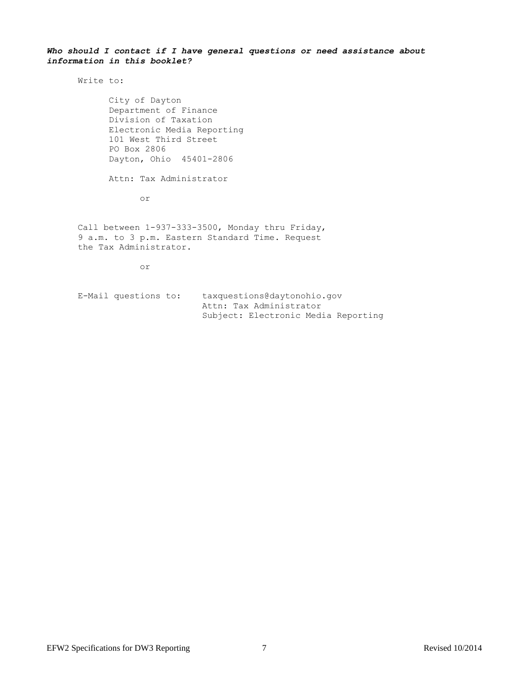# *Who should I contact if I have general questions or need assistance about information in this booklet?*

Write to:

City of Dayton Department of Finance Division of Taxation Electronic Media Reporting 101 West Third Street PO Box 2806 Dayton, Ohio 45401-2806

Attn: Tax Administrator

or

Call between 1-937-333-3500, Monday thru Friday, 9 a.m. to 3 p.m. Eastern Standard Time. Request the Tax Administrator.

or

E-Mail questions to: taxquestions@daytonohio.gov Attn: Tax Administrator Subject: Electronic Media Reporting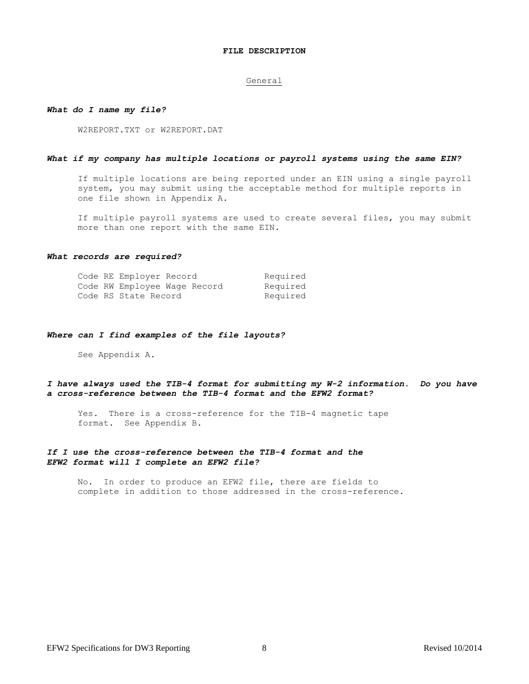#### **FILE DESCRIPTION**

#### General

#### *What do I name my file?*

W2REPORT.TXT or W2REPORT.DAT

#### *What if my company has multiple locations or payroll systems using the same EIN?*

If multiple locations are being reported under an EIN using a single payroll system, you may submit using the acceptable method for multiple reports in one file shown in Appendix A.

If multiple payroll systems are used to create several files, you may submit more than one report with the same EIN.

#### *What records are required?*

|  | Code RE Employer Record |                              | Required |
|--|-------------------------|------------------------------|----------|
|  |                         | Code RW Employee Waqe Record | Required |
|  | Code RS State Record    |                              | Required |

#### *Where can I find examples of the file layouts?*

See Appendix A.

# *I have always used the TIB-4 format for submitting my W-2 information. Do you have a cross-reference between the TIB-4 format and the EFW2 format?*

Yes. There is a cross-reference for the TIB-4 magnetic tape format. See Appendix B.

# *If I use the cross-reference between the TIB-4 format and the EFW2 format will I complete an EFW2 file?*

No. In order to produce an EFW2 file, there are fields to complete in addition to those addressed in the cross-reference.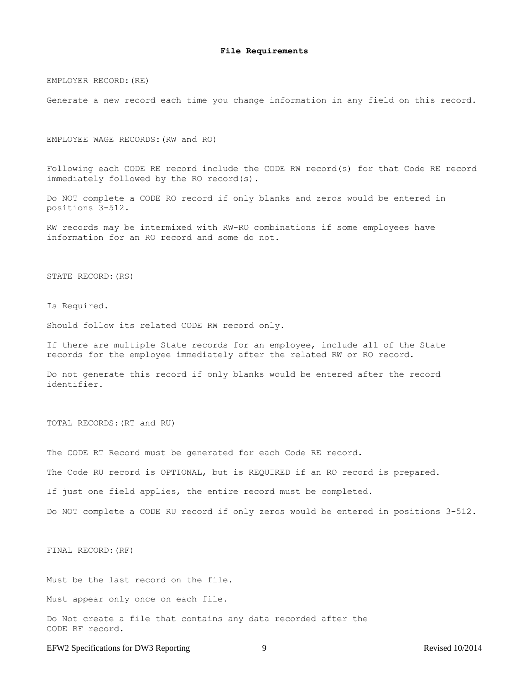EMPLOYER RECORD:(RE)

Generate a new record each time you change information in any field on this record.

EMPLOYEE WAGE RECORDS:(RW and RO)

Following each CODE RE record include the CODE RW record(s) for that Code RE record immediately followed by the RO record(s).

Do NOT complete a CODE RO record if only blanks and zeros would be entered in positions 3-512.

RW records may be intermixed with RW-RO combinations if some employees have information for an RO record and some do not.

STATE RECORD:(RS)

Is Required.

Should follow its related CODE RW record only.

If there are multiple State records for an employee, include all of the State records for the employee immediately after the related RW or RO record.

Do not generate this record if only blanks would be entered after the record identifier.

TOTAL RECORDS:(RT and RU)

The CODE RT Record must be generated for each Code RE record. The Code RU record is OPTIONAL, but is REQUIRED if an RO record is prepared. If just one field applies, the entire record must be completed. Do NOT complete a CODE RU record if only zeros would be entered in positions 3-512.

FINAL RECORD:(RF)

Must be the last record on the file.

Must appear only once on each file.

Do Not create a file that contains any data recorded after the CODE RF record.

EFW2 Specifications for DW3 Reporting 9 9 Revised 10/2014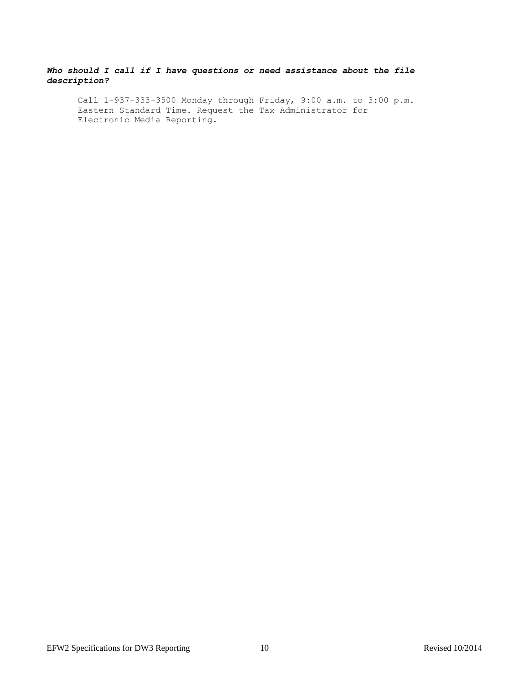# *Who should I call if I have questions or need assistance about the file description?*

Call 1-937-333-3500 Monday through Friday, 9:00 a.m. to 3:00 p.m. Eastern Standard Time. Request the Tax Administrator for Electronic Media Reporting.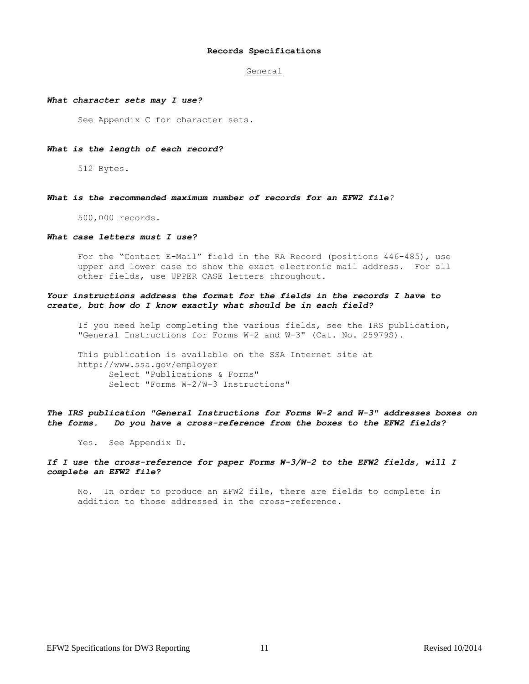#### **Records Specifications**

#### General

#### *What character sets may I use?*

See Appendix C for character sets.

#### *What is the length of each record?*

512 Bytes.

#### *What is the recommended maximum number of records for an EFW2 file?*

500,000 records.

#### *What case letters must I use?*

For the "Contact E-Mail" field in the RA Record (positions 446-485), use upper and lower case to show the exact electronic mail address. For all other fields, use UPPER CASE letters throughout.

# *Your instructions address the format for the fields in the records I have to create, but how do I know exactly what should be in each field?*

If you need help completing the various fields, see the IRS publication, "General Instructions for Forms W-2 and W-3" (Cat. No. 25979S).

This publication is available on the SSA Internet site at http://www.ssa.gov/employer Select "Publications & Forms" Select "Forms W-2/W-3 Instructions"

*The IRS publication "General Instructions for Forms W-2 and W-3" addresses boxes on the forms. Do you have a cross-reference from the boxes to the EFW2 fields?*

Yes. See Appendix D.

# *If I use the cross-reference for paper Forms W-3/W-2 to the EFW2 fields, will I complete an EFW2 file?*

No. In order to produce an EFW2 file, there are fields to complete in addition to those addressed in the cross-reference.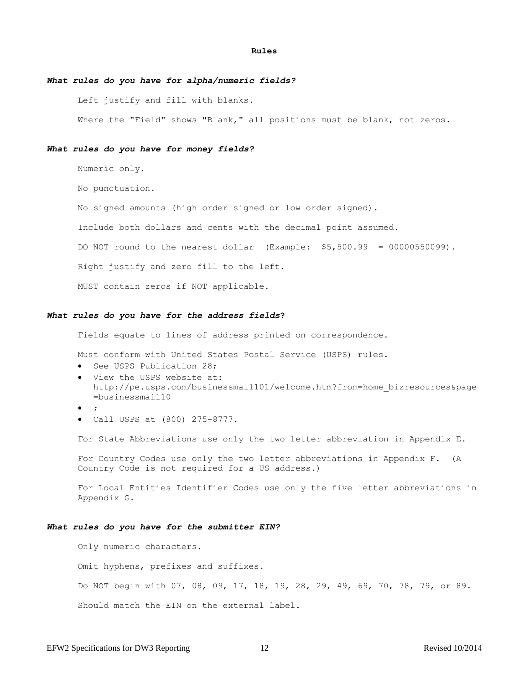#### **Rules**

# *What rules do you have for alpha/numeric fields?*

Left justify and fill with blanks.

Where the "Field" shows "Blank," all positions must be blank, not zeros.

#### *What rules do you have for money fields?*

Numeric only.

No punctuation.

No signed amounts (high order signed or low order signed).

Include both dollars and cents with the decimal point assumed.

DO NOT round to the nearest dollar (Example: \$5,500.99 = 00000550099).

Right justify and zero fill to the left.

MUST contain zeros if NOT applicable.

#### *What rules do you have for the address fields***?**

Fields equate to lines of address printed on correspondence.

Must conform with United States Postal Service (USPS) rules.

- See USPS Publication 28;
- View the USPS website at: http://pe.usps.com/businessmail101/welcome.htm?from=home\_bizresources&page =businessmail10
- $\bullet$  ;
- Call USPS at (800) 275-8777.

For State Abbreviations use only the two letter abbreviation in Appendix E.

For Country Codes use only the two letter abbreviations in Appendix F. (A Country Code is not required for a US address.)

For Local Entities Identifier Codes use only the five letter abbreviations in Appendix G.

#### *What rules do you have for the submitter EIN?*

Only numeric characters.

Omit hyphens, prefixes and suffixes.

Do NOT begin with 07, 08, 09, 17, 18, 19, 28, 29, 49, 69, 70, 78, 79, or 89.

Should match the EIN on the external label.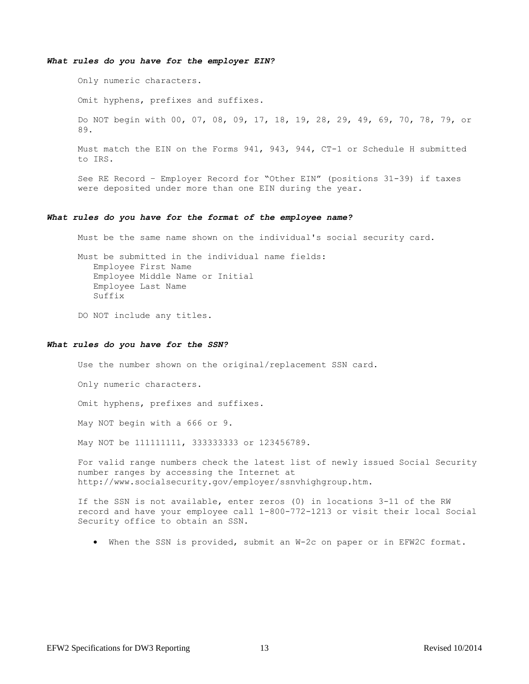#### *What rules do you have for the employer EIN?*

Only numeric characters.

Omit hyphens, prefixes and suffixes.

Do NOT begin with 00, 07, 08, 09, 17, 18, 19, 28, 29, 49, 69, 70, 78, 79, or 89.

Must match the EIN on the Forms 941, 943, 944, CT-1 or Schedule H submitted to IRS.

See RE Record – Employer Record for "Other EIN" (positions 31-39) if taxes were deposited under more than one EIN during the year.

#### *What rules do you have for the format of the employee name?*

Must be the same name shown on the individual's social security card.

Must be submitted in the individual name fields: Employee First Name Employee Middle Name or Initial Employee Last Name Suffix

DO NOT include any titles.

#### *What rules do you have for the SSN?*

Use the number shown on the original/replacement SSN card.

Only numeric characters.

Omit hyphens, prefixes and suffixes.

May NOT begin with a 666 or 9.

May NOT be 111111111, 333333333 or 123456789.

For valid range numbers check the latest list of newly issued Social Security number ranges by accessing the Internet at http://www.socialsecurity.gov/employer/ssnvhighgroup.htm.

If the SSN is not available, enter zeros (0) in locations 3-11 of the RW record and have your employee call 1-800-772-1213 or visit their local Social Security office to obtain an SSN.

When the SSN is provided, submit an W-2c on paper or in EFW2C format.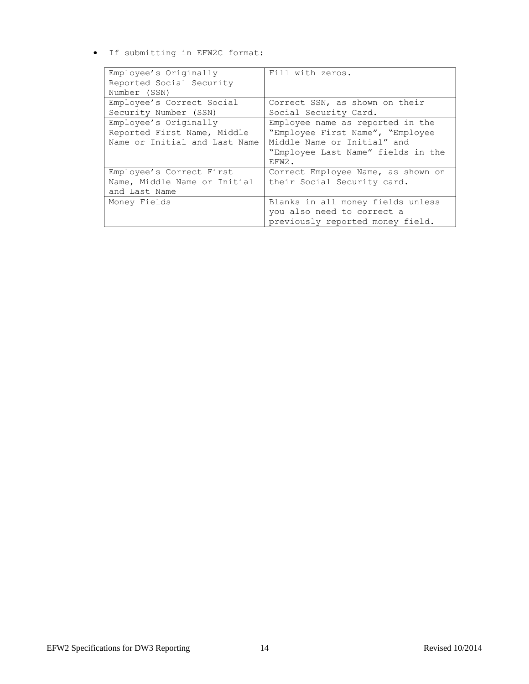If submitting in EFW2C format:

| Employee's Originally         | Fill with zeros.                   |
|-------------------------------|------------------------------------|
| Reported Social Security      |                                    |
| Number (SSN)                  |                                    |
| Employee's Correct Social     | Correct SSN, as shown on their     |
| Security Number (SSN)         | Social Security Card.              |
| Employee's Originally         | Employee name as reported in the   |
| Reported First Name, Middle   | "Employee First Name", "Employee   |
| Name or Initial and Last Name | Middle Name or Initial" and        |
|                               | "Employee Last Name" fields in the |
|                               | EFW2.                              |
| Employee's Correct First      | Correct Employee Name, as shown on |
| Name, Middle Name or Initial  | their Social Security card.        |
| and Last Name                 |                                    |
| Money Fields                  | Blanks in all money fields unless  |
|                               | you also need to correct a         |
|                               | previously reported money field.   |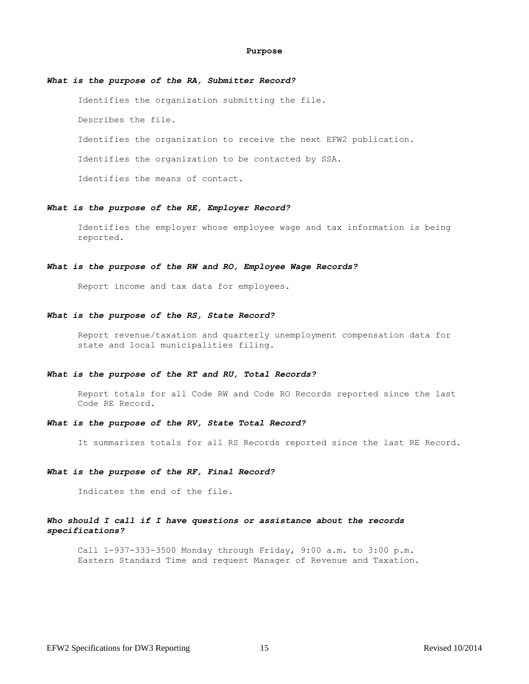#### **Purpose**

# *What is the purpose of the RA, Submitter Record?*

Identifies the organization submitting the file.

Describes the file.

Identifies the organization to receive the next EFW2 publication.

Identifies the organization to be contacted by SSA.

Identifies the means of contact.

#### *What is the purpose of the RE, Employer Record?*

Identifies the employer whose employee wage and tax information is being reported.

#### *What is the purpose of the RW and RO, Employee Wage Records?*

Report income and tax data for employees.

#### *What is the purpose of the RS, State Record?*

Report revenue/taxation and quarterly unemployment compensation data for state and local municipalities filing.

#### *What is the purpose of the RT and RU, Total Records?*

Report totals for all Code RW and Code RO Records reported since the last Code RE Record.

# *What is the purpose of the RV, State Total Record?*

It summarizes totals for all RS Records reported since the last RE Record.

#### *What is the purpose of the RF, Final Record?*

Indicates the end of the file.

# *Who should I call if I have questions or assistance about the records specifications?*

Call 1-937-333-3500 Monday through Friday, 9:00 a.m. to 3:00 p.m. Eastern Standard Time and request Manager of Revenue and Taxation.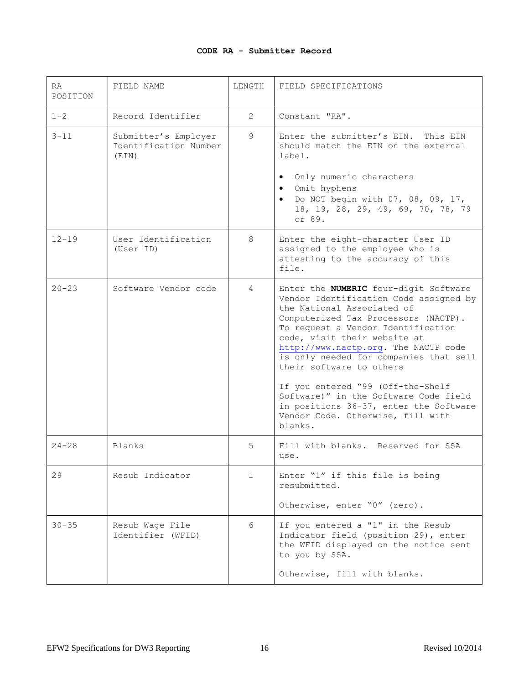# **CODE RA - Submitter Record**

| RA.<br>POSITION | FIELD NAME                                             | LENGTH       | FIELD SPECIFICATIONS                                                                                                                                                                                                                                                                                                                                                                                                                                                                                                     |
|-----------------|--------------------------------------------------------|--------------|--------------------------------------------------------------------------------------------------------------------------------------------------------------------------------------------------------------------------------------------------------------------------------------------------------------------------------------------------------------------------------------------------------------------------------------------------------------------------------------------------------------------------|
| $1 - 2$         | Record Identifier                                      | $\mathbf{2}$ | Constant "RA".                                                                                                                                                                                                                                                                                                                                                                                                                                                                                                           |
| $3 - 11$        | Submitter's Employer<br>Identification Number<br>(EIN) | 9            | Enter the submitter's EIN. This EIN<br>should match the EIN on the external<br>label.<br>Only numeric characters<br>$\bullet$<br>Omit hyphens<br>$\bullet$<br>• Do NOT begin with 07, 08, 09, 17,<br>18, 19, 28, 29, 49, 69, 70, 78, 79<br>or 89.                                                                                                                                                                                                                                                                        |
| $12 - 19$       | User Identification<br>(User ID)                       | 8            | Enter the eight-character User ID<br>assigned to the employee who is<br>attesting to the accuracy of this<br>file.                                                                                                                                                                                                                                                                                                                                                                                                       |
| $20 - 23$       | Software Vendor code                                   | 4            | Enter the <b>NUMERIC</b> four-digit Software<br>Vendor Identification Code assigned by<br>the National Associated of<br>Computerized Tax Processors (NACTP).<br>To request a Vendor Identification<br>code, visit their website at<br>http://www.nactp.org. The NACTP code<br>is only needed for companies that sell<br>their software to others<br>If you entered "99 (Off-the-Shelf<br>Software)" in the Software Code field<br>in positions 36-37, enter the Software<br>Vendor Code. Otherwise, fill with<br>blanks. |
| $24 - 28$       | Blanks                                                 | 5            | Fill with blanks. Reserved for SSA<br>use.                                                                                                                                                                                                                                                                                                                                                                                                                                                                               |
| 29              | Resub Indicator                                        | $\mathbf{1}$ | Enter "1" if this file is being<br>resubmitted.<br>Otherwise, enter "0" (zero).                                                                                                                                                                                                                                                                                                                                                                                                                                          |
| $30 - 35$       | Resub Wage File<br>Identifier (WFID)                   | 6            | If you entered a "1" in the Resub<br>Indicator field (position 29), enter<br>the WFID displayed on the notice sent<br>to you by SSA.<br>Otherwise, fill with blanks.                                                                                                                                                                                                                                                                                                                                                     |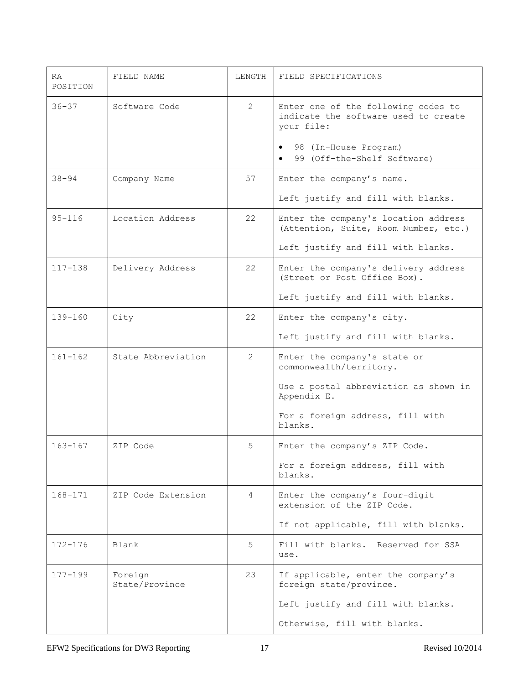| <b>RA</b><br>POSITION | FIELD NAME                | LENGTH         | FIELD SPECIFICATIONS                                                                                                                                                        |
|-----------------------|---------------------------|----------------|-----------------------------------------------------------------------------------------------------------------------------------------------------------------------------|
| $36 - 37$             | Software Code             | 2              | Enter one of the following codes to<br>indicate the software used to create<br>your file:<br>98 (In-House Program)<br>$\bullet$<br>99 (Off-the-Shelf Software)<br>$\bullet$ |
| $38 - 94$             | Company Name              | 57             | Enter the company's name.                                                                                                                                                   |
|                       |                           |                | Left justify and fill with blanks.                                                                                                                                          |
| $95 - 116$            | Location Address          | 22             | Enter the company's location address<br>(Attention, Suite, Room Number, etc.)                                                                                               |
|                       |                           |                | Left justify and fill with blanks.                                                                                                                                          |
| $117 - 138$           | Delivery Address          | 22             | Enter the company's delivery address<br>(Street or Post Office Box).                                                                                                        |
|                       |                           |                | Left justify and fill with blanks.                                                                                                                                          |
| $139 - 160$           | City                      | 22             | Enter the company's city.                                                                                                                                                   |
|                       |                           |                | Left justify and fill with blanks.                                                                                                                                          |
| $161 - 162$           | State Abbreviation        | 2              | Enter the company's state or<br>commonwealth/territory.                                                                                                                     |
|                       |                           |                | Use a postal abbreviation as shown in<br>Appendix E.                                                                                                                        |
|                       |                           |                | For a foreign address, fill with<br>blanks.                                                                                                                                 |
| $163 - 167$           | ZIP Code                  | 5              | Enter the company's ZIP Code.                                                                                                                                               |
|                       |                           |                | For a foreign address, fill with<br>blanks.                                                                                                                                 |
| $168 - 171$           | ZIP Code Extension        | $\overline{4}$ | Enter the company's four-digit<br>extension of the ZIP Code.                                                                                                                |
|                       |                           |                | If not applicable, fill with blanks.                                                                                                                                        |
| $172 - 176$           | Blank                     | 5              | Fill with blanks. Reserved for SSA<br>use.                                                                                                                                  |
| 177-199               | Foreign<br>State/Province | 23             | If applicable, enter the company's<br>foreign state/province.                                                                                                               |
|                       |                           |                | Left justify and fill with blanks.                                                                                                                                          |
|                       |                           |                | Otherwise, fill with blanks.                                                                                                                                                |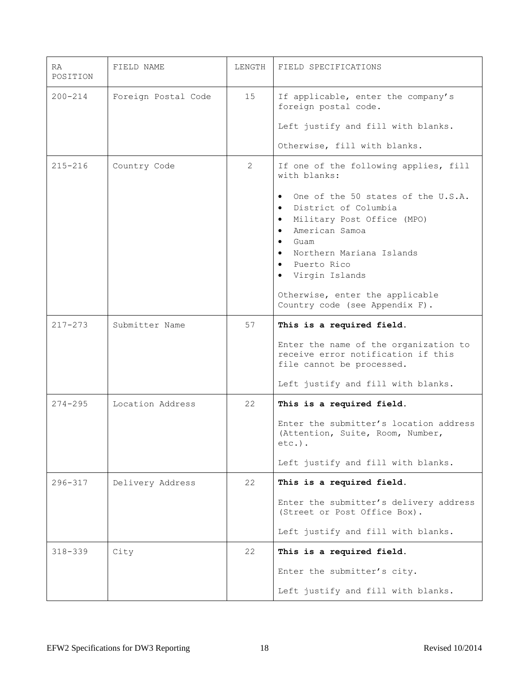| <b>RA</b><br>POSITION | FIELD NAME          | LENGTH | FIELD SPECIFICATIONS                                                                                                                                                                                                                                                                                                                            |
|-----------------------|---------------------|--------|-------------------------------------------------------------------------------------------------------------------------------------------------------------------------------------------------------------------------------------------------------------------------------------------------------------------------------------------------|
| $200 - 214$           | Foreign Postal Code | 15     | If applicable, enter the company's<br>foreign postal code.                                                                                                                                                                                                                                                                                      |
|                       |                     |        | Left justify and fill with blanks.                                                                                                                                                                                                                                                                                                              |
|                       |                     |        | Otherwise, fill with blanks.                                                                                                                                                                                                                                                                                                                    |
| $215 - 216$           | Country Code        | 2      | If one of the following applies, fill<br>with blanks:                                                                                                                                                                                                                                                                                           |
|                       |                     |        | One of the 50 states of the U.S.A.<br>District of Columbia<br>$\bullet$<br>Military Post Office (MPO)<br>$\bullet$<br>American Samoa<br>$\bullet$<br>Guam<br>$\bullet$<br>Northern Mariana Islands<br>$\bullet$<br>Puerto Rico<br>$\bullet$<br>Virgin Islands<br>$\bullet$<br>Otherwise, enter the applicable<br>Country code (see Appendix F). |
| $217 - 273$           | Submitter Name      | 57     | This is a required field.                                                                                                                                                                                                                                                                                                                       |
|                       |                     |        | Enter the name of the organization to<br>receive error notification if this<br>file cannot be processed.                                                                                                                                                                                                                                        |
|                       |                     |        | Left justify and fill with blanks.                                                                                                                                                                                                                                                                                                              |
| $274 - 295$           | Location Address    | 22     | This is a required field.                                                                                                                                                                                                                                                                                                                       |
|                       |                     |        | Enter the submitter's location address<br>(Attention, Suite, Room, Number,<br>$etc.$ ).                                                                                                                                                                                                                                                         |
|                       |                     |        | Left justify and fill with blanks.                                                                                                                                                                                                                                                                                                              |
| $296 - 317$           | Delivery Address    | 22     | This is a required field.                                                                                                                                                                                                                                                                                                                       |
|                       |                     |        | Enter the submitter's delivery address<br>(Street or Post Office Box).                                                                                                                                                                                                                                                                          |
|                       |                     |        | Left justify and fill with blanks.                                                                                                                                                                                                                                                                                                              |
| $318 - 339$           | City                | 22     | This is a required field.                                                                                                                                                                                                                                                                                                                       |
|                       |                     |        | Enter the submitter's city.                                                                                                                                                                                                                                                                                                                     |
|                       |                     |        | Left justify and fill with blanks.                                                                                                                                                                                                                                                                                                              |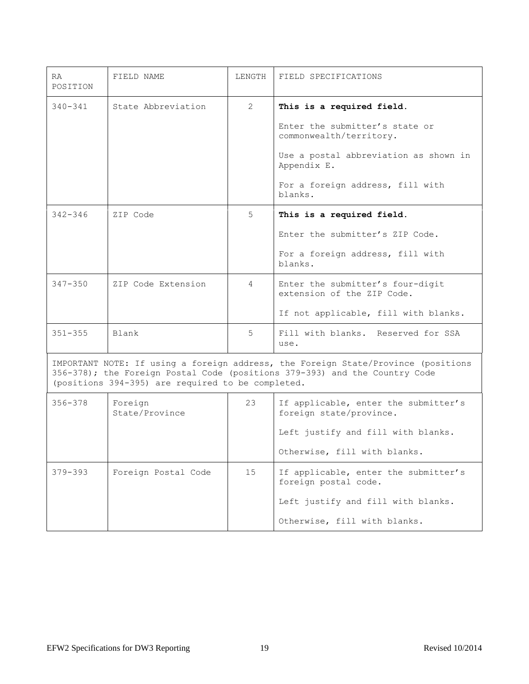| RA.<br>POSITION                                                                                                                                                                                                      | FIELD NAME                | LENGTH | FIELD SPECIFICATIONS                                            |
|----------------------------------------------------------------------------------------------------------------------------------------------------------------------------------------------------------------------|---------------------------|--------|-----------------------------------------------------------------|
| $340 - 341$                                                                                                                                                                                                          | State Abbreviation        | 2      | This is a required field.                                       |
|                                                                                                                                                                                                                      |                           |        | Enter the submitter's state or<br>commonwealth/territory.       |
|                                                                                                                                                                                                                      |                           |        | Use a postal abbreviation as shown in<br>Appendix E.            |
|                                                                                                                                                                                                                      |                           |        | For a foreign address, fill with<br>blanks.                     |
| $342 - 346$                                                                                                                                                                                                          | ZIP Code                  | 5      | This is a required field.                                       |
|                                                                                                                                                                                                                      |                           |        | Enter the submitter's ZIP Code.                                 |
|                                                                                                                                                                                                                      |                           |        | For a foreign address, fill with<br>blanks.                     |
| $347 - 350$                                                                                                                                                                                                          | ZIP Code Extension        | 4      | Enter the submitter's four-digit<br>extension of the ZIP Code.  |
|                                                                                                                                                                                                                      |                           |        | If not applicable, fill with blanks.                            |
| $351 - 355$                                                                                                                                                                                                          | Blank                     | 5      | Fill with blanks. Reserved for SSA<br>use.                      |
| IMPORTANT NOTE: If using a foreign address, the Foreign State/Province (positions<br>356-378); the Foreign Postal Code (positions 379-393) and the Country Code<br>(positions 394-395) are required to be completed. |                           |        |                                                                 |
| $356 - 378$                                                                                                                                                                                                          | Foreign<br>State/Province | 23     | If applicable, enter the submitter's<br>foreign state/province. |
|                                                                                                                                                                                                                      |                           |        | Left justify and fill with blanks.                              |
|                                                                                                                                                                                                                      |                           |        | Otherwise, fill with blanks.                                    |
| $379 - 393$                                                                                                                                                                                                          | Foreign Postal Code       | 15     | If applicable, enter the submitter's<br>foreign postal code.    |
|                                                                                                                                                                                                                      |                           |        | Left justify and fill with blanks.                              |
|                                                                                                                                                                                                                      |                           |        | Otherwise, fill with blanks.                                    |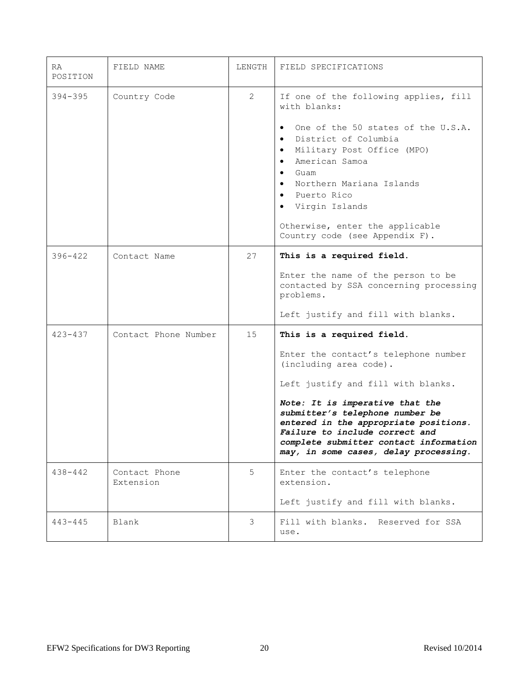| RA.<br>POSITION | FIELD NAME                 | LENGTH         | FIELD SPECIFICATIONS                                                                                                                                                                                                                                                                                                                                                  |
|-----------------|----------------------------|----------------|-----------------------------------------------------------------------------------------------------------------------------------------------------------------------------------------------------------------------------------------------------------------------------------------------------------------------------------------------------------------------|
| $394 - 395$     | Country Code               | $\overline{2}$ | If one of the following applies, fill<br>with blanks:<br>One of the 50 states of the U.S.A.<br>$\bullet$<br>District of Columbia<br>Military Post Office (MPO)<br>$\bullet$<br>American Samoa<br>$\bullet$<br>Guam<br>$\bullet$<br>Northern Mariana Islands<br>· Puerto Rico<br>• Virgin Islands<br>Otherwise, enter the applicable<br>Country code (see Appendix F). |
| $396 - 422$     | Contact Name               | 27             | This is a required field.<br>Enter the name of the person to be<br>contacted by SSA concerning processing<br>problems.<br>Left justify and fill with blanks.                                                                                                                                                                                                          |
| $423 - 437$     | Contact Phone Number       | 15             | This is a required field.<br>Enter the contact's telephone number<br>(including area code).<br>Left justify and fill with blanks.<br>Note: It is imperative that the<br>submitter's telephone number be<br>entered in the appropriate positions.<br>Failure to include correct and<br>complete submitter contact information<br>may, in some cases, delay processing. |
| $438 - 442$     | Contact Phone<br>Extension | 5              | Enter the contact's telephone<br>extension.<br>Left justify and fill with blanks.                                                                                                                                                                                                                                                                                     |
| $443 - 445$     | Blank                      | 3              | Fill with blanks. Reserved for SSA<br>use.                                                                                                                                                                                                                                                                                                                            |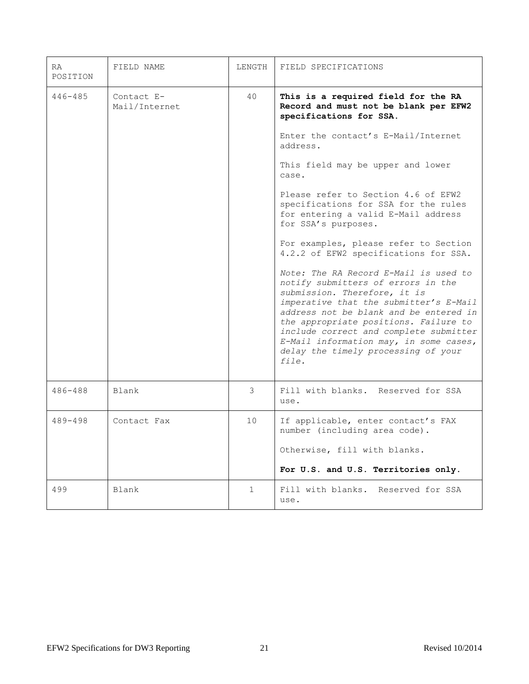| RA.<br>POSITION | FIELD NAME                  | LENGTH      | FIELD SPECIFICATIONS                                                                                                                                                                                                                                                                                                                                                                                                                                                                                                                                                                                                                                                                                                                                                                                                    |
|-----------------|-----------------------------|-------------|-------------------------------------------------------------------------------------------------------------------------------------------------------------------------------------------------------------------------------------------------------------------------------------------------------------------------------------------------------------------------------------------------------------------------------------------------------------------------------------------------------------------------------------------------------------------------------------------------------------------------------------------------------------------------------------------------------------------------------------------------------------------------------------------------------------------------|
| $446 - 485$     | Contact E-<br>Mail/Internet | 40          | This is a required field for the RA<br>Record and must not be blank per EFW2<br>specifications for SSA.<br>Enter the contact's E-Mail/Internet<br>address.<br>This field may be upper and lower<br>case.<br>Please refer to Section 4.6 of EFW2<br>specifications for SSA for the rules<br>for entering a valid E-Mail address<br>for SSA's purposes.<br>For examples, please refer to Section<br>4.2.2 of EFW2 specifications for SSA.<br>Note: The RA Record E-Mail is used to<br>notify submitters of errors in the<br>submission. Therefore, it is<br>imperative that the submitter's E-Mail<br>address not be blank and be entered in<br>the appropriate positions. Failure to<br>include correct and complete submitter<br>E-Mail information may, in some cases,<br>delay the timely processing of your<br>file. |
| $486 - 488$     | <b>Blank</b>                | 3           | Fill with blanks. Reserved for SSA<br>use.                                                                                                                                                                                                                                                                                                                                                                                                                                                                                                                                                                                                                                                                                                                                                                              |
| $489 - 498$     | Contact Fax                 | 10          | If applicable, enter contact's FAX<br>number (including area code).<br>Otherwise, fill with blanks.<br>For U.S. and U.S. Territories only.                                                                                                                                                                                                                                                                                                                                                                                                                                                                                                                                                                                                                                                                              |
| 499             | Blank                       | $\mathbf 1$ | Fill with blanks.<br>Reserved for SSA<br>use.                                                                                                                                                                                                                                                                                                                                                                                                                                                                                                                                                                                                                                                                                                                                                                           |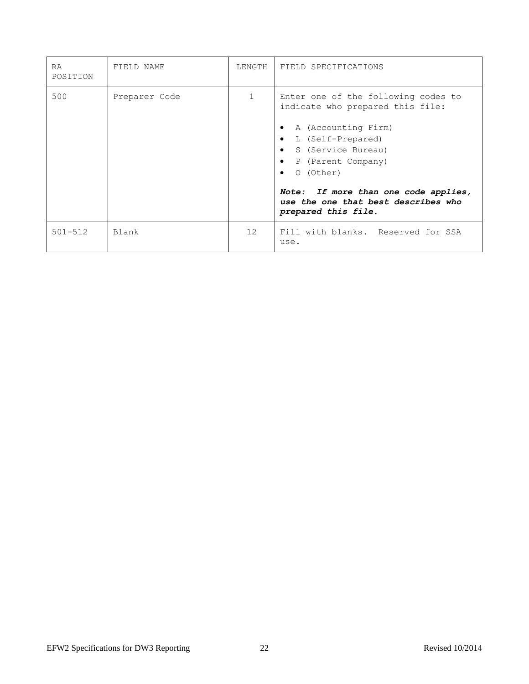| <b>RA</b><br>POSITION | FIELD NAME    | LENGTH | FIELD SPECIFICATIONS                                                                                                                                                                                                                                                                                                                                   |
|-----------------------|---------------|--------|--------------------------------------------------------------------------------------------------------------------------------------------------------------------------------------------------------------------------------------------------------------------------------------------------------------------------------------------------------|
| 500                   | Preparer Code |        | Enter one of the following codes to<br>indicate who prepared this file:<br>A (Accounting Firm)<br>$\bullet$<br>L (Self-Prepared)<br>$\bullet$<br>S (Service Bureau)<br>$\bullet$<br>P (Parent Company)<br>$\bullet$<br>0 (Other)<br>$\bullet$<br>If more than one code applies,<br>Note:<br>use the one that best describes who<br>prepared this file. |
| $501 - 512$           | Blank         | 12     | Fill with blanks. Reserved for SSA<br>use.                                                                                                                                                                                                                                                                                                             |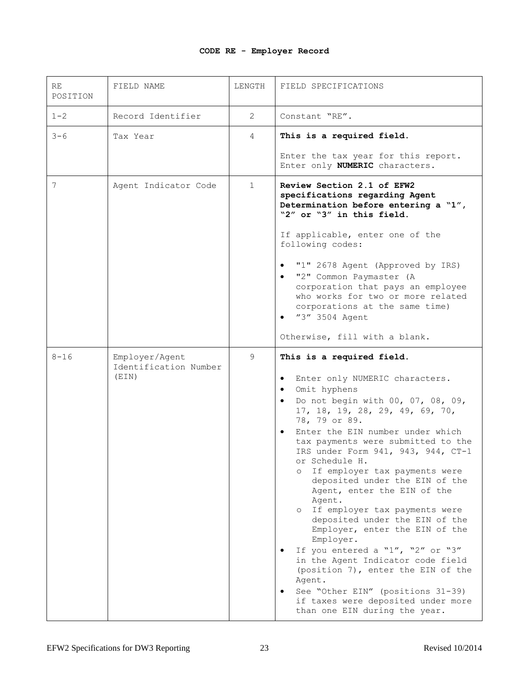# **CODE RE - Employer Record**

| RE<br>POSITION | FIELD NAME                                       | LENGTH       | FIELD SPECIFICATIONS                                                                                                                                                                                                                                                                                                                                                                                                                                                                                                                                                                                                                                                                                                                                                                                                                            |
|----------------|--------------------------------------------------|--------------|-------------------------------------------------------------------------------------------------------------------------------------------------------------------------------------------------------------------------------------------------------------------------------------------------------------------------------------------------------------------------------------------------------------------------------------------------------------------------------------------------------------------------------------------------------------------------------------------------------------------------------------------------------------------------------------------------------------------------------------------------------------------------------------------------------------------------------------------------|
| $1 - 2$        | Record Identifier                                | 2            | Constant "RE".                                                                                                                                                                                                                                                                                                                                                                                                                                                                                                                                                                                                                                                                                                                                                                                                                                  |
| $3 - 6$        | Tax Year                                         | 4            | This is a required field.                                                                                                                                                                                                                                                                                                                                                                                                                                                                                                                                                                                                                                                                                                                                                                                                                       |
|                |                                                  |              | Enter the tax year for this report.<br>Enter only NUMERIC characters.                                                                                                                                                                                                                                                                                                                                                                                                                                                                                                                                                                                                                                                                                                                                                                           |
| 7              | Agent Indicator Code                             | $\mathbf{1}$ | Review Section 2.1 of EFW2<br>specifications regarding Agent<br>Determination before entering a "1",<br>"2" or "3" in this field.                                                                                                                                                                                                                                                                                                                                                                                                                                                                                                                                                                                                                                                                                                               |
|                |                                                  |              | If applicable, enter one of the<br>following codes:                                                                                                                                                                                                                                                                                                                                                                                                                                                                                                                                                                                                                                                                                                                                                                                             |
|                |                                                  |              | "1" 2678 Agent (Approved by IRS)<br>$\bullet$<br>"2" Common Paymaster (A<br>$\bullet$<br>corporation that pays an employee<br>who works for two or more related<br>corporations at the same time)<br>"3" 3504 Agent<br>$\bullet$                                                                                                                                                                                                                                                                                                                                                                                                                                                                                                                                                                                                                |
|                |                                                  |              | Otherwise, fill with a blank.                                                                                                                                                                                                                                                                                                                                                                                                                                                                                                                                                                                                                                                                                                                                                                                                                   |
| $8 - 16$       | Employer/Agent<br>Identification Number<br>(EIN) | 9            | This is a required field.<br>Enter only NUMERIC characters.<br>$\bullet$<br>Omit hyphens<br>$\bullet$<br>Do not begin with 00, 07, 08, 09,<br>$\bullet$<br>17, 18, 19, 28, 29, 49, 69, 70,<br>78, 79 or 89.<br>Enter the EIN number under which<br>$\bullet$<br>tax payments were submitted to the<br>IRS under Form 941, 943, 944, CT-1<br>or Schedule H.<br>If employer tax payments were<br>$\circ$<br>deposited under the EIN of the<br>Agent, enter the EIN of the<br>Agent.<br>o If employer tax payments were<br>deposited under the EIN of the<br>Employer, enter the EIN of the<br>Employer.<br>If you entered a "1", "2" or "3"<br>in the Agent Indicator code field<br>(position 7), enter the EIN of the<br>Agent.<br>See "Other EIN" (positions 31-39)<br>٠<br>if taxes were deposited under more<br>than one EIN during the year. |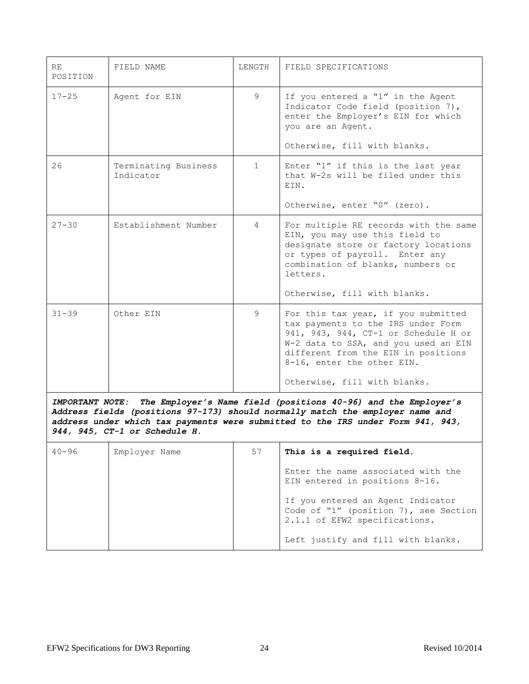| <b>RE</b><br>POSITION | FIELD NAME                        | LENGTH       | FIELD SPECIFICATIONS                                                                                                                                                                                                                                           |
|-----------------------|-----------------------------------|--------------|----------------------------------------------------------------------------------------------------------------------------------------------------------------------------------------------------------------------------------------------------------------|
| $17 - 25$             | Agent for EIN                     | 9            | If you entered a "1" in the Agent<br>Indicator Code field (position 7),<br>enter the Employer's EIN for which<br>you are an Agent.<br>Otherwise, fill with blanks.                                                                                             |
| 26                    | Terminating Business<br>Indicator | $\mathbf{1}$ | Enter "1" if this is the last year<br>that W-2s will be filed under this<br>EIN.<br>Otherwise, enter "0" (zero).                                                                                                                                               |
| $27 - 30$             | Establishment Number              | 4            | For multiple RE records with the same<br>EIN, you may use this field to<br>designate store or factory locations<br>or types of payroll. Enter any<br>combination of blanks, numbers or<br>letters.<br>Otherwise, fill with blanks.                             |
| $31 - 39$             | Other EIN                         | 9            | For this tax year, if you submitted<br>tax payments to the IRS under Form<br>941, 943, 944, CT-1 or Schedule H or<br>W-2 data to SSA, and you used an EIN<br>different from the EIN in positions<br>8-16, enter the other EIN.<br>Otherwise, fill with blanks. |

*IMPORTANT NOTE: The Employer's Name field (positions 40-96) and the Employer's Address fields (positions 97-173) should normally match the employer name and address under which tax payments were submitted to the IRS under Form 941, 943, 944, 945, CT-1 or Schedule H.*

| $40 - 96$ | Employer Name | 57 | This is a required field.                                                                                   |
|-----------|---------------|----|-------------------------------------------------------------------------------------------------------------|
|           |               |    | Enter the name associated with the<br>EIN entered in positions 8-16.                                        |
|           |               |    | If you entered an Agent Indicator<br>Code of "1" (position 7), see Section<br>2.1.1 of EFW2 specifications. |
|           |               |    | Left justify and fill with blanks.                                                                          |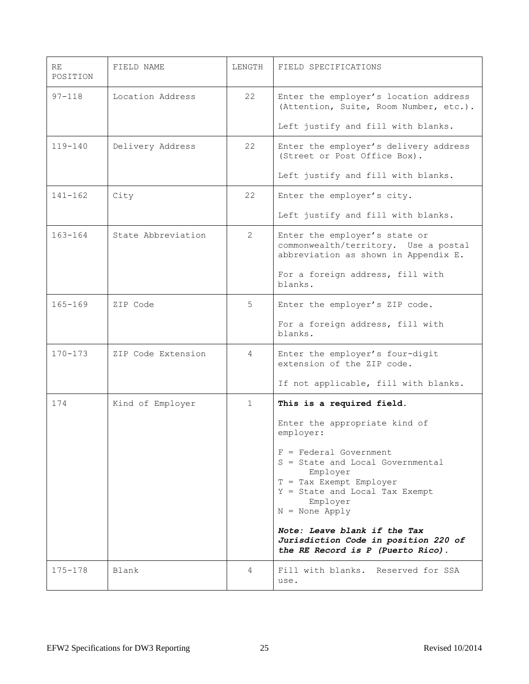| RE<br>POSITION | FIELD NAME         | LENGTH       | FIELD SPECIFICATIONS                                                                                                                                                                                  |
|----------------|--------------------|--------------|-------------------------------------------------------------------------------------------------------------------------------------------------------------------------------------------------------|
| $97 - 118$     | Location Address   | 22           | Enter the employer's location address<br>(Attention, Suite, Room Number, etc.).                                                                                                                       |
|                |                    |              | Left justify and fill with blanks.                                                                                                                                                                    |
| $119 - 140$    | Delivery Address   | 22           | Enter the employer's delivery address<br>(Street or Post Office Box).                                                                                                                                 |
|                |                    |              | Left justify and fill with blanks.                                                                                                                                                                    |
| $141 - 162$    | City               | 22           | Enter the employer's city.                                                                                                                                                                            |
|                |                    |              | Left justify and fill with blanks.                                                                                                                                                                    |
| $163 - 164$    | State Abbreviation | 2            | Enter the employer's state or<br>commonwealth/territory. Use a postal<br>abbreviation as shown in Appendix E.                                                                                         |
|                |                    |              | For a foreign address, fill with<br>blanks.                                                                                                                                                           |
| $165 - 169$    | ZIP Code           | 5            | Enter the employer's ZIP code.                                                                                                                                                                        |
|                |                    |              | For a foreign address, fill with<br>blanks.                                                                                                                                                           |
| $170 - 173$    | ZIP Code Extension | 4            | Enter the employer's four-digit<br>extension of the ZIP code.                                                                                                                                         |
|                |                    |              | If not applicable, fill with blanks.                                                                                                                                                                  |
| 174            | Kind of Employer   | $\mathbf{1}$ | This is a required field.                                                                                                                                                                             |
|                |                    |              | Enter the appropriate kind of<br>employer:                                                                                                                                                            |
|                |                    |              | $F = Federal Government$<br>S = State and Local Governmental<br>Employer<br>T = Tax Exempt Employer<br>Y = State and Local Tax Exempt<br>Employer<br>$N = None Apply$<br>Note: Leave blank if the Tax |
|                |                    |              | Jurisdiction Code in position 220 of<br>the RE Record is P (Puerto Rico).                                                                                                                             |
| $175 - 178$    | Blank              | 4            | Fill with blanks. Reserved for SSA<br>use.                                                                                                                                                            |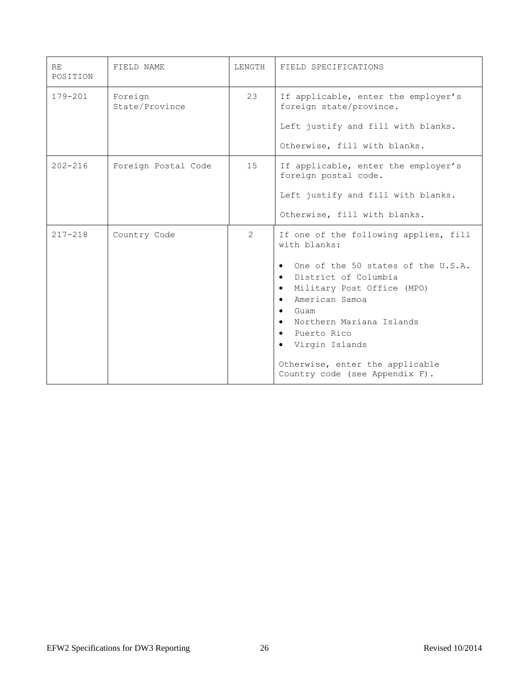| <b>RE</b><br>POSITION | FIELD NAME                | LENGTH        | FIELD SPECIFICATIONS                                                                                                                                                                                                                                            |
|-----------------------|---------------------------|---------------|-----------------------------------------------------------------------------------------------------------------------------------------------------------------------------------------------------------------------------------------------------------------|
| $179 - 201$           | Foreign<br>State/Province | 23            | If applicable, enter the employer's<br>foreign state/province.<br>Left justify and fill with blanks.                                                                                                                                                            |
|                       |                           |               | Otherwise, fill with blanks.                                                                                                                                                                                                                                    |
| $202 - 216$           | Foreign Postal Code       | 15            | If applicable, enter the employer's<br>foreign postal code.                                                                                                                                                                                                     |
|                       |                           |               | Left justify and fill with blanks.                                                                                                                                                                                                                              |
|                       |                           |               | Otherwise, fill with blanks.                                                                                                                                                                                                                                    |
| $217 - 218$           | Country Code              | $\mathcal{L}$ | If one of the following applies, fill<br>with blanks:                                                                                                                                                                                                           |
|                       |                           |               | One of the 50 states of the U.S.A.<br>$\bullet$<br>District of Columbia<br>$\bullet$<br>Military Post Office (MPO)<br>$\bullet$<br>American Samoa<br>$\bullet$<br>Guam<br>$\bullet$<br>Northern Mariana Islands<br>$\bullet$<br>• Puerto Rico<br>Virgin Islands |
|                       |                           |               | Otherwise, enter the applicable<br>Country code (see Appendix F).                                                                                                                                                                                               |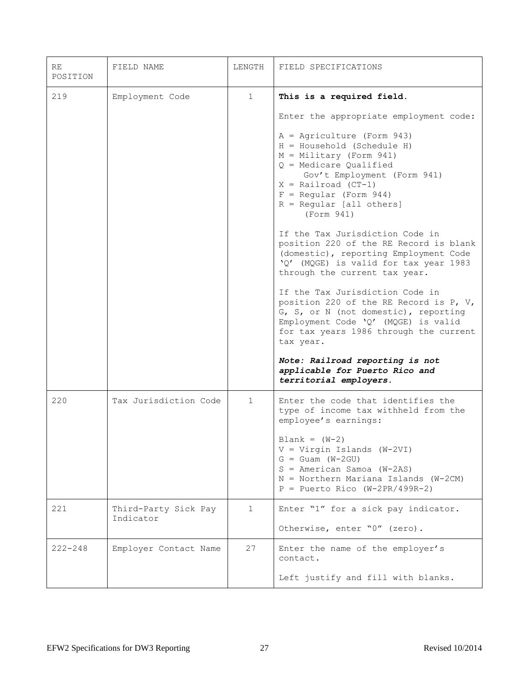| RE<br>POSITION | FIELD NAME                        | LENGTH       | FIELD SPECIFICATIONS                                                                                                                                                                                                                                                                                                                                                                                                                                                                               |
|----------------|-----------------------------------|--------------|----------------------------------------------------------------------------------------------------------------------------------------------------------------------------------------------------------------------------------------------------------------------------------------------------------------------------------------------------------------------------------------------------------------------------------------------------------------------------------------------------|
| 219            | Employment Code                   | $\mathbf{1}$ | This is a required field.<br>Enter the appropriate employment code:<br>$A =$ Agriculture (Form 943)<br>$H = Household (Schedule H)$<br>$M =$ Military (Form 941)<br>$Q$ = Medicare Qualified<br>Gov't Employment (Form 941)<br>$X = \text{Railroad (CT-1)}$<br>$F = Regular (Form 944)$<br>$R = Regular [all others]$<br>(Form 941)<br>If the Tax Jurisdiction Code in<br>position 220 of the RE Record is blank<br>(domestic), reporting Employment Code<br>'Q' (MQGE) is valid for tax year 1983 |
|                |                                   |              | through the current tax year.<br>If the Tax Jurisdiction Code in<br>position 220 of the RE Record is P, V,<br>G, S, or N (not domestic), reporting<br>Employment Code 'Q' (MQGE) is valid<br>for tax years 1986 through the current<br>tax year.<br>Note: Railroad reporting is not<br>applicable for Puerto Rico and<br>territorial employers.                                                                                                                                                    |
| 220            | Tax Jurisdiction Code             | $\mathbf{1}$ | Enter the code that identifies the<br>type of income tax withheld from the<br>employee's earnings:<br>$Blank = (W-2)$<br>$V = Virgin$ Islands (W-2VI)<br>$G =$ Guam (W-2GU)<br>$S = American Samoa (W-2AS)$<br>$N =$ Northern Mariana Islands (W-2CM)<br>$P =$ Puerto Rico (W-2PR/499R-2)                                                                                                                                                                                                          |
| 221            | Third-Party Sick Pay<br>Indicator | $\mathbf 1$  | Enter "1" for a sick pay indicator.<br>Otherwise, enter "0" (zero).                                                                                                                                                                                                                                                                                                                                                                                                                                |
| $222 - 248$    | Employer Contact Name             | 27           | Enter the name of the employer's<br>contact.<br>Left justify and fill with blanks.                                                                                                                                                                                                                                                                                                                                                                                                                 |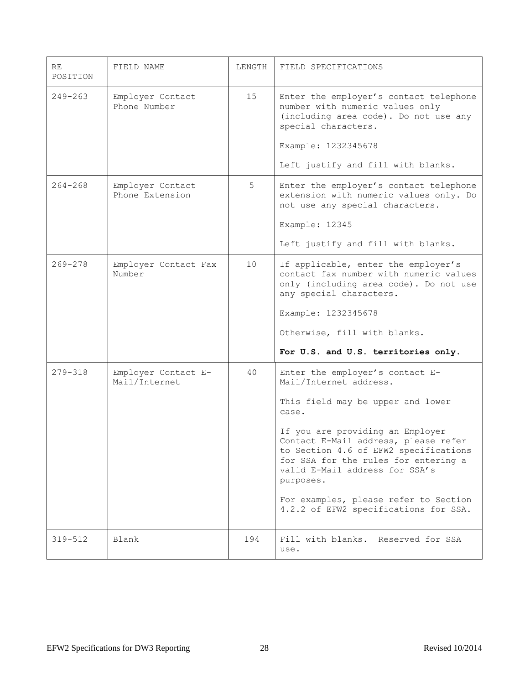| RE<br>POSITION | FIELD NAME                           | LENGTH | FIELD SPECIFICATIONS                                                                                                                                                                                                                                                                                                                                                                                  |
|----------------|--------------------------------------|--------|-------------------------------------------------------------------------------------------------------------------------------------------------------------------------------------------------------------------------------------------------------------------------------------------------------------------------------------------------------------------------------------------------------|
| $249 - 263$    | Employer Contact<br>Phone Number     | 15     | Enter the employer's contact telephone<br>number with numeric values only<br>(including area code). Do not use any<br>special characters.<br>Example: 1232345678<br>Left justify and fill with blanks.                                                                                                                                                                                                |
| $264 - 268$    | Employer Contact<br>Phone Extension  | 5      | Enter the employer's contact telephone<br>extension with numeric values only. Do<br>not use any special characters.<br>Example: 12345<br>Left justify and fill with blanks.                                                                                                                                                                                                                           |
| $269 - 278$    | Employer Contact Fax<br>Number       | 10     | If applicable, enter the employer's<br>contact fax number with numeric values<br>only (including area code). Do not use<br>any special characters.<br>Example: 1232345678<br>Otherwise, fill with blanks.<br>For U.S. and U.S. territories only.                                                                                                                                                      |
| 279-318        | Employer Contact E-<br>Mail/Internet | 40     | Enter the employer's contact E-<br>Mail/Internet address.<br>This field may be upper and lower<br>case.<br>If you are providing an Employer<br>Contact E-Mail address, please refer<br>to Section 4.6 of EFW2 specifications<br>for SSA for the rules for entering a<br>valid E-Mail address for SSA's<br>purposes.<br>For examples, please refer to Section<br>4.2.2 of EFW2 specifications for SSA. |
| $319 - 512$    | Blank                                | 194    | Fill with blanks.<br>Reserved for SSA<br>use.                                                                                                                                                                                                                                                                                                                                                         |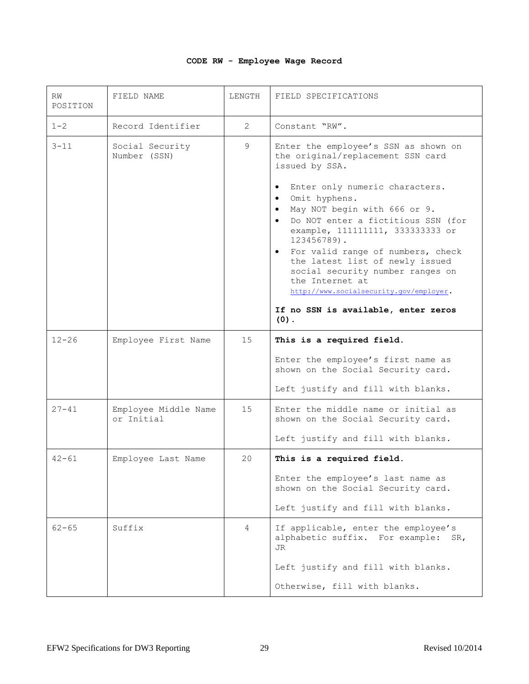# **CODE RW - Employee Wage Record**

| RW<br>POSITION | FIELD NAME                         | LENGTH         | FIELD SPECIFICATIONS                                                                                                                                                                                                                                                                                                                                                                                                                                                                                                                                                 |
|----------------|------------------------------------|----------------|----------------------------------------------------------------------------------------------------------------------------------------------------------------------------------------------------------------------------------------------------------------------------------------------------------------------------------------------------------------------------------------------------------------------------------------------------------------------------------------------------------------------------------------------------------------------|
| $1 - 2$        | Record Identifier                  | $\overline{2}$ | Constant "RW".                                                                                                                                                                                                                                                                                                                                                                                                                                                                                                                                                       |
| $3 - 11$       | Social Security<br>Number (SSN)    | 9              | Enter the employee's SSN as shown on<br>the original/replacement SSN card<br>issued by SSA.<br>Enter only numeric characters.<br>$\bullet$<br>Omit hyphens.<br>$\bullet$<br>May NOT begin with 666 or 9.<br>$\bullet$<br>Do NOT enter a fictitious SSN (for<br>$\bullet$<br>example, 111111111, 333333333 or<br>123456789).<br>For valid range of numbers, check<br>$\bullet$<br>the latest list of newly issued<br>social security number ranges on<br>the Internet at<br>http://www.socialsecurity.gov/employer.<br>If no SSN is available, enter zeros<br>$(0)$ . |
| $12 - 26$      | Employee First Name                | 15             | This is a required field.<br>Enter the employee's first name as<br>shown on the Social Security card.<br>Left justify and fill with blanks.                                                                                                                                                                                                                                                                                                                                                                                                                          |
| $27 - 41$      | Employee Middle Name<br>or Initial | 15             | Enter the middle name or initial as<br>shown on the Social Security card.<br>Left justify and fill with blanks.                                                                                                                                                                                                                                                                                                                                                                                                                                                      |
| $42 - 61$      | Employee Last Name                 | 20             | This is a required field.<br>Enter the employee's last name as<br>shown on the Social Security card.<br>Left justify and fill with blanks.                                                                                                                                                                                                                                                                                                                                                                                                                           |
| $62 - 65$      | Suffix                             | 4              | If applicable, enter the employee's<br>alphabetic suffix. For example:<br>SR,<br>JR<br>Left justify and fill with blanks.<br>Otherwise, fill with blanks.                                                                                                                                                                                                                                                                                                                                                                                                            |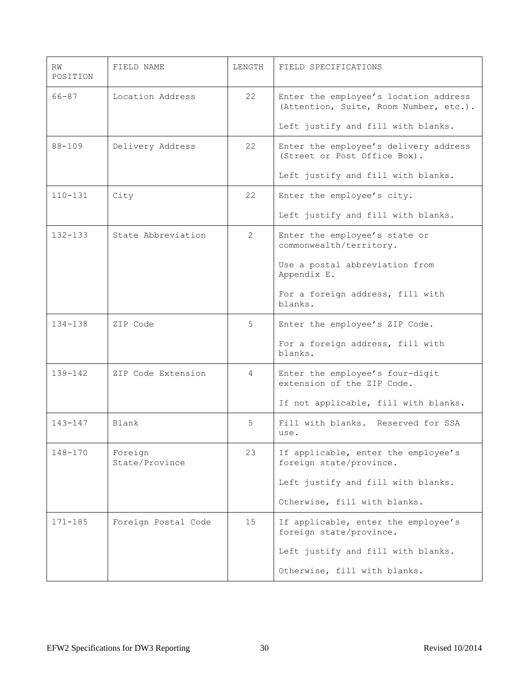| RW<br>POSITION | FIELD NAME                | LENGTH         | FIELD SPECIFICATIONS                                                            |
|----------------|---------------------------|----------------|---------------------------------------------------------------------------------|
| 66-87          | Location Address          | 22             | Enter the employee's location address<br>(Attention, Suite, Room Number, etc.). |
|                |                           |                | Left justify and fill with blanks.                                              |
| $88 - 109$     | Delivery Address          | 22             | Enter the employee's delivery address<br>(Street or Post Office Box).           |
|                |                           |                | Left justify and fill with blanks.                                              |
| $110 - 131$    | City                      | 22             | Enter the employee's city.                                                      |
|                |                           |                | Left justify and fill with blanks.                                              |
| $132 - 133$    | State Abbreviation        | $\mathcal{L}$  | Enter the employee's state or<br>commonwealth/territory.                        |
|                |                           |                | Use a postal abbreviation from<br>Appendix E.                                   |
|                |                           |                | For a foreign address, fill with<br>blanks.                                     |
| $134 - 138$    | ZIP Code                  | 5              | Enter the employee's ZIP Code.                                                  |
|                |                           |                | For a foreign address, fill with<br>blanks.                                     |
| $139 - 142$    | ZIP Code Extension        | $\overline{4}$ | Enter the employee's four-digit<br>extension of the ZIP Code.                   |
|                |                           |                | If not applicable, fill with blanks.                                            |
| $143 - 147$    | Blank                     | 5              | Fill with blanks. Reserved for SSA<br>use.                                      |
| 148-170        | Foreign<br>State/Province | 23             | If applicable, enter the employee's<br>foreign state/province.                  |
|                |                           |                | Left justify and fill with blanks.                                              |
|                |                           |                | Otherwise, fill with blanks.                                                    |
| $171 - 185$    | Foreign Postal Code       | 15             | If applicable, enter the employee's<br>foreign state/province.                  |
|                |                           |                | Left justify and fill with blanks.                                              |
|                |                           |                | Otherwise, fill with blanks.                                                    |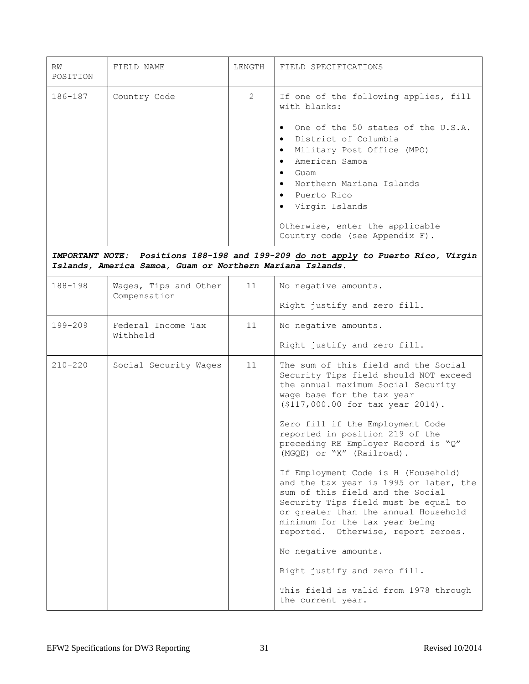| RW<br>POSITION | FIELD NAME                                                                | LENGTH         | FIELD SPECIFICATIONS                                                                                                                                                                                                                                                                                                                                                                                                                                                                                                                                                                                                                                                                                                                  |
|----------------|---------------------------------------------------------------------------|----------------|---------------------------------------------------------------------------------------------------------------------------------------------------------------------------------------------------------------------------------------------------------------------------------------------------------------------------------------------------------------------------------------------------------------------------------------------------------------------------------------------------------------------------------------------------------------------------------------------------------------------------------------------------------------------------------------------------------------------------------------|
| 186-187        | Country Code<br>Islands, America Samoa, Guam or Northern Mariana Islands. | $\overline{2}$ | If one of the following applies, fill<br>with blanks:<br>One of the 50 states of the U.S.A.<br>$\bullet$<br>District of Columbia<br>$\bullet$<br>Military Post Office (MPO)<br>$\bullet$<br>American Samoa<br>$\bullet$<br>Guam<br>$\bullet$<br>Northern Mariana Islands<br>$\bullet$<br>Puerto Rico<br>$\bullet$<br>• Virgin Islands<br>Otherwise, enter the applicable<br>Country code (see Appendix F).<br>IMPORTANT NOTE: Positions 188-198 and 199-209 do not apply to Puerto Rico, Virgin                                                                                                                                                                                                                                       |
|                |                                                                           |                |                                                                                                                                                                                                                                                                                                                                                                                                                                                                                                                                                                                                                                                                                                                                       |
| 188-198        | Wages, Tips and Other<br>Compensation                                     | 11             | No negative amounts.                                                                                                                                                                                                                                                                                                                                                                                                                                                                                                                                                                                                                                                                                                                  |
|                |                                                                           |                | Right justify and zero fill.                                                                                                                                                                                                                                                                                                                                                                                                                                                                                                                                                                                                                                                                                                          |
| $199 - 209$    | Federal Income Tax<br>Withheld                                            | 11             | No negative amounts.                                                                                                                                                                                                                                                                                                                                                                                                                                                                                                                                                                                                                                                                                                                  |
|                |                                                                           |                | Right justify and zero fill.                                                                                                                                                                                                                                                                                                                                                                                                                                                                                                                                                                                                                                                                                                          |
| $210 - 220$    | Social Security Wages                                                     | 11             | The sum of this field and the Social<br>Security Tips field should NOT exceed<br>the annual maximum Social Security<br>wage base for the tax year<br>(\$117,000.00 for tax year 2014).<br>Zero fill if the Employment Code<br>reported in position 219 of the<br>preceding RE Employer Record is "Q"<br>(MGQE) or "X" (Railroad).<br>If Employment Code is H (Household)<br>and the tax year is 1995 or later, the<br>sum of this field and the Social<br>Security Tips field must be equal to<br>or greater than the annual Household<br>minimum for the tax year being<br>reported. Otherwise, report zeroes.<br>No negative amounts.<br>Right justify and zero fill.<br>This field is valid from 1978 through<br>the current year. |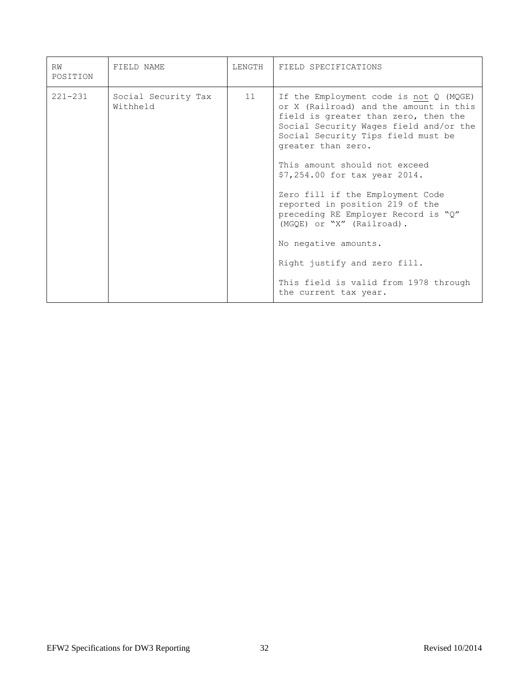| RW<br>POSITION | FIELD NAME                      | LENGTH | FIELD SPECIFICATIONS                                                                                                                                                                                                                                                                               |
|----------------|---------------------------------|--------|----------------------------------------------------------------------------------------------------------------------------------------------------------------------------------------------------------------------------------------------------------------------------------------------------|
| $221 - 231$    | Social Security Tax<br>Withheld | 11     | If the Employment code is not $Q$ (MQGE)<br>or X (Railroad) and the amount in this<br>field is greater than zero, then the<br>Social Security Wages field and/or the<br>Social Security Tips field must be<br>greater than zero.<br>This amount should not exceed<br>\$7,254.00 for tax year 2014. |
|                |                                 |        | Zero fill if the Employment Code<br>reported in position 219 of the<br>preceding RE Employer Record is "Q"<br>(MGQE) or "X" (Railroad).<br>No negative amounts.                                                                                                                                    |
|                |                                 |        | Right justify and zero fill.<br>This field is valid from 1978 through<br>the current tax year.                                                                                                                                                                                                     |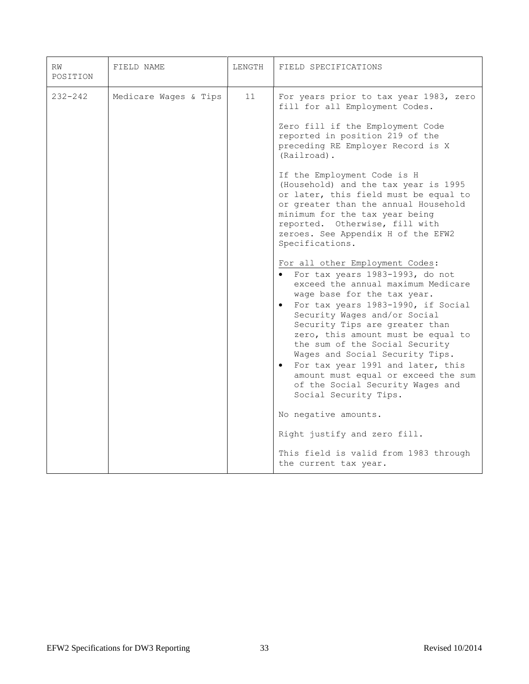| RW<br>POSITION | FIELD NAME            | LENGTH | FIELD SPECIFICATIONS                                                                                                                                                                                                                                                                                                                                                                                                                                                                                                                                                                                                                                                                                                                                                                                                                                                                                                                                                                                                                                                 |
|----------------|-----------------------|--------|----------------------------------------------------------------------------------------------------------------------------------------------------------------------------------------------------------------------------------------------------------------------------------------------------------------------------------------------------------------------------------------------------------------------------------------------------------------------------------------------------------------------------------------------------------------------------------------------------------------------------------------------------------------------------------------------------------------------------------------------------------------------------------------------------------------------------------------------------------------------------------------------------------------------------------------------------------------------------------------------------------------------------------------------------------------------|
| $232 - 242$    | Medicare Wages & Tips | 11     | For years prior to tax year 1983, zero<br>fill for all Employment Codes.<br>Zero fill if the Employment Code<br>reported in position 219 of the<br>preceding RE Employer Record is X<br>(Railroad).<br>If the Employment Code is H<br>(Household) and the tax year is 1995<br>or later, this field must be equal to<br>or greater than the annual Household<br>minimum for the tax year being<br>reported. Otherwise, fill with<br>zeroes. See Appendix H of the EFW2<br>Specifications.<br>For all other Employment Codes:<br>For tax years 1983-1993, do not<br>exceed the annual maximum Medicare<br>wage base for the tax year.<br>For tax years 1983-1990, if Social<br>Security Wages and/or Social<br>Security Tips are greater than<br>zero, this amount must be equal to<br>the sum of the Social Security<br>Wages and Social Security Tips.<br>For tax year 1991 and later, this<br>$\bullet$<br>amount must equal or exceed the sum<br>of the Social Security Wages and<br>Social Security Tips.<br>No negative amounts.<br>Right justify and zero fill. |
|                |                       |        | This field is valid from 1983 through<br>the current tax year.                                                                                                                                                                                                                                                                                                                                                                                                                                                                                                                                                                                                                                                                                                                                                                                                                                                                                                                                                                                                       |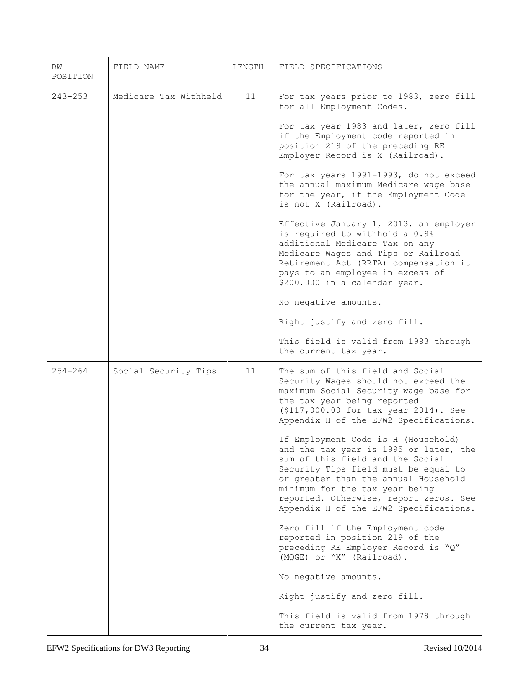| RW<br>POSITION | FIELD NAME            | LENGTH | FIELD SPECIFICATIONS                                                                                                                                                                                                                                                                                                    |
|----------------|-----------------------|--------|-------------------------------------------------------------------------------------------------------------------------------------------------------------------------------------------------------------------------------------------------------------------------------------------------------------------------|
| $243 - 253$    | Medicare Tax Withheld | 11     | For tax years prior to 1983, zero fill<br>for all Employment Codes.                                                                                                                                                                                                                                                     |
|                |                       |        | For tax year 1983 and later, zero fill<br>if the Employment code reported in<br>position 219 of the preceding RE<br>Employer Record is X (Railroad).                                                                                                                                                                    |
|                |                       |        | For tax years 1991-1993, do not exceed<br>the annual maximum Medicare wage base<br>for the year, if the Employment Code<br>is not X (Railroad).                                                                                                                                                                         |
|                |                       |        | Effective January 1, 2013, an employer<br>is required to withhold a 0.9%<br>additional Medicare Tax on any<br>Medicare Wages and Tips or Railroad<br>Retirement Act (RRTA) compensation it<br>pays to an employee in excess of<br>\$200,000 in a calendar year.                                                         |
|                |                       |        | No negative amounts.                                                                                                                                                                                                                                                                                                    |
|                |                       |        | Right justify and zero fill.                                                                                                                                                                                                                                                                                            |
|                |                       |        | This field is valid from 1983 through<br>the current tax year.                                                                                                                                                                                                                                                          |
| $254 - 264$    | Social Security Tips  | 11     | The sum of this field and Social<br>Security Wages should not exceed the<br>maximum Social Security wage base for<br>the tax year being reported<br>(\$117,000.00 for tax year 2014). See<br>Appendix H of the EFW2 Specifications.                                                                                     |
|                |                       |        | If Employment Code is H (Household)<br>and the tax year is 1995 or later, the<br>sum of this field and the Social<br>Security Tips field must be equal to<br>or greater than the annual Household<br>minimum for the tax year being<br>reported. Otherwise, report zeros. See<br>Appendix H of the EFW2 Specifications. |
|                |                       |        | Zero fill if the Employment code<br>reported in position 219 of the<br>preceding RE Employer Record is "Q"<br>(MQGE) or "X" (Railroad).                                                                                                                                                                                 |
|                |                       |        | No negative amounts.                                                                                                                                                                                                                                                                                                    |
|                |                       |        | Right justify and zero fill.                                                                                                                                                                                                                                                                                            |
|                |                       |        | This field is valid from 1978 through<br>the current tax year.                                                                                                                                                                                                                                                          |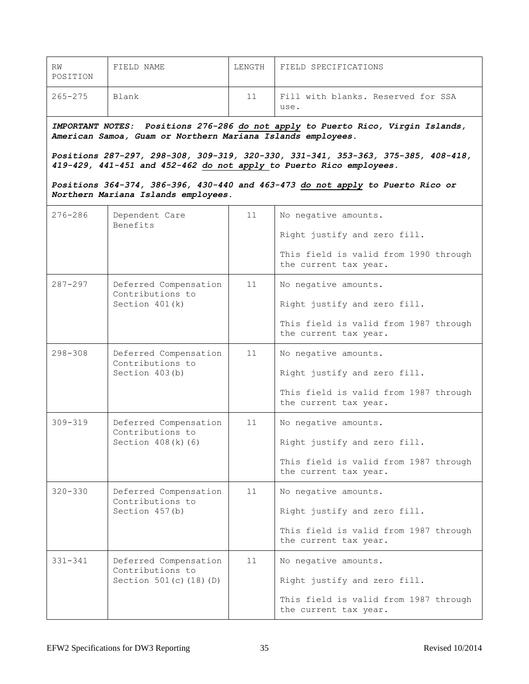| RW<br>POSITION | FIELD NAME                                                                                         | LENGTH | FIELD SPECIFICATIONS                                                                                                                                                                                                                                                                                                          |
|----------------|----------------------------------------------------------------------------------------------------|--------|-------------------------------------------------------------------------------------------------------------------------------------------------------------------------------------------------------------------------------------------------------------------------------------------------------------------------------|
| $265 - 275$    | Blank                                                                                              | 11     | Fill with blanks. Reserved for SSA<br>use.                                                                                                                                                                                                                                                                                    |
|                | American Samoa, Guam or Northern Mariana Islands employees.<br>Northern Mariana Islands employees. |        | IMPORTANT NOTES: Positions 276-286 do not apply to Puerto Rico, Virgin Islands,<br>Positions 287-297, 298-308, 309-319, 320-330, 331-341, 353-363, 375-385, 408-418,<br>419-429, 441-451 and 452-462 do not apply to Puerto Rico employees.<br>Positions 364-374, 386-396, 430-440 and 463-473 do not apply to Puerto Rico or |
| $276 - 286$    | Dependent Care<br>Benefits                                                                         | 11     | No negative amounts.<br>Right justify and zero fill.<br>This field is valid from 1990 through<br>the current tax year.                                                                                                                                                                                                        |
| $287 - 297$    | Deferred Compensation<br>Contributions to<br>Section $401(k)$                                      | 11     | No negative amounts.<br>Right justify and zero fill.<br>This field is valid from 1987 through<br>the current tax year.                                                                                                                                                                                                        |
| $298 - 308$    | Deferred Compensation<br>Contributions to<br>Section 403(b)                                        | 11     | No negative amounts.<br>Right justify and zero fill.<br>This field is valid from 1987 through<br>the current tax year.                                                                                                                                                                                                        |
| $309 - 319$    | Deferred Compensation<br>Contributions to<br>Section $408(k)$ (6)                                  | 11     | No negative amounts.<br>Right justify and zero fill.<br>This field is valid from 1987 through<br>the current tax year.                                                                                                                                                                                                        |
| $320 - 330$    | Deferred Compensation<br>Contributions to<br>Section 457(b)                                        | 11     | No negative amounts.<br>Right justify and zero fill.<br>This field is valid from 1987 through<br>the current tax year.                                                                                                                                                                                                        |
| $331 - 341$    | Deferred Compensation<br>Contributions to<br>Section 501(c) (18) (D)                               | 11     | No negative amounts.<br>Right justify and zero fill.<br>This field is valid from 1987 through<br>the current tax year.                                                                                                                                                                                                        |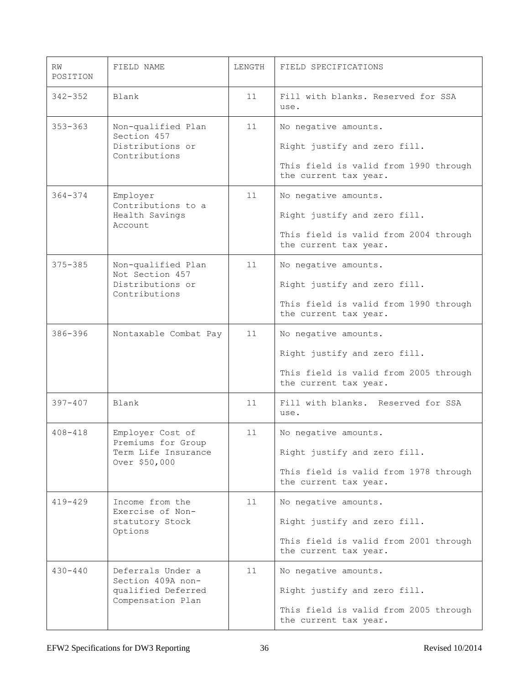| RW<br>POSITION | FIELD NAME                                                                        | LENGTH | FIELD SPECIFICATIONS                                                                                                   |
|----------------|-----------------------------------------------------------------------------------|--------|------------------------------------------------------------------------------------------------------------------------|
| $342 - 352$    | Blank                                                                             | 11     | Fill with blanks. Reserved for SSA<br>use.                                                                             |
| $353 - 363$    | Non-qualified Plan<br>Section 457<br>Distributions or<br>Contributions            | 11     | No negative amounts.<br>Right justify and zero fill.<br>This field is valid from 1990 through<br>the current tax year. |
| $364 - 374$    | Employer<br>Contributions to a<br>Health Savings<br>Account                       | 11     | No negative amounts.<br>Right justify and zero fill.<br>This field is valid from 2004 through<br>the current tax year. |
| $375 - 385$    | Non-qualified Plan<br>Not Section 457<br>Distributions or<br>Contributions        | 11     | No negative amounts.<br>Right justify and zero fill.<br>This field is valid from 1990 through<br>the current tax year. |
| $386 - 396$    | Nontaxable Combat Pay                                                             | 11     | No negative amounts.<br>Right justify and zero fill.<br>This field is valid from 2005 through<br>the current tax year. |
| $397 - 407$    | Blank                                                                             | 11     | Fill with blanks. Reserved for SSA<br>use.                                                                             |
| $408 - 418$    | Employer Cost of<br>Premiums for Group<br>Term Life Insurance<br>Over \$50,000    | 11     | No negative amounts.<br>Right justify and zero fill.<br>This field is valid from 1978 through<br>the current tax year. |
| $419 - 429$    | Income from the<br>Exercise of Non-<br>statutory Stock<br>Options                 | 11     | No negative amounts.<br>Right justify and zero fill.<br>This field is valid from 2001 through<br>the current tax year. |
| $430 - 440$    | Deferrals Under a<br>Section 409A non-<br>qualified Deferred<br>Compensation Plan | 11     | No negative amounts.<br>Right justify and zero fill.<br>This field is valid from 2005 through<br>the current tax year. |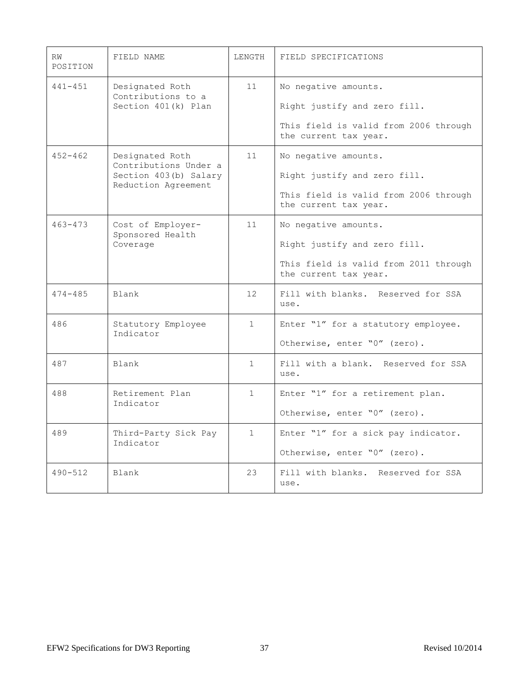| RW<br>POSITION | FIELD NAME                                                                               | LENGTH          | FIELD SPECIFICATIONS                                                                                                   |
|----------------|------------------------------------------------------------------------------------------|-----------------|------------------------------------------------------------------------------------------------------------------------|
| $441 - 451$    | Designated Roth<br>Contributions to a<br>Section 401(k) Plan                             | 11              | No negative amounts.<br>Right justify and zero fill.<br>This field is valid from 2006 through<br>the current tax year. |
| $452 - 462$    | Designated Roth<br>Contributions Under a<br>Section 403(b) Salary<br>Reduction Agreement | 11              | No negative amounts.<br>Right justify and zero fill.<br>This field is valid from 2006 through<br>the current tax year. |
| $463 - 473$    | Cost of Employer-<br>Sponsored Health<br>Coverage                                        | 11              | No negative amounts.<br>Right justify and zero fill.<br>This field is valid from 2011 through<br>the current tax year. |
| $474 - 485$    | Blank                                                                                    | 12 <sup>2</sup> | Fill with blanks. Reserved for SSA<br>use.                                                                             |
| 486            | Statutory Employee<br>Indicator                                                          | $\mathbf{1}$    | Enter "1" for a statutory employee.<br>Otherwise, enter "0" (zero).                                                    |
| 487            | Blank                                                                                    | $\mathbf{1}$    | Fill with a blank. Reserved for SSA<br>use.                                                                            |
| 488            | Retirement Plan<br>Indicator                                                             | $\mathbf{1}$    | Enter "1" for a retirement plan.<br>Otherwise, enter "0" (zero).                                                       |
| 489            | Third-Party Sick Pay<br>Indicator                                                        | $\mathbf{1}$    | Enter "1" for a sick pay indicator.<br>Otherwise, enter "0" (zero).                                                    |
| $490 - 512$    | Blank                                                                                    | 23              | Fill with blanks. Reserved for SSA<br>use.                                                                             |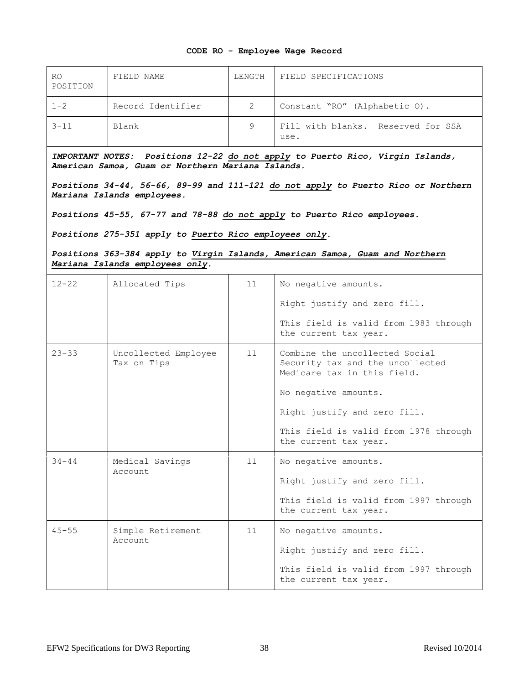### **CODE RO - Employee Wage Record**

| R0<br>POSITION | FIELD NAME        | LENGTH | FIELD SPECIFICATIONS                       |
|----------------|-------------------|--------|--------------------------------------------|
| $1 - 2$        | Record Identifier | 2      | Constant "RO" (Alphabetic O).              |
| $3 - 11$       | Blank             | 9      | Fill with blanks. Reserved for SSA<br>use. |

*IMPORTANT NOTES: Positions 12-22 do not apply to Puerto Rico, Virgin Islands, American Samoa, Guam or Northern Mariana Islands.*

*Positions 34-44, 56-66, 89-99 and 111-121 do not apply to Puerto Rico or Northern Mariana Islands employees.*

*Positions 45-55, 67-77 and 78-88 do not apply to Puerto Rico employees.*

*Positions 275-351 apply to Puerto Rico employees only.*

*Positions 363-384 apply to Virgin Islands, American Samoa, Guam and Northern Mariana Islands employees only.*

| $12 - 22$ | Allocated Tips                      | 11 | No negative amounts.<br>Right justify and zero fill.<br>This field is valid from 1983 through<br>the current tax year.                                                                                                      |
|-----------|-------------------------------------|----|-----------------------------------------------------------------------------------------------------------------------------------------------------------------------------------------------------------------------------|
| $23 - 33$ | Uncollected Employee<br>Tax on Tips | 11 | Combine the uncollected Social<br>Security tax and the uncollected<br>Medicare tax in this field.<br>No negative amounts.<br>Right justify and zero fill.<br>This field is valid from 1978 through<br>the current tax year. |
| $34 - 44$ | Medical Savings<br>Account.         | 11 | No negative amounts.<br>Right justify and zero fill.<br>This field is valid from 1997 through<br>the current tax year.                                                                                                      |
| $45 - 55$ | Simple Retirement<br>Account.       | 11 | No negative amounts.<br>Right justify and zero fill.<br>This field is valid from 1997 through<br>the current tax year.                                                                                                      |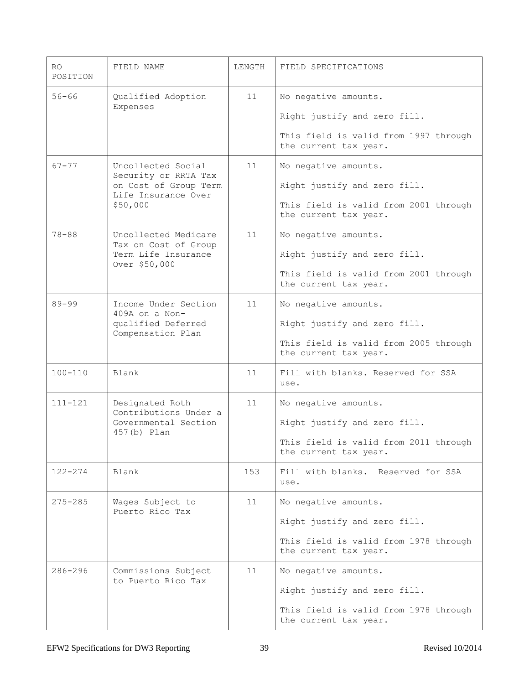| RO.<br>POSITION | FIELD NAME                                                                                             | LENGTH | FIELD SPECIFICATIONS                                                                                                   |
|-----------------|--------------------------------------------------------------------------------------------------------|--------|------------------------------------------------------------------------------------------------------------------------|
| $56 - 66$       | Qualified Adoption<br>Expenses                                                                         | 11     | No negative amounts.<br>Right justify and zero fill.<br>This field is valid from 1997 through<br>the current tax year. |
| $67 - 77$       | Uncollected Social<br>Security or RRTA Tax<br>on Cost of Group Term<br>Life Insurance Over<br>\$50,000 | 11     | No negative amounts.<br>Right justify and zero fill.<br>This field is valid from 2001 through<br>the current tax year. |
| $78 - 88$       | Uncollected Medicare<br>Tax on Cost of Group<br>Term Life Insurance<br>Over \$50,000                   | 11     | No negative amounts.<br>Right justify and zero fill.<br>This field is valid from 2001 through<br>the current tax year. |
| $89 - 99$       | Income Under Section<br>$409A$ on a Non-<br>qualified Deferred<br>Compensation Plan                    | 11     | No negative amounts.<br>Right justify and zero fill.<br>This field is valid from 2005 through<br>the current tax year. |
| $100 - 110$     | Blank                                                                                                  | 11     | Fill with blanks. Reserved for SSA<br>use.                                                                             |
| $111 - 121$     | Designated Roth<br>Contributions Under a<br>Governmental Section<br>457(b) Plan                        | 11     | No negative amounts.<br>Right justify and zero fill.<br>This field is valid from 2011 through<br>the current tax year. |
| $122 - 274$     | Blank                                                                                                  | 153    | Fill with blanks. Reserved for SSA<br>use.                                                                             |
| 275-285         | Wages Subject to<br>Puerto Rico Tax                                                                    | 11     | No negative amounts.<br>Right justify and zero fill.<br>This field is valid from 1978 through<br>the current tax year. |
| $286 - 296$     | Commissions Subject<br>to Puerto Rico Tax                                                              | 11     | No negative amounts.<br>Right justify and zero fill.<br>This field is valid from 1978 through<br>the current tax year. |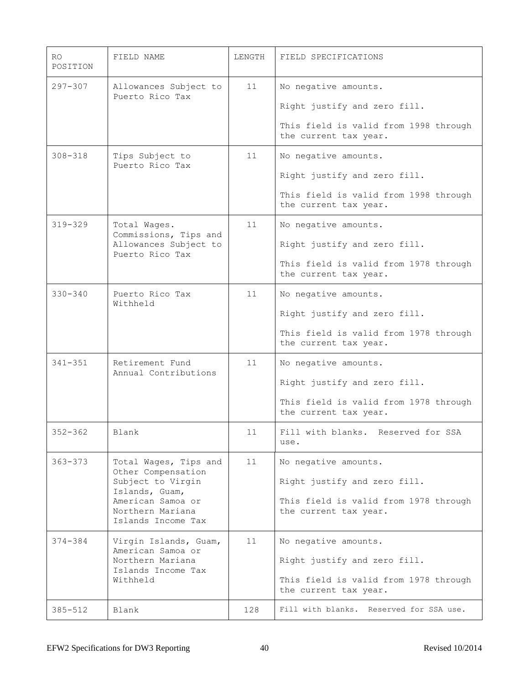| RO<br>POSITION | FIELD NAME                                                  | LENGTH | FIELD SPECIFICATIONS                                           |
|----------------|-------------------------------------------------------------|--------|----------------------------------------------------------------|
| $297 - 307$    | Allowances Subject to                                       | 11     | No negative amounts.                                           |
|                | Puerto Rico Tax                                             |        | Right justify and zero fill.                                   |
|                |                                                             |        | This field is valid from 1998 through<br>the current tax year. |
| $308 - 318$    | Tips Subject to<br>Puerto Rico Tax                          | 11     | No negative amounts.                                           |
|                |                                                             |        | Right justify and zero fill.                                   |
|                |                                                             |        | This field is valid from 1998 through<br>the current tax year. |
| $319 - 329$    | Total Wages.<br>Commissions, Tips and                       | 11     | No negative amounts.                                           |
|                | Allowances Subject to<br>Puerto Rico Tax                    |        | Right justify and zero fill.                                   |
|                |                                                             |        | This field is valid from 1978 through<br>the current tax year. |
| $330 - 340$    | Puerto Rico Tax<br>Withheld                                 | 11     | No negative amounts.                                           |
|                |                                                             |        | Right justify and zero fill.                                   |
|                |                                                             |        | This field is valid from 1978 through<br>the current tax year. |
| $341 - 351$    | Retirement Fund<br>Annual Contributions                     | 11     | No negative amounts.                                           |
|                |                                                             |        | Right justify and zero fill.                                   |
|                |                                                             |        | This field is valid from 1978 through<br>the current tax year. |
| $352 - 362$    | Blank                                                       | 11     | Fill with blanks. Reserved for SSA<br>use.                     |
| $363 - 373$    | Total Wages, Tips and                                       | 11     | No negative amounts.                                           |
|                | Other Compensation<br>Subject to Virgin<br>Islands, Guam,   |        | Right justify and zero fill.                                   |
|                | American Samoa or<br>Northern Mariana<br>Islands Income Tax |        | This field is valid from 1978 through<br>the current tax year. |
| $374 - 384$    | Virgin Islands, Guam,                                       | 11     | No negative amounts.                                           |
|                | American Samoa or<br>Northern Mariana                       |        | Right justify and zero fill.                                   |
|                | Islands Income Tax<br>Withheld                              |        | This field is valid from 1978 through<br>the current tax year. |
| $385 - 512$    | Blank                                                       | 128    | Fill with blanks. Reserved for SSA use.                        |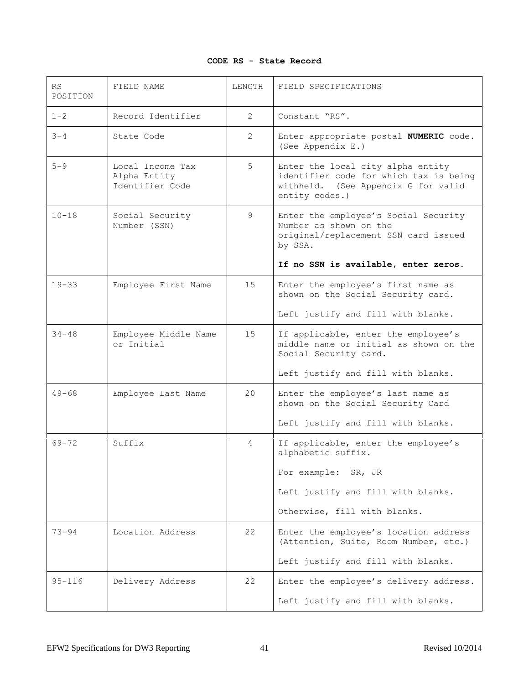# **CODE RS - State Record**

| RS<br>POSITION | FIELD NAME                                          | LENGTH          | FIELD SPECIFICATIONS                                                                                                                 |
|----------------|-----------------------------------------------------|-----------------|--------------------------------------------------------------------------------------------------------------------------------------|
| $1 - 2$        | Record Identifier                                   | 2               | Constant "RS".                                                                                                                       |
| $3 - 4$        | State Code                                          | 2               | Enter appropriate postal NUMERIC code.<br>(See Appendix E.)                                                                          |
| $5 - 9$        | Local Income Tax<br>Alpha Entity<br>Identifier Code | 5               | Enter the local city alpha entity<br>identifier code for which tax is being<br>withheld. (See Appendix G for valid<br>entity codes.) |
| $10 - 18$      | Social Security<br>Number (SSN)                     | 9               | Enter the employee's Social Security<br>Number as shown on the<br>original/replacement SSN card issued<br>by SSA.                    |
|                |                                                     |                 | If no SSN is available, enter zeros.                                                                                                 |
| $19 - 33$      | Employee First Name                                 | 15              | Enter the employee's first name as<br>shown on the Social Security card.                                                             |
|                |                                                     |                 | Left justify and fill with blanks.                                                                                                   |
| $34 - 48$      | Employee Middle Name<br>or Initial                  | 15              | If applicable, enter the employee's<br>middle name or initial as shown on the<br>Social Security card.                               |
|                |                                                     |                 | Left justify and fill with blanks.                                                                                                   |
| $49 - 68$      | Employee Last Name                                  | 20 <sup>°</sup> | Enter the employee's last name as<br>shown on the Social Security Card                                                               |
|                |                                                     |                 | Left justify and fill with blanks.                                                                                                   |
| $69 - 72$      | Suffix                                              | $\overline{4}$  | If applicable, enter the employee's<br>alphabetic suffix.                                                                            |
|                |                                                     |                 | For example: SR, JR                                                                                                                  |
|                |                                                     |                 | Left justify and fill with blanks.                                                                                                   |
|                |                                                     |                 | Otherwise, fill with blanks.                                                                                                         |
| 73-94          | Location Address                                    | 22              | Enter the employee's location address<br>(Attention, Suite, Room Number, etc.)                                                       |
|                |                                                     |                 | Left justify and fill with blanks.                                                                                                   |
| $95 - 116$     | Delivery Address                                    | 22              | Enter the employee's delivery address.                                                                                               |
|                |                                                     |                 | Left justify and fill with blanks.                                                                                                   |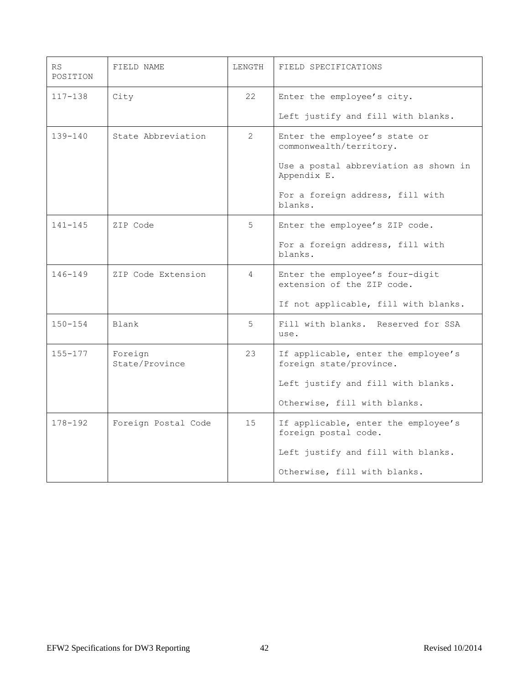| RS<br>POSITION | FIELD NAME                | LENGTH         | FIELD SPECIFICATIONS                                           |
|----------------|---------------------------|----------------|----------------------------------------------------------------|
| $117 - 138$    | City                      | 22             | Enter the employee's city.                                     |
|                |                           |                | Left justify and fill with blanks.                             |
| $139 - 140$    | State Abbreviation        | $\mathfrak{L}$ | Enter the employee's state or<br>commonwealth/territory.       |
|                |                           |                | Use a postal abbreviation as shown in<br>Appendix E.           |
|                |                           |                | For a foreign address, fill with<br>blanks.                    |
| $141 - 145$    | ZIP Code                  | 5              | Enter the employee's ZIP code.                                 |
|                |                           |                | For a foreign address, fill with<br>blanks.                    |
| $146 - 149$    | ZIP Code Extension        | $\overline{4}$ | Enter the employee's four-digit<br>extension of the ZIP code.  |
|                |                           |                | If not applicable, fill with blanks.                           |
| $150 - 154$    | Blank                     | 5              | Fill with blanks. Reserved for SSA<br>use.                     |
| $155 - 177$    | Foreign<br>State/Province | 23             | If applicable, enter the employee's<br>foreign state/province. |
|                |                           |                | Left justify and fill with blanks.                             |
|                |                           |                | Otherwise, fill with blanks.                                   |
| $178 - 192$    | Foreign Postal Code       | 15             | If applicable, enter the employee's<br>foreign postal code.    |
|                |                           |                | Left justify and fill with blanks.                             |
|                |                           |                | Otherwise, fill with blanks.                                   |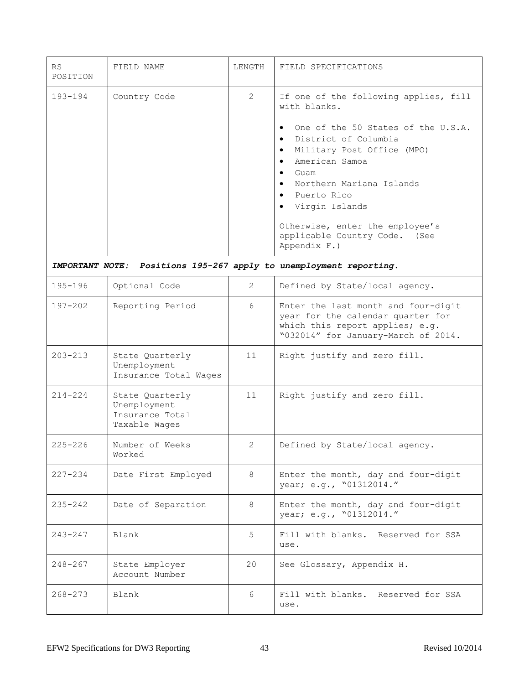| RS<br>POSITION                | FIELD NAME                                                          | LENGTH         | FIELD SPECIFICATIONS                                                                                                                                                                                                                                                                                                                                                                                                    |
|-------------------------------|---------------------------------------------------------------------|----------------|-------------------------------------------------------------------------------------------------------------------------------------------------------------------------------------------------------------------------------------------------------------------------------------------------------------------------------------------------------------------------------------------------------------------------|
| 193-194                       | Country Code                                                        | $\overline{2}$ | If one of the following applies, fill<br>with blanks.<br>One of the 50 States of the U.S.A.<br>$\bullet$<br>District of Columbia<br>$\bullet$<br>Military Post Office (MPO)<br>$\bullet$<br>American Samoa<br>$\bullet$<br>Guam<br>$\bullet$<br>Northern Mariana Islands<br>$\bullet$<br>Puerto Rico<br>$\bullet$<br>Virgin Islands<br>Otherwise, enter the employee's<br>applicable Country Code. (See<br>Appendix F.) |
| <i><b>IMPORTANT NOTE:</b></i> |                                                                     |                | Positions 195-267 apply to unemployment reporting.                                                                                                                                                                                                                                                                                                                                                                      |
| $195 - 196$                   | Optional Code                                                       | $\overline{2}$ | Defined by State/local agency.                                                                                                                                                                                                                                                                                                                                                                                          |
| $197 - 202$                   | Reporting Period                                                    | 6              | Enter the last month and four-digit<br>year for the calendar quarter for<br>which this report applies; e.g.<br>"032014" for January-March of 2014.                                                                                                                                                                                                                                                                      |
| $203 - 213$                   | State Quarterly<br>Unemployment<br>Insurance Total Wages            | 11             | Right justify and zero fill.                                                                                                                                                                                                                                                                                                                                                                                            |
| $214 - 224$                   | State Quarterly<br>Unemployment<br>Insurance Total<br>Taxable Wages | 11             | Right justify and zero fill.                                                                                                                                                                                                                                                                                                                                                                                            |
| $225 - 226$                   | Number of Weeks<br>Worked                                           | 2              | Defined by State/local agency.                                                                                                                                                                                                                                                                                                                                                                                          |
| $227 - 234$                   | Date First Employed                                                 | 8              | Enter the month, day and four-digit<br>year; e.g., "01312014."                                                                                                                                                                                                                                                                                                                                                          |
| $235 - 242$                   | Date of Separation                                                  | 8              | Enter the month, day and four-digit<br>year; e.g., "01312014."                                                                                                                                                                                                                                                                                                                                                          |
| $243 - 247$                   | Blank                                                               | 5              | Fill with blanks. Reserved for SSA<br>use.                                                                                                                                                                                                                                                                                                                                                                              |
| $248 - 267$                   | State Employer<br>Account Number                                    | 20             | See Glossary, Appendix H.                                                                                                                                                                                                                                                                                                                                                                                               |
| $268 - 273$                   | Blank                                                               | 6              | Fill with blanks. Reserved for SSA<br>use.                                                                                                                                                                                                                                                                                                                                                                              |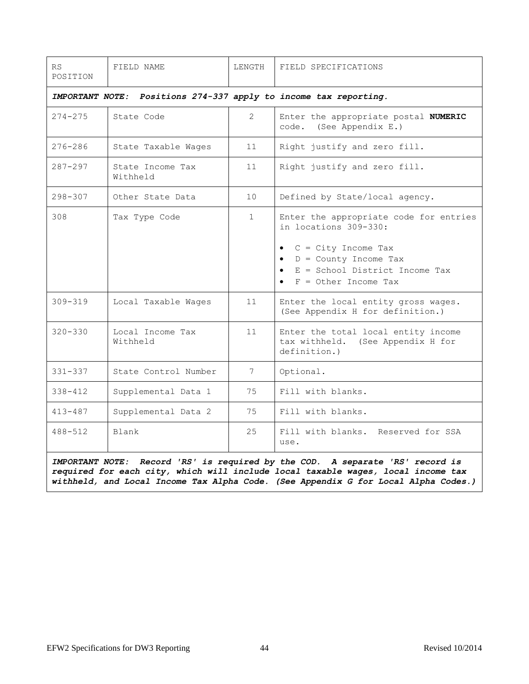| RS<br>POSITION                                                                                                                                                                     | FIELD NAME                   | LENGTH         | FIELD SPECIFICATIONS                                                                                                                                                                          |  |
|------------------------------------------------------------------------------------------------------------------------------------------------------------------------------------|------------------------------|----------------|-----------------------------------------------------------------------------------------------------------------------------------------------------------------------------------------------|--|
| <i><b>IMPORTANT NOTE:</b></i>                                                                                                                                                      |                              |                | Positions 274-337 apply to income tax reporting.                                                                                                                                              |  |
| $274 - 275$                                                                                                                                                                        | State Code                   | $\overline{2}$ | Enter the appropriate postal NUMERIC<br>code. (See Appendix E.)                                                                                                                               |  |
| $276 - 286$                                                                                                                                                                        | State Taxable Wages          | 11             | Right justify and zero fill.                                                                                                                                                                  |  |
| $287 - 297$                                                                                                                                                                        | State Income Tax<br>Withheld | 11             | Right justify and zero fill.                                                                                                                                                                  |  |
| $298 - 307$                                                                                                                                                                        | Other State Data             | 10             | Defined by State/local agency.                                                                                                                                                                |  |
| 308                                                                                                                                                                                | Tax Type Code                | $\mathbf{1}$   | Enter the appropriate code for entries<br>in locations 309-330:<br>$C = City Income Tax$<br>$\bullet$<br>$D =$ County Income Tax<br>E = School District Income Tax<br>$F = 0$ ther Income Tax |  |
| $309 - 319$                                                                                                                                                                        | Local Taxable Wages          | 11             | Enter the local entity gross wages.<br>(See Appendix H for definition.)                                                                                                                       |  |
| $320 - 330$                                                                                                                                                                        | Local Income Tax<br>Withheld | 11             | Enter the total local entity income<br>tax withheld. (See Appendix H for<br>definition.)                                                                                                      |  |
| $331 - 337$                                                                                                                                                                        | State Control Number         | 7              | Optional.                                                                                                                                                                                     |  |
| $338 - 412$                                                                                                                                                                        | Supplemental Data 1          | 75             | Fill with blanks.                                                                                                                                                                             |  |
| $413 - 487$                                                                                                                                                                        | Supplemental Data 2          | 75             | Fill with blanks.                                                                                                                                                                             |  |
| $488 - 512$                                                                                                                                                                        | Blank                        | 25             | Fill with blanks. Reserved for SSA<br>use.                                                                                                                                                    |  |
| Record 'RS' is required by the COD. A separate 'RS' record is<br><i><b>IMPORTANT NOTE:</b></i><br>required for each oity, which will include least toughts were a least income toy |                              |                |                                                                                                                                                                                               |  |

*required for each city, which will include local taxable wages, local income tax withheld, and Local Income Tax Alpha Code. (See Appendix G for Local Alpha Codes.)*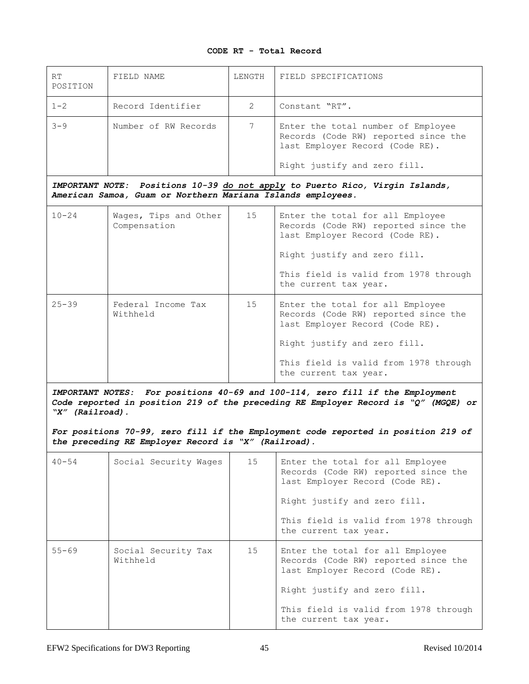# **CODE RT - Total Record**

| <b>RT</b><br>POSITION                                                                                                                                                                                       | FIELD NAME                                                  | LENGTH         | FIELD SPECIFICATIONS                                                                                                                          |  |
|-------------------------------------------------------------------------------------------------------------------------------------------------------------------------------------------------------------|-------------------------------------------------------------|----------------|-----------------------------------------------------------------------------------------------------------------------------------------------|--|
| $1 - 2$                                                                                                                                                                                                     | Record Identifier                                           | $\mathfrak{L}$ | Constant "RT".                                                                                                                                |  |
| $3 - 9$                                                                                                                                                                                                     | Number of RW Records                                        | 7              | Enter the total number of Employee<br>Records (Code RW) reported since the<br>last Employer Record (Code RE).<br>Right justify and zero fill. |  |
|                                                                                                                                                                                                             |                                                             |                | IMPORTANT NOTE: Positions 10-39 do not apply to Puerto Rico, Virgin Islands,                                                                  |  |
|                                                                                                                                                                                                             | American Samoa, Guam or Northern Mariana Islands employees. |                |                                                                                                                                               |  |
| $10 - 24$                                                                                                                                                                                                   | Wages, Tips and Other<br>Compensation                       | 15             | Enter the total for all Employee<br>Records (Code RW) reported since the<br>last Employer Record (Code RE).                                   |  |
|                                                                                                                                                                                                             |                                                             |                | Right justify and zero fill.                                                                                                                  |  |
|                                                                                                                                                                                                             |                                                             |                | This field is valid from 1978 through<br>the current tax year.                                                                                |  |
| $25 - 39$                                                                                                                                                                                                   | Federal Income Tax<br>Withheld                              | 15             | Enter the total for all Employee<br>Records (Code RW) reported since the<br>last Employer Record (Code RE).                                   |  |
|                                                                                                                                                                                                             |                                                             |                | Right justify and zero fill.                                                                                                                  |  |
|                                                                                                                                                                                                             |                                                             |                | This field is valid from 1978 through<br>the current tax year.                                                                                |  |
| For positions 40-69 and 100-114, zero fill if the Employment<br><i><b>IMPORTANT NOTES:</b></i><br>Code reported in position 219 of the preceding RE Employer Record is "Q" (MGQE) or<br>" $X''$ (Railroad). |                                                             |                |                                                                                                                                               |  |
|                                                                                                                                                                                                             | the preceding RE Employer Record is "X" (Railroad).         |                | For positions 70-99, zero fill if the Employment code reported in position 219 of                                                             |  |
| $40 - 54$                                                                                                                                                                                                   | Social Security Wages                                       | 15             | Enter the total for all Employee<br>Records (Code RW) reported since the<br>last Employer Record (Code RE).                                   |  |
|                                                                                                                                                                                                             |                                                             |                | Right justify and zero fill.                                                                                                                  |  |
|                                                                                                                                                                                                             |                                                             |                | This field is valid from 1978 through<br>the current tax year.                                                                                |  |
| $55 - 69$                                                                                                                                                                                                   | Social Security Tax<br>Withheld                             | 15             | Enter the total for all Employee<br>Records (Code RW) reported since the<br>last Employer Record (Code RE).                                   |  |
|                                                                                                                                                                                                             |                                                             |                | Right justify and zero fill.                                                                                                                  |  |
|                                                                                                                                                                                                             |                                                             |                | This field is valid from 1978 through<br>the current tax year.                                                                                |  |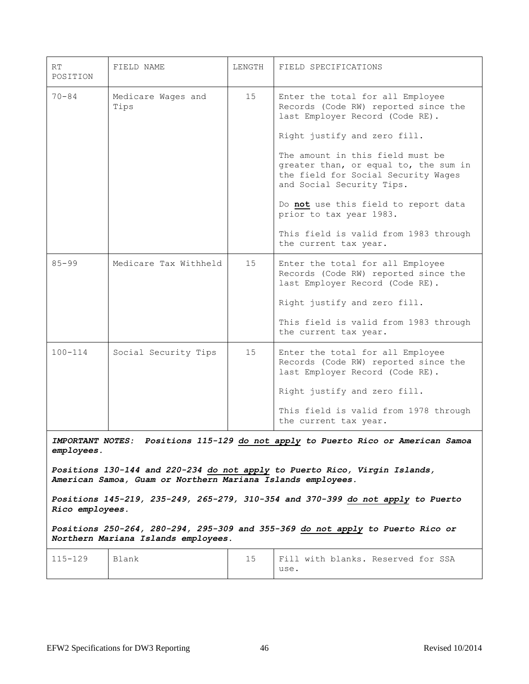| RT<br>POSITION                                                                                     | FIELD NAME                                                                                                                                | LENGTH | FIELD SPECIFICATIONS                                                                                                                          |  |  |
|----------------------------------------------------------------------------------------------------|-------------------------------------------------------------------------------------------------------------------------------------------|--------|-----------------------------------------------------------------------------------------------------------------------------------------------|--|--|
| $70 - 84$                                                                                          | Medicare Wages and<br>Tips                                                                                                                | 15     | Enter the total for all Employee<br>Records (Code RW) reported since the<br>last Employer Record (Code RE).                                   |  |  |
|                                                                                                    |                                                                                                                                           |        | Right justify and zero fill.                                                                                                                  |  |  |
|                                                                                                    |                                                                                                                                           |        | The amount in this field must be<br>greater than, or equal to, the sum in<br>the field for Social Security Wages<br>and Social Security Tips. |  |  |
|                                                                                                    |                                                                                                                                           |        | Do not use this field to report data<br>prior to tax year 1983.                                                                               |  |  |
|                                                                                                    |                                                                                                                                           |        | This field is valid from 1983 through<br>the current tax year.                                                                                |  |  |
| $85 - 99$                                                                                          | Medicare Tax Withheld                                                                                                                     | 15     | Enter the total for all Employee<br>Records (Code RW) reported since the<br>last Employer Record (Code RE).                                   |  |  |
|                                                                                                    |                                                                                                                                           |        | Right justify and zero fill.                                                                                                                  |  |  |
|                                                                                                    |                                                                                                                                           |        | This field is valid from 1983 through<br>the current tax year.                                                                                |  |  |
| $100 - 114$                                                                                        | Social Security Tips                                                                                                                      | 15     | Enter the total for all Employee<br>Records (Code RW) reported since the<br>last Employer Record (Code RE).                                   |  |  |
|                                                                                                    |                                                                                                                                           |        | Right justify and zero fill.                                                                                                                  |  |  |
|                                                                                                    |                                                                                                                                           |        | This field is valid from 1978 through<br>the current tax year.                                                                                |  |  |
| IMPORTANT NOTES:<br>employees.                                                                     |                                                                                                                                           |        | Positions 115-129 do not apply to Puerto Rico or American Samoa                                                                               |  |  |
|                                                                                                    | Positions 130-144 and 220-234 do not apply to Puerto Rico, Virgin Islands,<br>American Samoa, Guam or Northern Mariana Islands employees. |        |                                                                                                                                               |  |  |
| Positions 145-219, 235-249, 265-279, 310-354 and 370-399 do not apply to Puerto<br>Rico employees. |                                                                                                                                           |        |                                                                                                                                               |  |  |
|                                                                                                    | Positions 250-264, 280-294, 295-309 and 355-369 do not apply to Puerto Rico or<br>Northern Mariana Islands employees.                     |        |                                                                                                                                               |  |  |
| 115-129                                                                                            | Blank                                                                                                                                     | 15     | Fill with blanks. Reserved for SSA<br>use.                                                                                                    |  |  |
|                                                                                                    |                                                                                                                                           |        |                                                                                                                                               |  |  |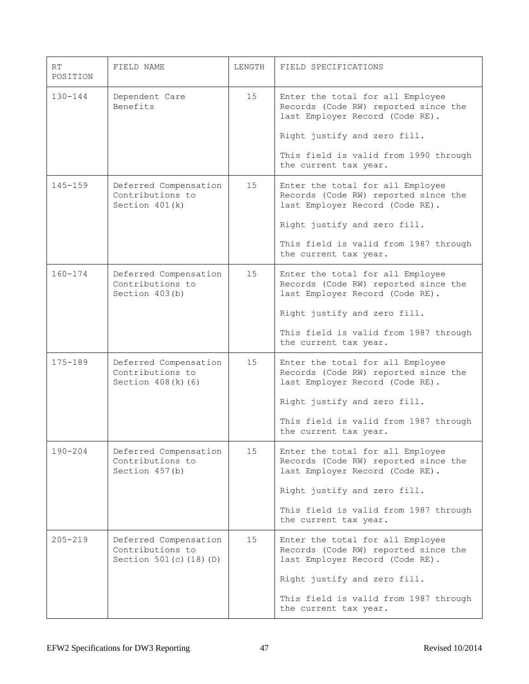| RT<br>POSITION | FIELD NAME                                                           | LENGTH | FIELD SPECIFICATIONS                                                                                        |
|----------------|----------------------------------------------------------------------|--------|-------------------------------------------------------------------------------------------------------------|
| $130 - 144$    | Dependent Care<br>Benefits                                           | 15     | Enter the total for all Employee<br>Records (Code RW) reported since the<br>last Employer Record (Code RE). |
|                |                                                                      |        | Right justify and zero fill.                                                                                |
|                |                                                                      |        | This field is valid from 1990 through<br>the current tax year.                                              |
| $145 - 159$    | Deferred Compensation<br>Contributions to<br>Section $401(k)$        | 15     | Enter the total for all Employee<br>Records (Code RW) reported since the<br>last Employer Record (Code RE). |
|                |                                                                      |        | Right justify and zero fill.                                                                                |
|                |                                                                      |        | This field is valid from 1987 through<br>the current tax year.                                              |
| $160 - 174$    | Deferred Compensation<br>Contributions to<br>Section 403(b)          | 15     | Enter the total for all Employee<br>Records (Code RW) reported since the<br>last Employer Record (Code RE). |
|                |                                                                      |        | Right justify and zero fill.                                                                                |
|                |                                                                      |        | This field is valid from 1987 through<br>the current tax year.                                              |
| 175-189        | Deferred Compensation<br>Contributions to<br>Section $408(k)$ (6)    | 15     | Enter the total for all Employee<br>Records (Code RW) reported since the<br>last Employer Record (Code RE). |
|                |                                                                      |        | Right justify and zero fill.                                                                                |
|                |                                                                      |        | This field is valid from 1987 through<br>the current tax year.                                              |
| $190 - 204$    | Deferred Compensation<br>Contributions to<br>Section 457(b)          | 15     | Enter the total for all Employee<br>Records (Code RW) reported since the<br>last Employer Record (Code RE). |
|                |                                                                      |        | Right justify and zero fill.                                                                                |
|                |                                                                      |        | This field is valid from 1987 through<br>the current tax year.                                              |
| $205 - 219$    | Deferred Compensation<br>Contributions to<br>Section 501(c) (18) (D) | 15     | Enter the total for all Employee<br>Records (Code RW) reported since the<br>last Employer Record (Code RE). |
|                |                                                                      |        | Right justify and zero fill.                                                                                |
|                |                                                                      |        | This field is valid from 1987 through<br>the current tax year.                                              |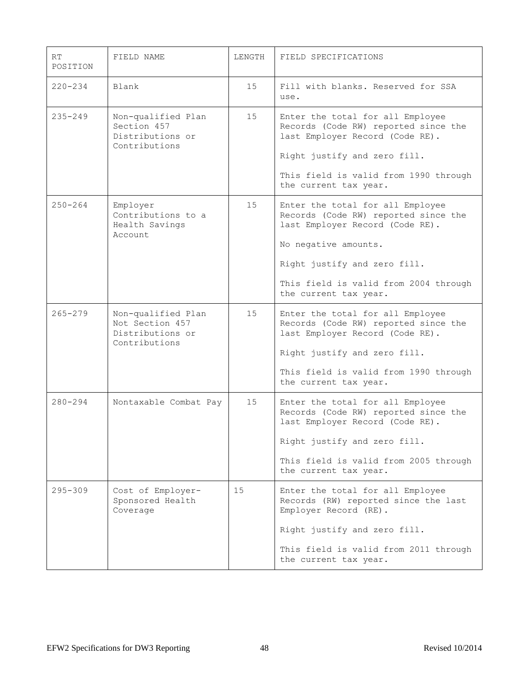| RT<br>POSITION | FIELD NAME                                                                 | LENGTH | FIELD SPECIFICATIONS                                                                                                                                                                                                                  |
|----------------|----------------------------------------------------------------------------|--------|---------------------------------------------------------------------------------------------------------------------------------------------------------------------------------------------------------------------------------------|
| $220 - 234$    | Blank                                                                      | 15     | Fill with blanks. Reserved for SSA<br>use.                                                                                                                                                                                            |
| $235 - 249$    | Non-qualified Plan<br>Section 457<br>Distributions or<br>Contributions     | 15     | Enter the total for all Employee<br>Records (Code RW) reported since the<br>last Employer Record (Code RE).<br>Right justify and zero fill.<br>This field is valid from 1990 through<br>the current tax year.                         |
| $250 - 264$    | Employer<br>Contributions to a<br>Health Savings<br>Account.               | 15     | Enter the total for all Employee<br>Records (Code RW) reported since the<br>last Employer Record (Code RE).<br>No negative amounts.<br>Right justify and zero fill.<br>This field is valid from 2004 through<br>the current tax year. |
| $265 - 279$    | Non-qualified Plan<br>Not Section 457<br>Distributions or<br>Contributions | 15     | Enter the total for all Employee<br>Records (Code RW) reported since the<br>last Employer Record (Code RE).<br>Right justify and zero fill.<br>This field is valid from 1990 through<br>the current tax year.                         |
| $280 - 294$    | Nontaxable Combat Pay                                                      | 15     | Enter the total for all Employee<br>Records (Code RW) reported since the<br>last Employer Record (Code RE).<br>Right justify and zero fill.<br>This field is valid from 2005 through<br>the current tax year.                         |
| $295 - 309$    | Cost of Employer-<br>Sponsored Health<br>Coverage                          | 15     | Enter the total for all Employee<br>Records (RW) reported since the last<br>Employer Record (RE).<br>Right justify and zero fill.<br>This field is valid from 2011 through<br>the current tax year.                                   |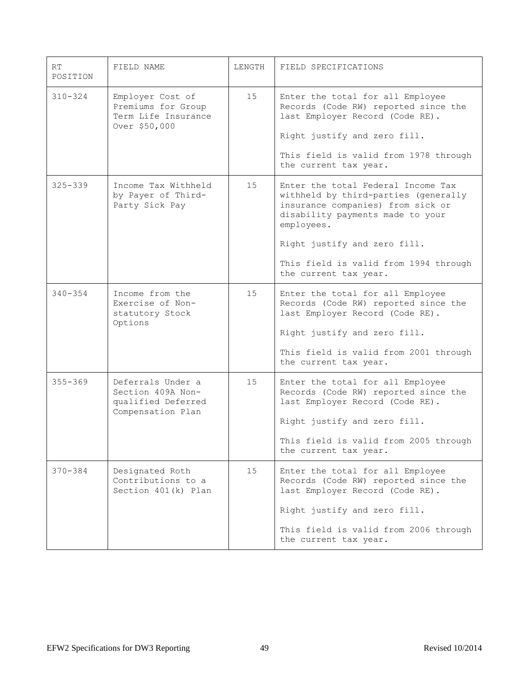| RT<br>POSITION | FIELD NAME                                                                        | LENGTH | FIELD SPECIFICATIONS                                                                                                                                                                                                                                                |
|----------------|-----------------------------------------------------------------------------------|--------|---------------------------------------------------------------------------------------------------------------------------------------------------------------------------------------------------------------------------------------------------------------------|
| $310 - 324$    | Employer Cost of<br>Premiums for Group<br>Term Life Insurance<br>Over \$50,000    | 15     | Enter the total for all Employee<br>Records (Code RW) reported since the<br>last Employer Record (Code RE).<br>Right justify and zero fill.<br>This field is valid from 1978 through<br>the current tax year.                                                       |
| $325 - 339$    | Income Tax Withheld<br>by Payer of Third-<br>Party Sick Pay                       | 15     | Enter the total Federal Income Tax<br>withheld by third-parties (generally<br>insurance companies) from sick or<br>disability payments made to your<br>employees.<br>Right justify and zero fill.<br>This field is valid from 1994 through<br>the current tax year. |
| $340 - 354$    | Income from the<br>Exercise of Non-<br>statutory Stock<br>Options                 | 15     | Enter the total for all Employee<br>Records (Code RW) reported since the<br>last Employer Record (Code RE).<br>Right justify and zero fill.<br>This field is valid from 2001 through<br>the current tax year.                                                       |
| $355 - 369$    | Deferrals Under a<br>Section 409A Non-<br>qualified Deferred<br>Compensation Plan | 15     | Enter the total for all Employee<br>Records (Code RW) reported since the<br>last Employer Record (Code RE).<br>Right justify and zero fill.<br>This field is valid from 2005 through<br>the current tax year.                                                       |
| 370-384        | Designated Roth<br>Contributions to a<br>Section 401(k) Plan                      | 15     | Enter the total for all Employee<br>Records (Code RW) reported since the<br>last Employer Record (Code RE).<br>Right justify and zero fill.<br>This field is valid from 2006 through<br>the current tax year.                                                       |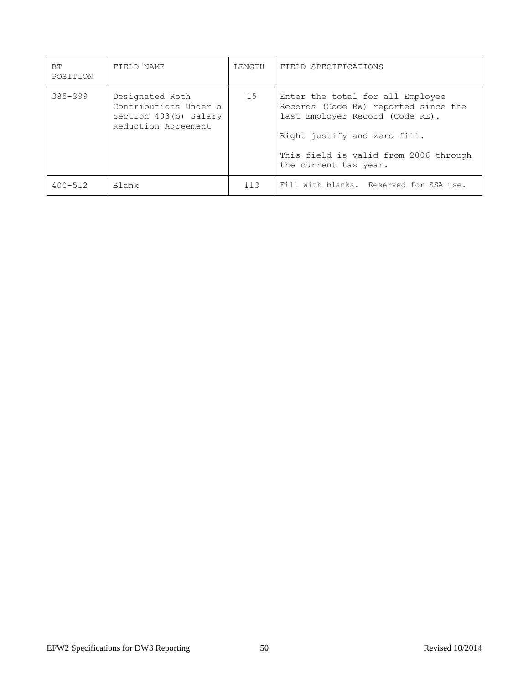| RT.<br>POSITION | FIELD NAME                                                                               | LENGTH | FIELD SPECIFICATIONS                                                                                                                                                                                          |
|-----------------|------------------------------------------------------------------------------------------|--------|---------------------------------------------------------------------------------------------------------------------------------------------------------------------------------------------------------------|
| $385 - 399$     | Designated Roth<br>Contributions Under a<br>Section 403(b) Salary<br>Reduction Agreement | 15     | Enter the total for all Employee<br>Records (Code RW) reported since the<br>last Employer Record (Code RE).<br>Right justify and zero fill.<br>This field is valid from 2006 through<br>the current tax year. |
| $400 - 512$     | Blank                                                                                    | 113    | Fill with blanks. Reserved for SSA use.                                                                                                                                                                       |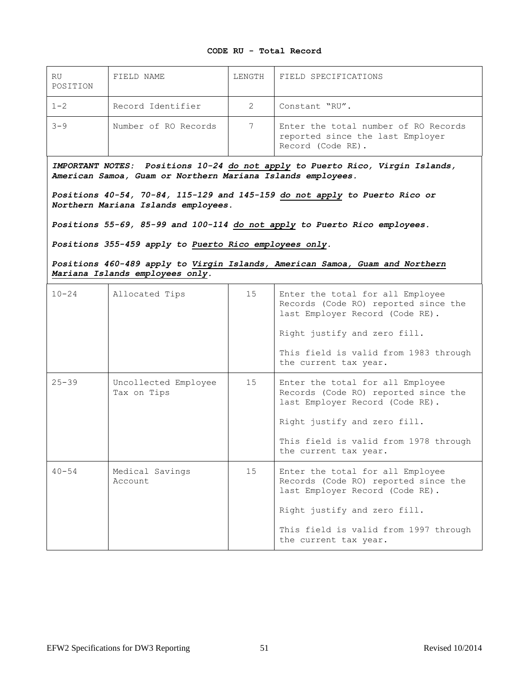### **CODE RU - Total Record**

| RU<br>POSITION | FIELD NAME           | LENGTH | FIELD SPECIFICATIONS                                                                          |
|----------------|----------------------|--------|-----------------------------------------------------------------------------------------------|
| $1 - 2$        | Record Identifier    |        | Constant "RU".                                                                                |
| $3 - 9$        | Number of RO Records |        | Enter the total number of RO Records<br>reported since the last Employer<br>Record (Code RE). |

*IMPORTANT NOTES: Positions 10-24 do not apply to Puerto Rico, Virgin Islands, American Samoa, Guam or Northern Mariana Islands employees.*

*Positions 40-54, 70-84, 115-129 and 145-159 do not apply to Puerto Rico or Northern Mariana Islands employees.*

*Positions 55-69, 85-99 and 100-114 do not apply to Puerto Rico employees.*

*Positions 355-459 apply to Puerto Rico employees only.*

*Positions 460-489 apply to Virgin Islands, American Samoa, Guam and Northern Mariana Islands employees only.*

| $10 - 24$ | Allocated Tips                      | 15 | Enter the total for all Employee<br>Records (Code RO) reported since the<br>last Employer Record (Code RE).<br>Right justify and zero fill.<br>This field is valid from 1983 through<br>the current tax year. |
|-----------|-------------------------------------|----|---------------------------------------------------------------------------------------------------------------------------------------------------------------------------------------------------------------|
| $25 - 39$ | Uncollected Employee<br>Tax on Tips | 15 | Enter the total for all Employee<br>Records (Code RO) reported since the<br>last Employer Record (Code RE).<br>Right justify and zero fill.<br>This field is valid from 1978 through<br>the current tax year. |
| $40 - 54$ | Medical Savings<br>Account          | 15 | Enter the total for all Employee<br>Records (Code RO) reported since the<br>last Employer Record (Code RE).<br>Right justify and zero fill.<br>This field is valid from 1997 through<br>the current tax year. |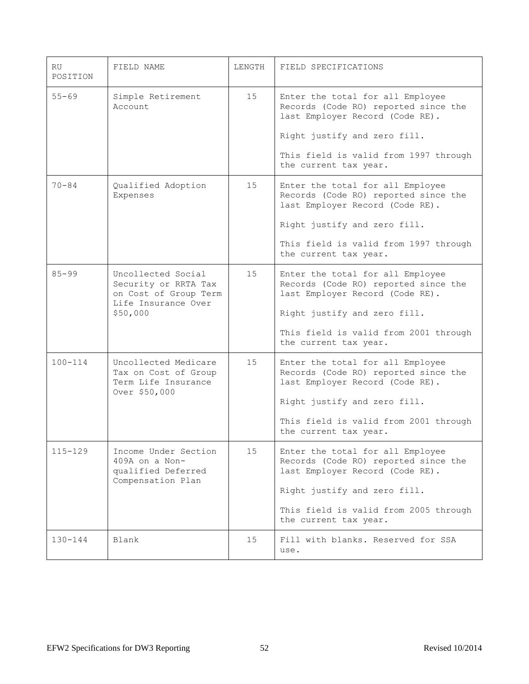| RU.<br>POSITION | FIELD NAME                                                                                             | LENGTH | FIELD SPECIFICATIONS                                                                                                                                                                                          |
|-----------------|--------------------------------------------------------------------------------------------------------|--------|---------------------------------------------------------------------------------------------------------------------------------------------------------------------------------------------------------------|
| $55 - 69$       | Simple Retirement<br>Account                                                                           | 15     | Enter the total for all Employee<br>Records (Code RO) reported since the<br>last Employer Record (Code RE).<br>Right justify and zero fill.<br>This field is valid from 1997 through<br>the current tax year. |
| $70 - 84$       | Qualified Adoption<br>Expenses                                                                         | 15     | Enter the total for all Employee<br>Records (Code RO) reported since the<br>last Employer Record (Code RE).<br>Right justify and zero fill.<br>This field is valid from 1997 through<br>the current tax year. |
| $85 - 99$       | Uncollected Social<br>Security or RRTA Tax<br>on Cost of Group Term<br>Life Insurance Over<br>\$50,000 | 15     | Enter the total for all Employee<br>Records (Code RO) reported since the<br>last Employer Record (Code RE).<br>Right justify and zero fill.<br>This field is valid from 2001 through<br>the current tax year. |
| $100 - 114$     | Uncollected Medicare<br>Tax on Cost of Group<br>Term Life Insurance<br>Over \$50,000                   | 15     | Enter the total for all Employee<br>Records (Code RO) reported since the<br>last Employer Record (Code RE).<br>Right justify and zero fill.<br>This field is valid from 2001 through<br>the current tax year. |
| $115 - 129$     | Income Under Section<br>409A on a Non-<br>qualified Deferred<br>Compensation Plan                      | 15     | Enter the total for all Employee<br>Records (Code RO) reported since the<br>last Employer Record (Code RE).<br>Right justify and zero fill.<br>This field is valid from 2005 through<br>the current tax year. |
| $130 - 144$     | Blank                                                                                                  | 15     | Fill with blanks. Reserved for SSA<br>use.                                                                                                                                                                    |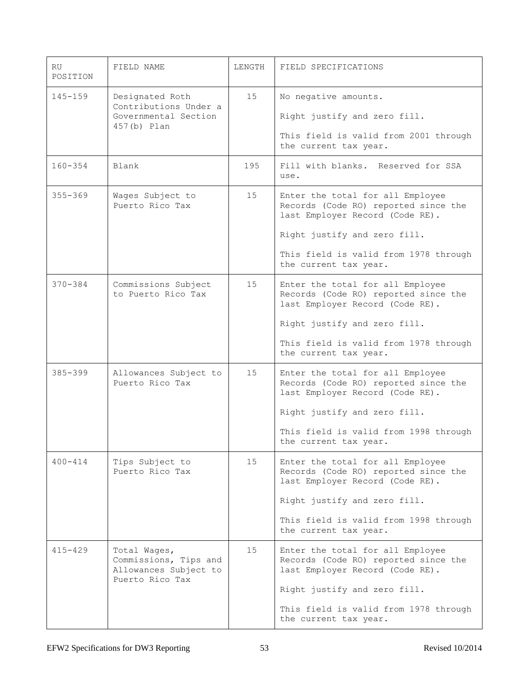| RU.<br>POSITION | FIELD NAME                                                                        | LENGTH | FIELD SPECIFICATIONS                                                                                                                                                                                          |
|-----------------|-----------------------------------------------------------------------------------|--------|---------------------------------------------------------------------------------------------------------------------------------------------------------------------------------------------------------------|
| $145 - 159$     | Designated Roth<br>Contributions Under a<br>Governmental Section<br>457(b) Plan   | 15     | No negative amounts.<br>Right justify and zero fill.<br>This field is valid from 2001 through<br>the current tax year.                                                                                        |
| $160 - 354$     | Blank                                                                             | 195    | Fill with blanks. Reserved for SSA<br>use.                                                                                                                                                                    |
| $355 - 369$     | Wages Subject to<br>Puerto Rico Tax                                               | 15     | Enter the total for all Employee<br>Records (Code RO) reported since the<br>last Employer Record (Code RE).<br>Right justify and zero fill.<br>This field is valid from 1978 through<br>the current tax year. |
| $370 - 384$     | Commissions Subject<br>to Puerto Rico Tax                                         | 15     | Enter the total for all Employee<br>Records (Code RO) reported since the<br>last Employer Record (Code RE).<br>Right justify and zero fill.<br>This field is valid from 1978 through<br>the current tax year. |
| $385 - 399$     | Allowances Subject to<br>Puerto Rico Tax                                          | 15     | Enter the total for all Employee<br>Records (Code RO) reported since the<br>last Employer Record (Code RE).<br>Right justify and zero fill.<br>This field is valid from 1998 through<br>the current tax year. |
| $400 - 414$     | Tips Subject to<br>Puerto Rico Tax                                                | 15     | Enter the total for all Employee<br>Records (Code RO) reported since the<br>last Employer Record (Code RE).<br>Right justify and zero fill.<br>This field is valid from 1998 through<br>the current tax year. |
| $415 - 429$     | Total Wages,<br>Commissions, Tips and<br>Allowances Subject to<br>Puerto Rico Tax | 15     | Enter the total for all Employee<br>Records (Code RO) reported since the<br>last Employer Record (Code RE).<br>Right justify and zero fill.<br>This field is valid from 1978 through<br>the current tax year. |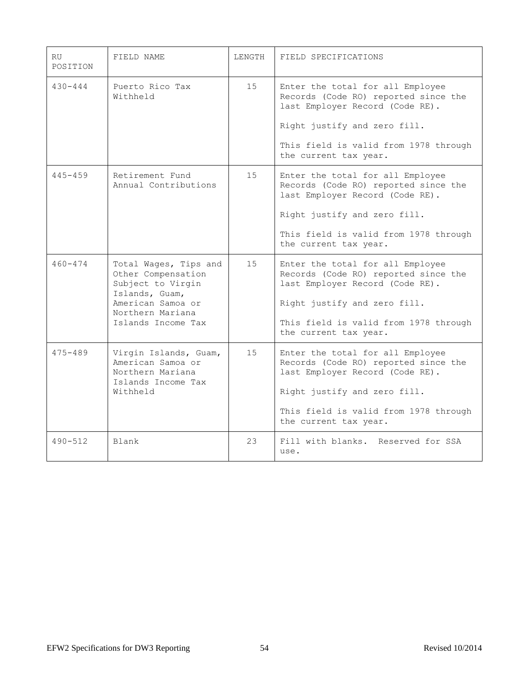| <b>RU</b><br>POSITION | FIELD NAME                                                                                                                                        | LENGTH | FIELD SPECIFICATIONS                                                                                                                                                                                          |
|-----------------------|---------------------------------------------------------------------------------------------------------------------------------------------------|--------|---------------------------------------------------------------------------------------------------------------------------------------------------------------------------------------------------------------|
| $430 - 444$           | Puerto Rico Tax<br>Withheld                                                                                                                       | 15     | Enter the total for all Employee<br>Records (Code RO) reported since the<br>last Employer Record (Code RE).<br>Right justify and zero fill.<br>This field is valid from 1978 through<br>the current tax year. |
| $445 - 459$           | Retirement Fund<br>Annual Contributions                                                                                                           | 15     | Enter the total for all Employee<br>Records (Code RO) reported since the<br>last Employer Record (Code RE).<br>Right justify and zero fill.<br>This field is valid from 1978 through<br>the current tax year. |
| $460 - 474$           | Total Wages, Tips and<br>Other Compensation<br>Subject to Virgin<br>Islands, Guam,<br>American Samoa or<br>Northern Mariana<br>Islands Income Tax | 15     | Enter the total for all Employee<br>Records (Code RO) reported since the<br>last Employer Record (Code RE).<br>Right justify and zero fill.<br>This field is valid from 1978 through<br>the current tax year. |
| $475 - 489$           | Virgin Islands, Guam,<br>American Samoa or<br>Northern Mariana<br>Islands Income Tax<br>Withheld                                                  | 15     | Enter the total for all Employee<br>Records (Code RO) reported since the<br>last Employer Record (Code RE).<br>Right justify and zero fill.<br>This field is valid from 1978 through<br>the current tax year. |
| $490 - 512$           | Blank                                                                                                                                             | 23     | Fill with blanks. Reserved for SSA<br>use.                                                                                                                                                                    |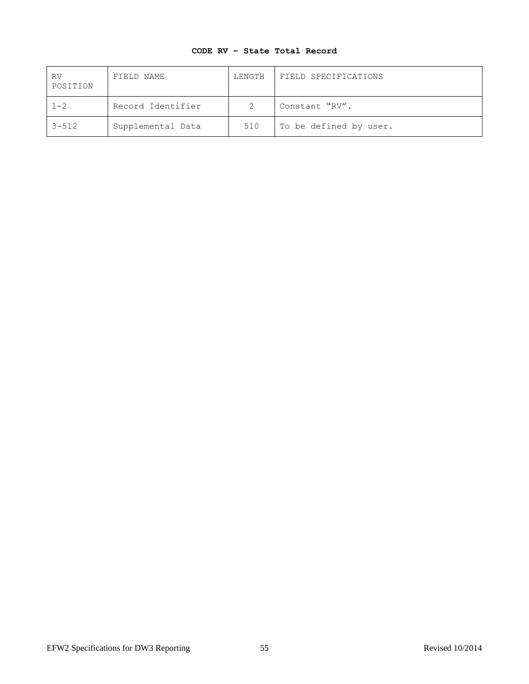# **CODE RV – State Total Record**

| RV<br>POSITION | FIELD NAME        | LENGTH | FIELD SPECIFICATIONS   |
|----------------|-------------------|--------|------------------------|
| $1 - 2$        | Record Identifier |        | Constant "RV".         |
| $3 - 512$      | Supplemental Data | 510    | To be defined by user. |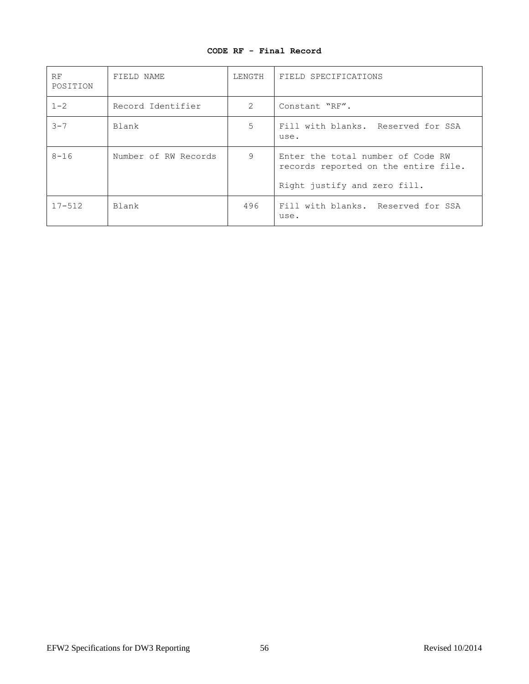|  |  |  |  | CODE RF - Final Record |
|--|--|--|--|------------------------|
|--|--|--|--|------------------------|

| RF<br>POSITION | FIELD NAME           | LENGTH        | FIELD SPECIFICATIONS                                                                                      |
|----------------|----------------------|---------------|-----------------------------------------------------------------------------------------------------------|
| $1 - 2$        | Record Identifier    | $\mathcal{L}$ | Constant "RF".                                                                                            |
| $3 - 7$        | Blank                | 5             | Fill with blanks. Reserved for SSA<br>use.                                                                |
| $8 - 16$       | Number of RW Records | 9             | Enter the total number of Code RW<br>records reported on the entire file.<br>Right justify and zero fill. |
| $17 - 512$     | Blank                | 496           | Fill with blanks. Reserved for SSA<br>use.                                                                |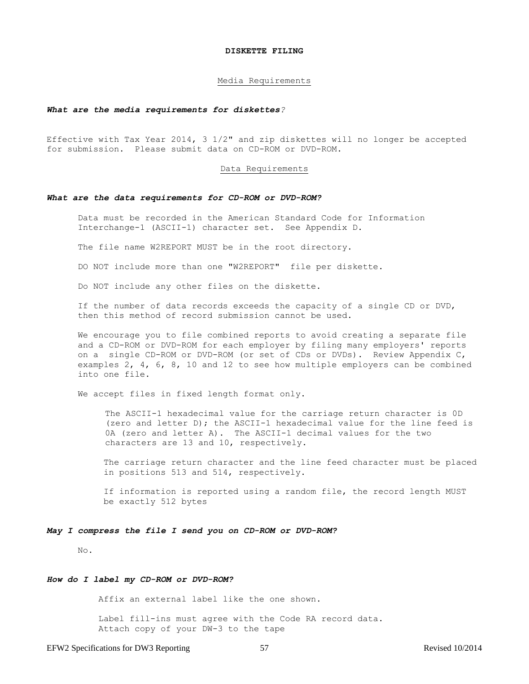#### **DISKETTE FILING**

#### Media Requirements

#### *What are the media requirements for diskettes?*

Effective with Tax Year 2014, 3 1/2" and zip diskettes will no longer be accepted for submission. Please submit data on CD-ROM or DVD-ROM.

#### Data Requirements

#### *What are the data requirements for CD-ROM or DVD-ROM?*

Data must be recorded in the American Standard Code for Information Interchange-1 (ASCII-1) character set. See Appendix D.

The file name W2REPORT MUST be in the root directory.

DO NOT include more than one "W2REPORT" file per diskette.

Do NOT include any other files on the diskette.

If the number of data records exceeds the capacity of a single CD or DVD, then this method of record submission cannot be used.

We encourage you to file combined reports to avoid creating a separate file and a CD-ROM or DVD-ROM for each employer by filing many employers' reports on a single CD-ROM or DVD-ROM (or set of CDs or DVDs). Review Appendix C, examples 2, 4, 6, 8, 10 and 12 to see how multiple employers can be combined into one file.

We accept files in fixed length format only.

The ASCII-1 hexadecimal value for the carriage return character is 0D (zero and letter D); the ASCII-1 hexadecimal value for the line feed is 0A (zero and letter A). The ASCII-1 decimal values for the two characters are 13 and 10, respectively.

The carriage return character and the line feed character must be placed in positions 513 and 514, respectively.

If information is reported using a random file, the record length MUST be exactly 512 bytes

#### *May I compress the file I send you on CD-ROM or DVD-ROM?*

No.

#### *How do I label my CD-ROM or DVD-ROM?*

Affix an external label like the one shown.

 Label fill-ins must agree with the Code RA record data. Attach copy of your DW-3 to the tape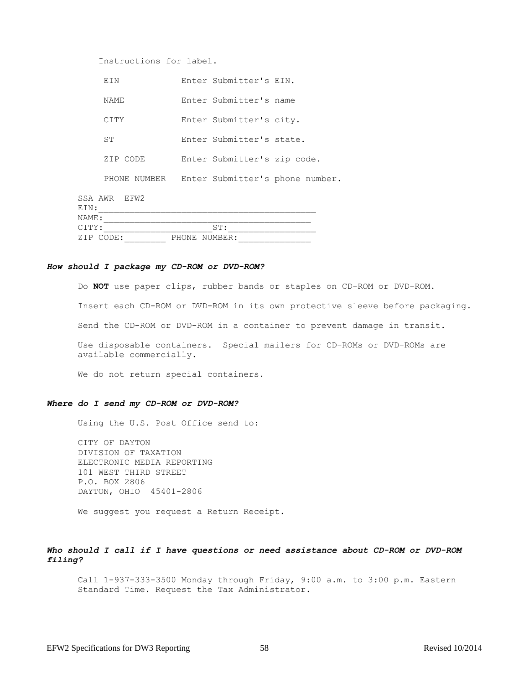| Instructions for label. |       |                             |                                 |
|-------------------------|-------|-----------------------------|---------------------------------|
| EIN                     |       | Enter Submitter's EIN.      |                                 |
| NAME                    |       | Enter Submitter's name      |                                 |
| CITY                    |       | Enter Submitter's city.     |                                 |
| ST.                     |       | Enter Submitter's state.    |                                 |
| ZIP CODE                |       | Enter Submitter's zip code. |                                 |
| PHONE NUMBER            |       |                             | Enter Submitter's phone number. |
| SSA AWR EFW2            |       |                             |                                 |
| EIN:                    |       |                             |                                 |
| NAME:                   |       |                             |                                 |
| CITY:                   |       | ST:                         |                                 |
| ZIP CODE:               | PHONE | NUMBER:                     |                                 |

#### *How should I package my CD-ROM or DVD-ROM?*

Do **NOT** use paper clips, rubber bands or staples on CD-ROM or DVD-ROM. Insert each CD-ROM or DVD-ROM in its own protective sleeve before packaging. Send the CD-ROM or DVD-ROM in a container to prevent damage in transit. Use disposable containers. Special mailers for CD-ROMs or DVD-ROMs are available commercially.

We do not return special containers.

#### *Where do I send my CD-ROM or DVD-ROM?*

Using the U.S. Post Office send to:

CITY OF DAYTON DIVISION OF TAXATION ELECTRONIC MEDIA REPORTING 101 WEST THIRD STREET P.O. BOX 2806 DAYTON, OHIO 45401-2806

We suggest you request a Return Receipt.

# *Who should I call if I have questions or need assistance about CD-ROM or DVD-ROM filing?*

Call 1-937-333-3500 Monday through Friday, 9:00 a.m. to 3:00 p.m. Eastern Standard Time. Request the Tax Administrator.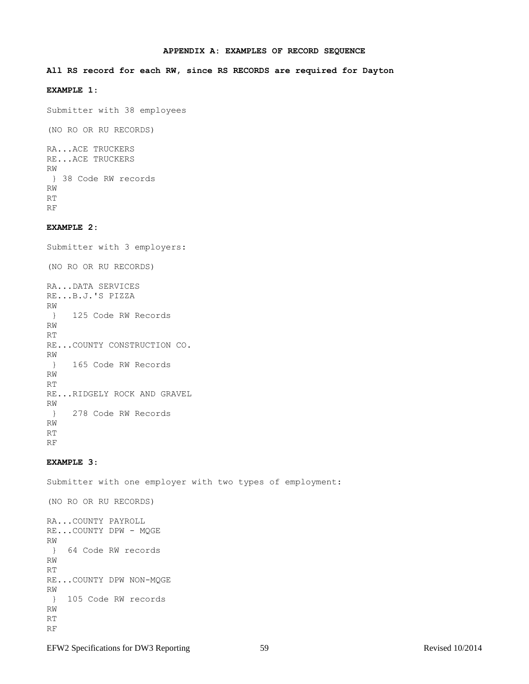#### **APPENDIX A: EXAMPLES OF RECORD SEQUENCE**

#### **All RS record for each RW, since RS RECORDS are required for Dayton**

# **EXAMPLE 1**:

Submitter with 38 employees

(NO RO OR RU RECORDS)

RA...ACE TRUCKERS RE...ACE TRUCKERS RW } 38 Code RW records RW RT RF

# **EXAMPLE 2:**

Submitter with 3 employers: (NO RO OR RU RECORDS) RA...DATA SERVICES RE...B.J.'S PIZZA RW } 125 Code RW Records RW RT RE...COUNTY CONSTRUCTION CO. RW } 165 Code RW Records RW RT RE...RIDGELY ROCK AND GRAVEL RW } 278 Code RW Records RW RT RF

### **EXAMPLE 3**:

Submitter with one employer with two types of employment:

(NO RO OR RU RECORDS) RA...COUNTY PAYROLL RE...COUNTY DPW - MQGE

RW } 64 Code RW records RW RT RE...COUNTY DPW NON-MQGE RW } 105 Code RW records RW RT RF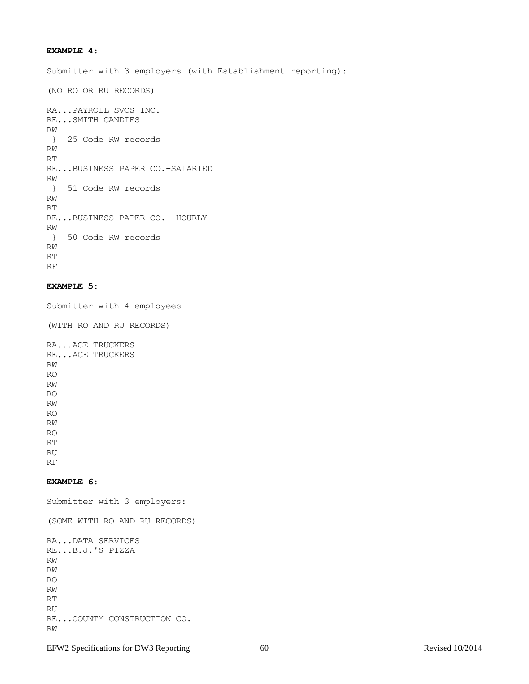# **EXAMPLE 4:**

Submitter with 3 employers (with Establishment reporting):

(NO RO OR RU RECORDS)

```
RA...PAYROLL SVCS INC.
RE...SMITH CANDIES
RW
} 25 Code RW records
RW
RT
RE...BUSINESS PAPER CO.-SALARIED
RW
} 51 Code RW records
RW
RT
RE...BUSINESS PAPER CO.- HOURLY
RW
} 50 Code RW records
RW
RT
RF
```
# **EXAMPLE 5:**

Submitter with 4 employees

(WITH RO AND RU RECORDS)

RA...ACE TRUCKERS RE...ACE TRUCKERS RW RO RW RO RW RO RW RO RT RU RF

### **EXAMPLE 6:**

Submitter with 3 employers:

(SOME WITH RO AND RU RECORDS)

```
RA...DATA SERVICES
RE...B.J.'S PIZZA
RW
RW
RO
RW
RT
RU
RE...COUNTY CONSTRUCTION CO.
RW
```
EFW2 Specifications for DW3 Reporting 60 60 Revised 10/2014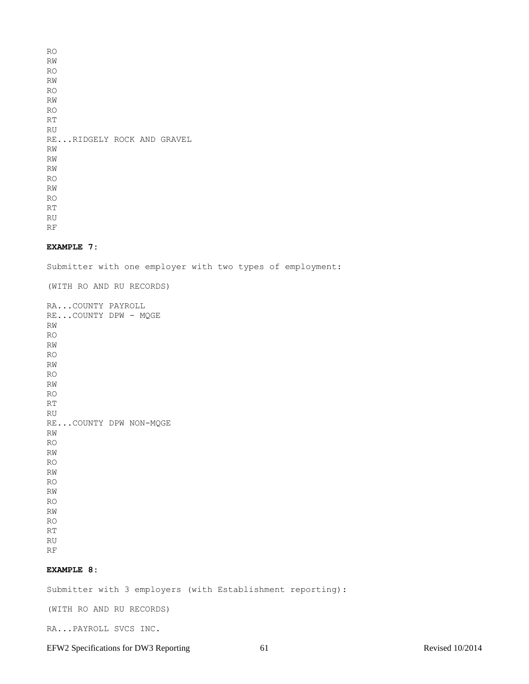RO RW RO RW RO RW RO RT RU RE...RIDGELY ROCK AND GRAVEL RW RW RW RO RW RO RT RU RF

### **EXAMPLE 7:**

Submitter with one employer with two types of employment:

(WITH RO AND RU RECORDS)

RA...COUNTY PAYROLL RE...COUNTY DPW - MQGE RW RO RW RO RW RO RW RO RT RU RE...COUNTY DPW NON-MQGE RW RO RW RO RW RO RW RO RW RO RT RU

RF

# **EXAMPLE 8:**

Submitter with 3 employers (with Establishment reporting):

(WITH RO AND RU RECORDS)

RA...PAYROLL SVCS INC.

EFW2 Specifications for DW3 Reporting 61 Revised 10/2014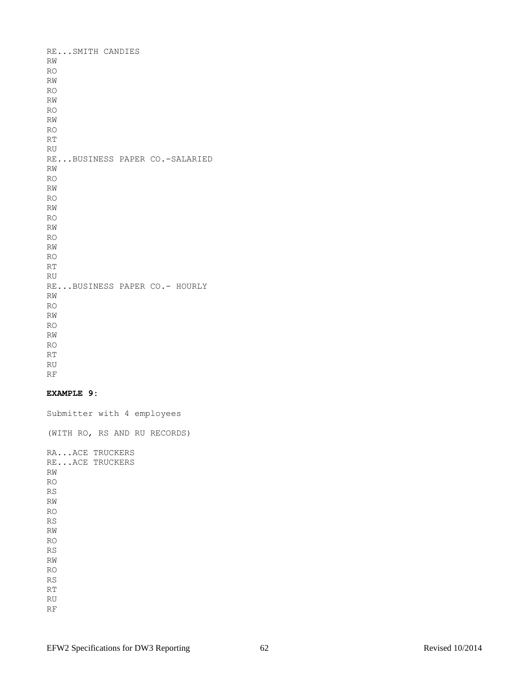RE...SMITH CANDIES RW RO RW RO RW RO RW RO RT RU RE...BUSINESS PAPER CO.-SALARIED RW RO RW RO RW RO RW RO RW RO RT RU RE...BUSINESS PAPER CO.- HOURLY RW RO RW RO RW RO  $\mathbb{R}\mathbb{T}$ RU RF

### **EXAMPLE 9:**

Submitter with 4 employees

(WITH RO, RS AND RU RECORDS)

RA...ACE TRUCKERS RE...ACE TRUCKERS RW RO RS RW RO RS RW RO RS RW RO RS RT RU

RF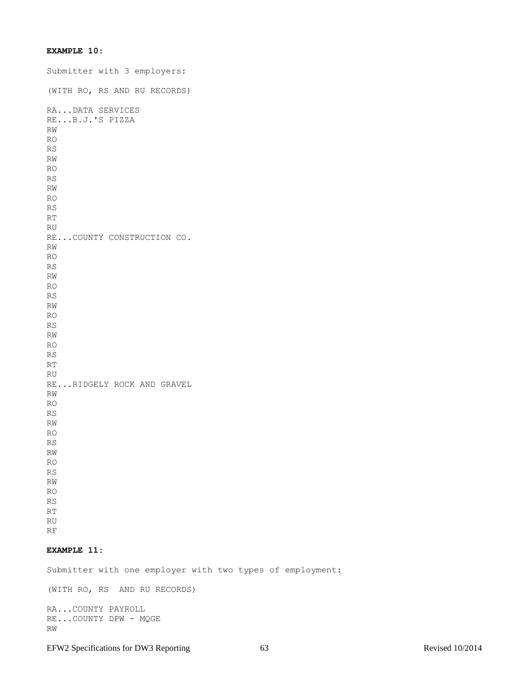# **EXAMPLE 10:**

Submitter with 3 employers: (WITH RO, RS AND RU RECORDS) RA...DATA SERVICES RE...B.J.'S PIZZA RW RO RS RW RO RS RW RO RS RT RU RE...COUNTY CONSTRUCTION CO. RW RO RS RW RO RS RW RO RS RW RO RS RT RU RE...RIDGELY ROCK AND GRAVEL RW RO RS RW RO RS RW RO RS RW RO RS RT RU

RF

# **EXAMPLE 11:**

Submitter with one employer with two types of employment:

(WITH RO, RS AND RU RECORDS)

RA...COUNTY PAYROLL RE...COUNTY DPW - MQGE RW

EFW2 Specifications for DW3 Reporting 63 Revised 10/2014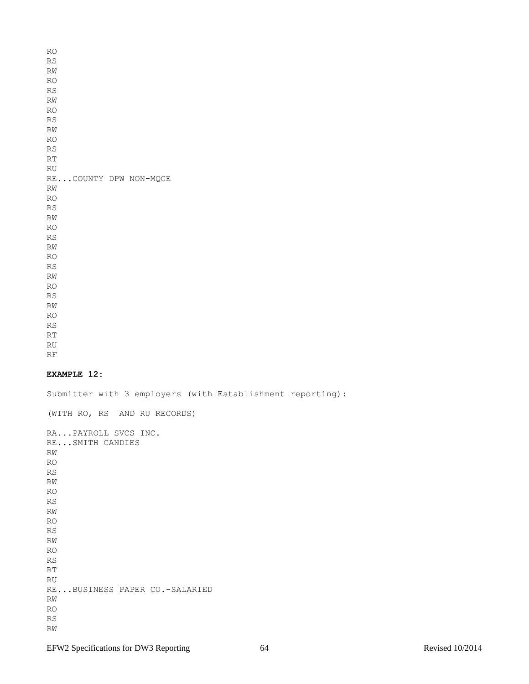RO RS RW RO RS RW RO RS RW RO RS RT RU RE...COUNTY DPW NON-MQGE RW RO RS RW RO RS RW RO RS RW RO RS RW RO RS RT RU

RF

## **EXAMPLE 12:**

Submitter with 3 employers (with Establishment reporting):

(WITH RO, RS AND RU RECORDS) RA...PAYROLL SVCS INC. RE...SMITH CANDIES RW RO RS RW RO RS RW RO RS RW RO RS RT RU RE...BUSINESS PAPER CO.-SALARIED RW RO RS RW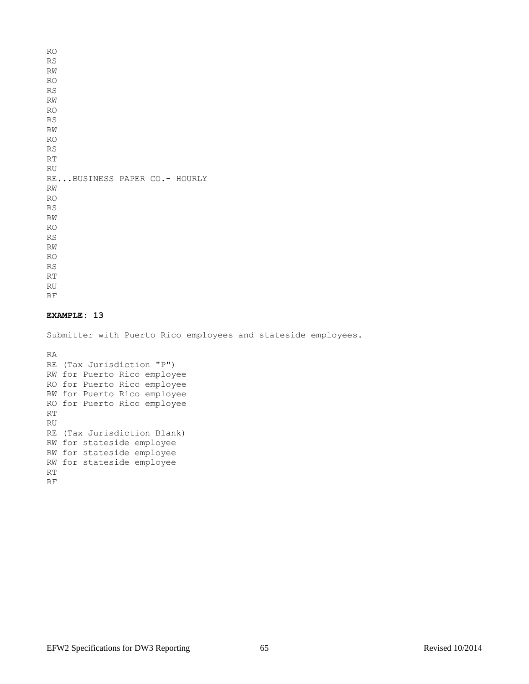RO RS RW RO RS RW RO RS RW RO RS RT RU RE...BUSINESS PAPER CO.- HOURLY RW RO RS RW RO RS RW RO RS RT RU RF

## **EXAMPLE: 13**

Submitter with Puerto Rico employees and stateside employees.

RA RE (Tax Jurisdiction "P") RW for Puerto Rico employee RO for Puerto Rico employee RW for Puerto Rico employee RO for Puerto Rico employee RT RU RE (Tax Jurisdiction Blank) RW for stateside employee RW for stateside employee RW for stateside employee RT RF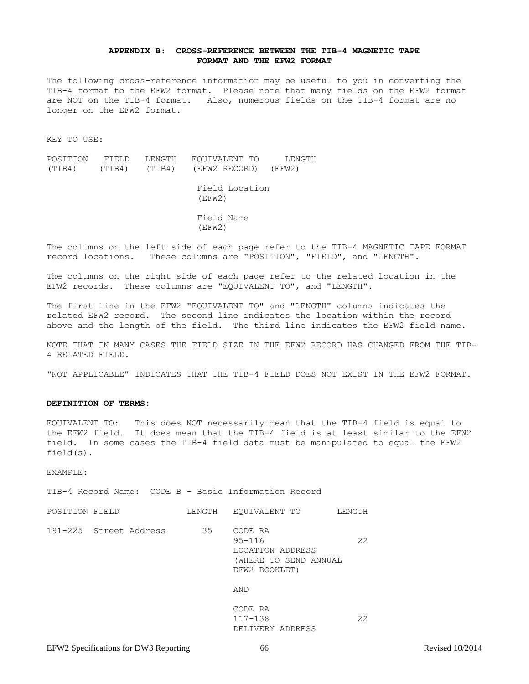#### **APPENDIX B: CROSS-REFERENCE BETWEEN THE TIB-4 MAGNETIC TAPE FORMAT AND THE EFW2 FORMAT**

The following cross-reference information may be useful to you in converting the TIB-4 format to the EFW2 format. Please note that many fields on the EFW2 format are NOT on the TIB-4 format. Also, numerous fields on the TIB-4 format are no longer on the EFW2 format.

KEY TO USE:

POSITION FIELD LENGTH EQUIVALENT TO LENGTH (TIB4) (TIB4) (TIB4) (EFW2 RECORD) (EFW2) Field Location (EFW2) Field Name (EFW2)

The columns on the left side of each page refer to the TIB-4 MAGNETIC TAPE FORMAT record locations. These columns are "POSITION", "FIELD", and "LENGTH".

The columns on the right side of each page refer to the related location in the EFW2 records. These columns are "EQUIVALENT TO", and "LENGTH".

The first line in the EFW2 "EQUIVALENT TO" and "LENGTH" columns indicates the related EFW2 record. The second line indicates the location within the record above and the length of the field. The third line indicates the EFW2 field name.

NOTE THAT IN MANY CASES THE FIELD SIZE IN THE EFW2 RECORD HAS CHANGED FROM THE TIB-4 RELATED FIELD.

"NOT APPLICABLE" INDICATES THAT THE TIB-4 FIELD DOES NOT EXIST IN THE EFW2 FORMAT.

#### **DEFINITION OF TERMS:**

EQUIVALENT TO: This does NOT necessarily mean that the TIB-4 field is equal to the EFW2 field. It does mean that the TIB-4 field is at least similar to the EFW2 field. In some cases the TIB-4 field data must be manipulated to equal the EFW2 field(s).

EXAMPLE:

TIB-4 Record Name: CODE B - Basic Information Record

| POSITION FIELD |                        | LENGTH | EOUIVALENT TO                                                                       | LENGTH |
|----------------|------------------------|--------|-------------------------------------------------------------------------------------|--------|
|                | 191-225 Street Address | 35     | CODE RA<br>$95 - 116$<br>LOCATION ADDRESS<br>(WHERE TO SEND ANNUAL<br>EFW2 BOOKLET) | 22     |
|                |                        |        | AND                                                                                 |        |
|                |                        |        | CODE RA<br>$117 - 138$<br>DELIVERY ADDRESS                                          | 22     |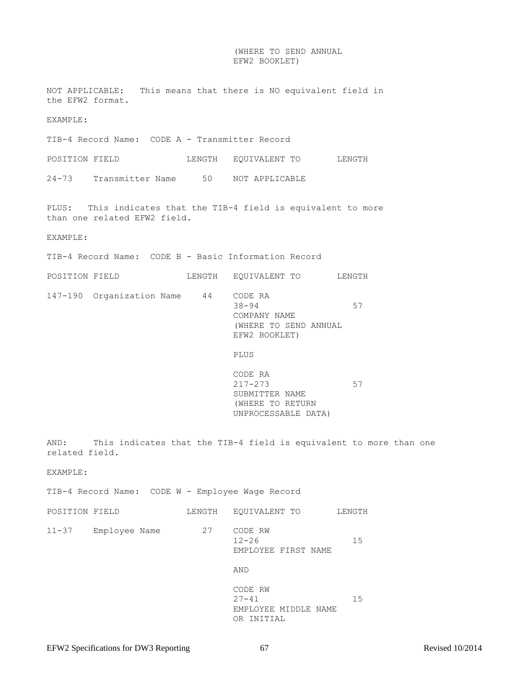### (WHERE TO SEND ANNUAL EFW2 BOOKLET)

NOT APPLICABLE: This means that there is NO equivalent field in the EFW2 format. EXAMPLE: TIB-4 Record Name: CODE A - Transmitter Record POSITION FIELD LENGTH EQUIVALENT TO LENGTH 24-73 Transmitter Name 50 NOT APPLICABLE PLUS: This indicates that the TIB-4 field is equivalent to more than one related EFW2 field. EXAMPLE: TIB-4 Record Name: CODE B - Basic Information Record POSITION FIELD LENGTH EQUIVALENT TO LENGTH 147-190 Organization Name 44 CODE RA  $38-94$  57 COMPANY NAME (WHERE TO SEND ANNUAL EFW2 BOOKLET) PLUS CODE RA 217-273 57 SUBMITTER NAME (WHERE TO RETURN UNPROCESSABLE DATA) AND: This indicates that the TIB-4 field is equivalent to more than one related field. EXAMPLE: TIB-4 Record Name: CODE W - Employee Wage Record POSITION FIELD LENGTH EQUIVALENT TO LENGTH 11-37 Employee Name 27 CODE RW  $12-26$  15 EMPLOYEE FIRST NAME AND CODE RW 27-41 15 EMPLOYEE MIDDLE NAME OR INITIAL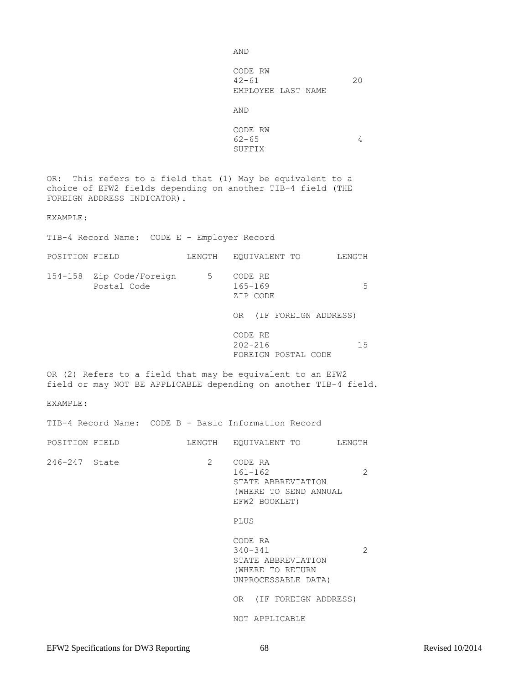AND

 CODE RW 42-61 20 EMPLOYEE LAST NAME

AND

 CODE RW  $62-65$  4 SUFFIX

OR: This refers to a field that (1) May be equivalent to a choice of EFW2 fields depending on another TIB-4 field (THE FOREIGN ADDRESS INDICATOR).

EXAMPLE:

TIB-4 Record Name: CODE E - Employer Record

| POSITION FIELD |                                         | LENGTH | EOUIVALENT TO<br>LENGTH            |    |
|----------------|-----------------------------------------|--------|------------------------------------|----|
|                | 154-158 Zip Code/Foreign<br>Postal Code | 5      | CODE RE<br>$165 - 169$<br>ZIP CODE | 5  |
|                |                                         |        | (IF FOREIGN ADDRESS)<br>0R.        |    |
|                |                                         |        | CODE RE<br>$202 - 216$             | 15 |

OR (2) Refers to a field that may be equivalent to an EFW2 field or may NOT BE APPLICABLE depending on another TIB-4 field.

EXAMPLE:

TIB-4 Record Name: CODE B - Basic Information Record

POSITION FIELD LENGTH EQUIVALENT TO LENGTH 246-247 State 2 CODE RA 161-162 2 STATE ABBREVIATION (WHERE TO SEND ANNUAL EFW2 BOOKLET)

### PLUS

CODE RA 340-341 2 STATE ABBREVIATION (WHERE TO RETURN UNPROCESSABLE DATA)

FOREIGN POSTAL CODE

OR (IF FOREIGN ADDRESS)

NOT APPLICABLE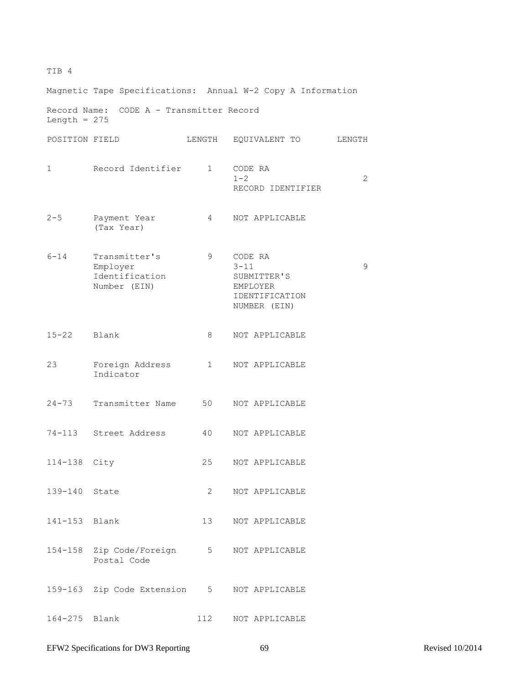# TIB 4

Magnetic Tape Specifications: Annual W-2 Copy A Information Record Name: CODE A - Transmitter Record Length  $= 275$ POSITION FIELD LENGTH EQUIVALENT TO LENGTH 1 Record Identifier 1 CODE RA  $1-2$  2 RECORD IDENTIFIER 2-5 Payment Year 4 NOT APPLICABLE (Tax Year) 6-14 Transmitter's 9 CODE RA Employer 3-11 9 Identification SUBMITTER'S Number (EIN) EMPLOYER IDENTIFICATION NUMBER (EIN) 15-22 Blank 8 NOT APPLICABLE 23 Foreign Address 1 NOT APPLICABLE Indicator 24-73 Transmitter Name 50 NOT APPLICABLE 74-113 Street Address 40 NOT APPLICABLE 114-138 City 25 NOT APPLICABLE 139-140 State 2 NOT APPLICABLE 141-153 Blank 13 NOT APPLICABLE 154-158 Zip Code/Foreign 5 NOT APPLICABLE Postal Code 159-163 Zip Code Extension 5 NOT APPLICABLE 164-275 Blank 112 NOT APPLICABLE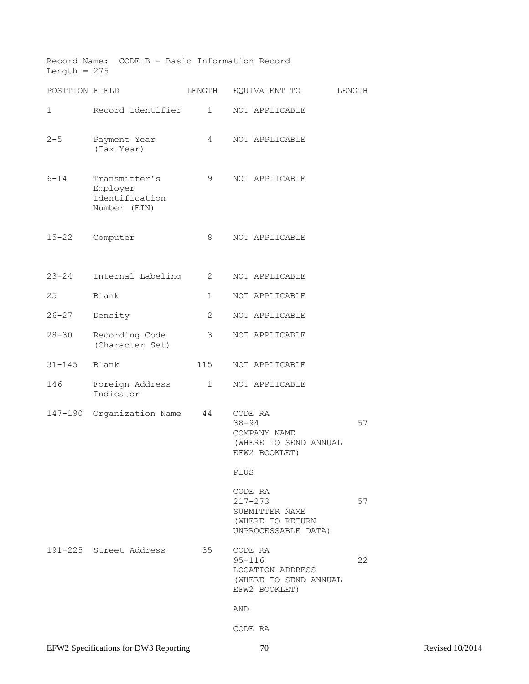| Length = $275$ | Record Name: CODE B - Basic Information Record              |              |                                                                                     |        |
|----------------|-------------------------------------------------------------|--------------|-------------------------------------------------------------------------------------|--------|
| POSITION FIELD |                                                             | LENGTH       | EQUIVALENT TO                                                                       | LENGTH |
| 1              | Record Identifier                                           | $\mathbf{1}$ | NOT APPLICABLE                                                                      |        |
| $2 - 5$        | Payment Year<br>(Tax Year)                                  | 4            | NOT APPLICABLE                                                                      |        |
| $6 - 14$       | Transmitter's<br>Employer<br>Identification<br>Number (EIN) | 9            | NOT APPLICABLE                                                                      |        |
| $15 - 22$      | Computer                                                    | 8            | NOT APPLICABLE                                                                      |        |
| $23 - 24$      | Internal Labeling                                           | 2            | NOT APPLICABLE                                                                      |        |
| 25             | Blank                                                       | 1            | NOT APPLICABLE                                                                      |        |
| $26 - 27$      | Density                                                     | 2            | NOT APPLICABLE                                                                      |        |
| $28 - 30$      | Recording Code<br>(Character Set)                           | 3            | NOT APPLICABLE                                                                      |        |
| $31 - 145$     | Blank                                                       | 115          | NOT APPLICABLE                                                                      |        |
| 146            | Foreign Address<br>Indicator                                | $\mathbf{1}$ | NOT APPLICABLE                                                                      |        |
| 147-190        | Organization Name                                           | 44           | CODE RA<br>$38 - 94$<br>COMPANY NAME<br>(WHERE TO SEND ANNUAL<br>EFW2 BOOKLET)      | 57     |
|                |                                                             |              | PLUS                                                                                |        |
|                |                                                             |              | CODE RA<br>$217 - 273$<br>SUBMITTER NAME<br>(WHERE TO RETURN<br>UNPROCESSABLE DATA) | 57     |
|                | 191-225 Street Address                                      | 35           | CODE RA<br>$95 - 116$<br>LOCATION ADDRESS<br>(WHERE TO SEND ANNUAL<br>EFW2 BOOKLET) | 22     |
|                |                                                             |              | AND                                                                                 |        |
|                |                                                             |              | CODE RA                                                                             |        |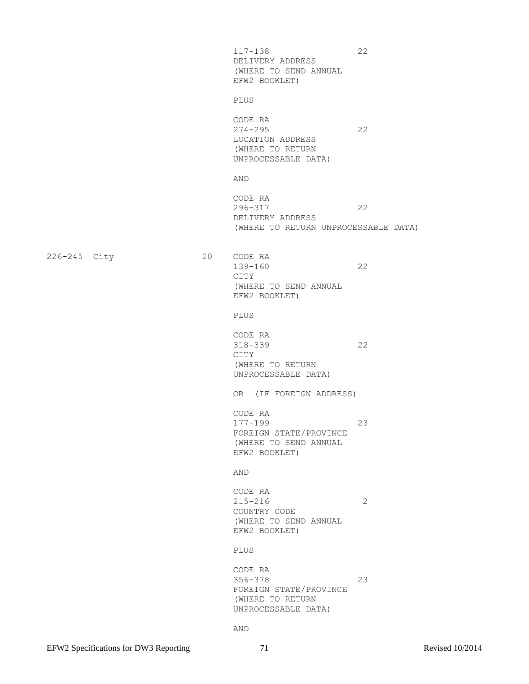117-138 22 DELIVERY ADDRESS (WHERE TO SEND ANNUAL EFW2 BOOKLET)

PLUS

CODE RA 274-295 22 LOCATION ADDRESS (WHERE TO RETURN UNPROCESSABLE DATA)

AND

CODE RA 296-317 22 DELIVERY ADDRESS (WHERE TO RETURN UNPROCESSABLE DATA)

226-245 City 20 CODE RA

 139-160 22 CITY (WHERE TO SEND ANNUAL EFW2 BOOKLET)

PLUS

CODE RA 318-339 22 CITY (WHERE TO RETURN UNPROCESSABLE DATA)

OR (IF FOREIGN ADDRESS)

CODE RA 177-199 23 FOREIGN STATE/PROVINCE (WHERE TO SEND ANNUAL EFW2 BOOKLET)

AND

 CODE RA 215-216 2 COUNTRY CODE (WHERE TO SEND ANNUAL EFW2 BOOKLET)

PLUS

 CODE RA 356-378 23 FOREIGN STATE/PROVINCE (WHERE TO RETURN UNPROCESSABLE DATA)

AND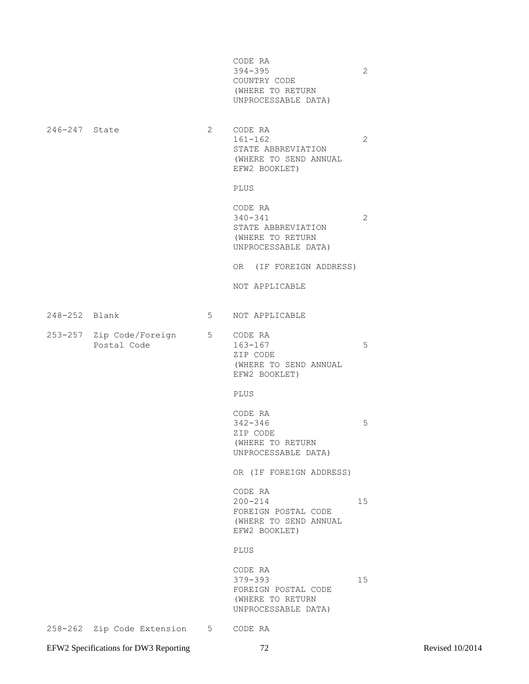|               |                                           |                                | CODE RA<br>$394 - 395$<br>COUNTRY CODE<br>(WHERE TO RETURN<br>UNPROCESSABLE DATA)        | $\mathbf{2}$ |
|---------------|-------------------------------------------|--------------------------------|------------------------------------------------------------------------------------------|--------------|
| 246-247 State |                                           | $2 \left( \frac{1}{2} \right)$ | CODE RA<br>$161 - 162$<br>STATE ABBREVIATION<br>(WHERE TO SEND ANNUAL<br>EFW2 BOOKLET)   | $\mathbf{2}$ |
|               |                                           |                                | PLUS                                                                                     |              |
|               |                                           |                                | CODE RA<br>$340 - 341$<br>STATE ABBREVIATION<br>(WHERE TO RETURN<br>UNPROCESSABLE DATA)  | $\mathbf{2}$ |
|               |                                           |                                | OR (IF FOREIGN ADDRESS)                                                                  |              |
|               |                                           |                                | NOT APPLICABLE                                                                           |              |
| 248-252 Blank |                                           | $5^{\circ}$                    | NOT APPLICABLE                                                                           |              |
|               | 253-257 Zip Code/Foreign 5<br>Postal Code |                                | CODE RA<br>163-167<br>ZIP CODE<br>(WHERE TO SEND ANNUAL<br>EFW2 BOOKLET)                 | 5            |
|               |                                           |                                | PLUS                                                                                     |              |
|               |                                           |                                | CODE RA<br>$342 - 346$<br>ZIP CODE<br>(WHERE TO RETURN<br>UNPROCESSABLE DATA)            | 5            |
|               |                                           |                                | OR (IF FOREIGN ADDRESS)                                                                  |              |
|               |                                           |                                | CODE RA<br>$200 - 214$<br>FOREIGN POSTAL CODE<br>(WHERE TO SEND ANNUAL<br>EFW2 BOOKLET)  | 15           |
|               |                                           |                                | PLUS                                                                                     |              |
|               |                                           |                                | CODE RA<br>$379 - 393$<br>FOREIGN POSTAL CODE<br>(WHERE TO RETURN<br>UNPROCESSABLE DATA) | 15           |
|               | 258-262 Zip Code Extension                | $5 -$                          | CODE RA                                                                                  |              |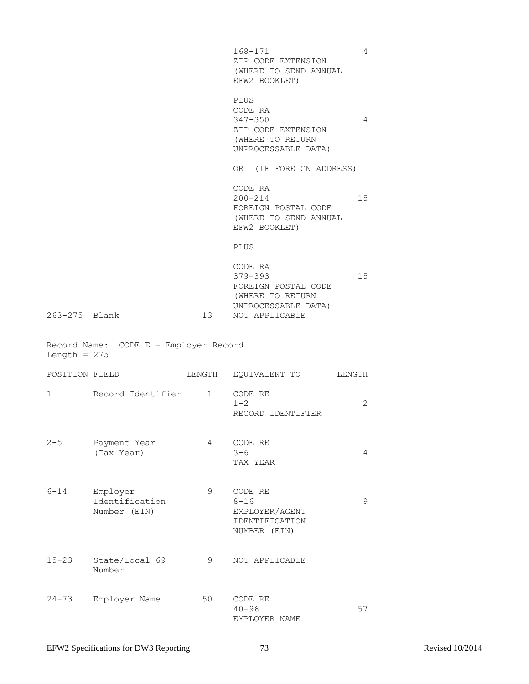168-171 4 ZIP CODE EXTENSION (WHERE TO SEND ANNUAL EFW2 BOOKLET) PLUS CODE RA 347-350 4 ZIP CODE EXTENSION (WHERE TO RETURN UNPROCESSABLE DATA) OR (IF FOREIGN ADDRESS) CODE RA 200-214 15 FOREIGN POSTAL CODE (WHERE TO SEND ANNUAL EFW2 BOOKLET) PLUS CODE RA 379-393 15 FOREIGN POSTAL CODE (WHERE TO RETURN UNPROCESSABLE DATA) 263-275 Blank 13 NOT APPLICABLE Record Name: CODE E - Employer Record Length  $= 275$ POSITION FIELD LENGTH EQUIVALENT TO LENGTH 1 Record Identifier 1 CODE RE  $1-2$  2 RECORD IDENTIFIER 2-5 Payment Year  $4$  CODE RE<br>
(Tax Year) 3-6  $(Tax \text{ Year})$   $3-6$   $4$  TAX YEAR 6-14 Employer 9 CODE RE Identification 8-16 9 Number (EIN) EMPLOYER/AGENT IDENTIFICATION NUMBER (EIN) 15-23 State/Local 69 9 NOT APPLICABLE Number 24-73 Employer Name 50 CODE RE 40-96 57 EMPLOYER NAME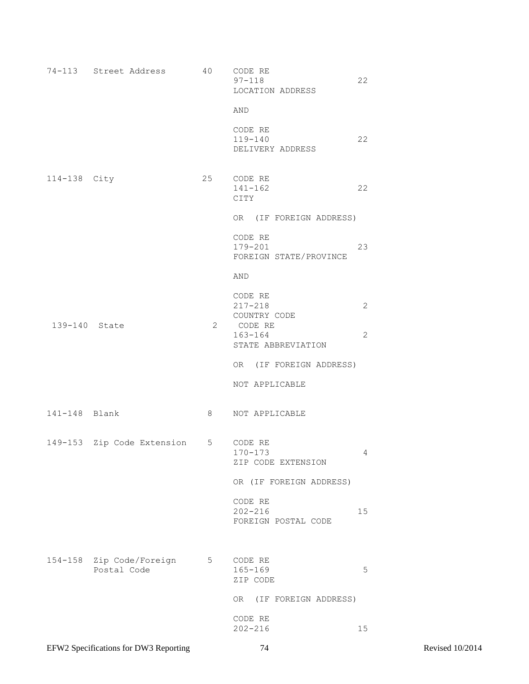|               | 74-113 Street Address                   | 40 | CODE RE<br>$97 - 118$<br>LOCATION ADDRESS                        | 22                             |
|---------------|-----------------------------------------|----|------------------------------------------------------------------|--------------------------------|
|               |                                         |    | AND<br>CODE RE<br>$119 - 140$<br>DELIVERY ADDRESS                | 22                             |
| 114-138 City  |                                         | 25 | CODE RE<br>$141 - 162$<br>CITY                                   | 22                             |
|               |                                         |    | OR (IF FOREIGN ADDRESS)                                          |                                |
|               |                                         |    | CODE RE<br>179-201<br>FOREIGN STATE/PROVINCE                     | 23                             |
|               |                                         |    | AND                                                              |                                |
| 139-140 State |                                         | 2  | CODE RE<br>$217 - 218$<br>COUNTRY CODE<br>CODE RE<br>$163 - 164$ | $\overline{2}$<br>$\mathbf{2}$ |
|               |                                         |    | STATE ABBREVIATION                                               |                                |
|               |                                         |    | OR (IF FOREIGN ADDRESS)                                          |                                |
|               |                                         |    | NOT APPLICABLE                                                   |                                |
| 141-148 Blank |                                         | 8  | NOT APPLICABLE                                                   |                                |
|               | 149-153 Zip Code Extension 5 CODE RE    |    | $170 - 173$<br>ZIP CODE EXTENSION                                | 4                              |
|               |                                         |    | OR (IF FOREIGN ADDRESS)                                          |                                |
|               |                                         |    | CODE RE<br>$202 - 216$<br>FOREIGN POSTAL CODE                    | 15                             |
|               | 154-158 Zip Code/Foreign<br>Postal Code | 5  | CODE RE<br>$165 - 169$<br>ZIP CODE                               | 5                              |
|               |                                         |    | OR (IF FOREIGN ADDRESS)                                          |                                |
|               |                                         |    | CODE RE<br>$202 - 216$                                           | 15                             |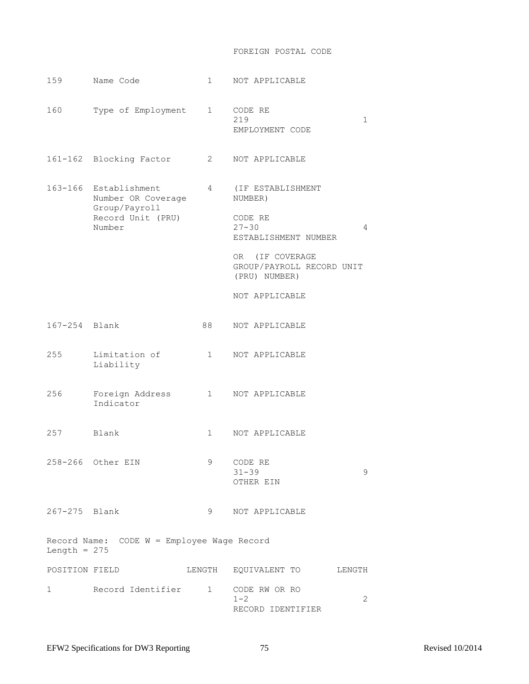## FOREIGN POSTAL CODE

| 159                                                          | Name Code                                                                                   | 1                      | NOT APPLICABLE                                                                    |  |
|--------------------------------------------------------------|---------------------------------------------------------------------------------------------|------------------------|-----------------------------------------------------------------------------------|--|
| 160                                                          | Type of Employment                                                                          | $1 \quad \Box$         | CODE RE<br>219<br>$\mathbf{1}$<br>EMPLOYMENT CODE                                 |  |
|                                                              | 161-162 Blocking Factor                                                                     | 2                      | NOT APPLICABLE                                                                    |  |
|                                                              | 163-166 Establishment<br>Number OR Coverage<br>Group/Payroll<br>Record Unit (PRU)<br>Number | $4\degree$             | (IF ESTABLISHMENT<br>NUMBER)<br>CODE RE<br>$27 - 30$<br>4<br>ESTABLISHMENT NUMBER |  |
|                                                              |                                                                                             |                        | OR (IF COVERAGE<br>GROUP/PAYROLL RECORD UNIT<br>(PRU) NUMBER)                     |  |
|                                                              |                                                                                             |                        | NOT APPLICABLE                                                                    |  |
| 167-254 Blank                                                |                                                                                             | 88                     | NOT APPLICABLE                                                                    |  |
| 255                                                          | Limitation of<br>Liability                                                                  | $\mathbf{1}$           | NOT APPLICABLE                                                                    |  |
| 256                                                          | Foreign Address<br>Indicator                                                                | $1 \quad \blacksquare$ | NOT APPLICABLE                                                                    |  |
| 257                                                          | Blank                                                                                       | 1                      | NOT APPLICABLE                                                                    |  |
|                                                              | 258-266 Other EIN                                                                           | 9                      | CODE RE<br>$31 - 39$<br>9<br>OTHER EIN                                            |  |
| 267-275 Blank                                                |                                                                                             | 9                      | NOT APPLICABLE                                                                    |  |
| Record Name: CODE W = Employee Wage Record<br>Length = $275$ |                                                                                             |                        |                                                                                   |  |
| POSITION FIELD                                               |                                                                                             |                        | LENGTH EQUIVALENT TO<br>LENGTH                                                    |  |
| $\mathbf{1}$                                                 | Record Identifier 1                                                                         |                        | CODE RW OR RO<br>2<br>$1 - 2$<br>RECORD IDENTIFIER                                |  |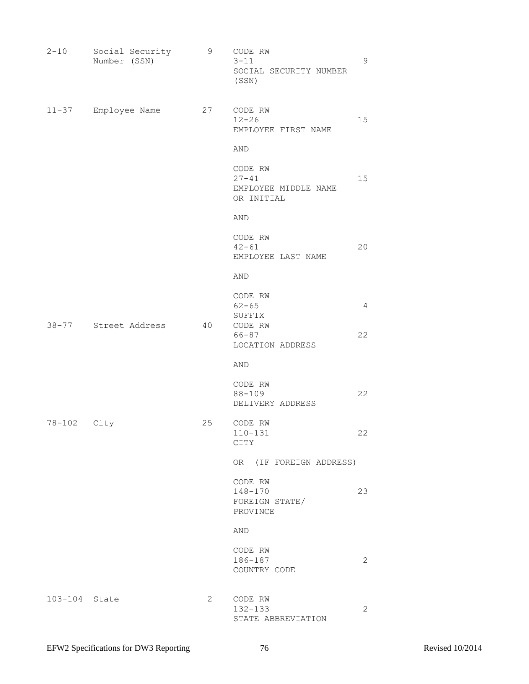| $2 - 10$      | Social Security<br>Number (SSN) | 9              | CODE RW<br>$3 - 11$<br>SOCIAL SECURITY NUMBER<br>(SSN)     | 9              |
|---------------|---------------------------------|----------------|------------------------------------------------------------|----------------|
| $11 - 37$     | Employee Name                   | 27             | CODE RW<br>$12 - 26$<br>EMPLOYEE FIRST NAME                | 15             |
|               |                                 |                | AND                                                        |                |
|               |                                 |                | CODE RW<br>$27 - 41$<br>EMPLOYEE MIDDLE NAME<br>OR INITIAL | 15             |
|               |                                 |                | AND                                                        |                |
|               |                                 |                | CODE RW<br>$42 - 61$<br>EMPLOYEE LAST NAME                 | 20             |
|               |                                 |                | AND                                                        |                |
|               |                                 | 40             | CODE RW<br>$62 - 65$<br>SUFFIX                             | $\overline{4}$ |
|               | 38-77 Street Address            |                | CODE RW<br>$66 - 87$<br>LOCATION ADDRESS                   | 22             |
|               |                                 |                | AND                                                        |                |
|               |                                 |                | CODE RW<br>$88 - 109$<br>DELIVERY ADDRESS                  | 22             |
| 78-102 City   |                                 | 25             | CODE RW<br>$110 - 131$<br>CITY                             | 22             |
|               |                                 |                | OR (IF FOREIGN ADDRESS)                                    |                |
|               |                                 |                | CODE RW<br>$148 - 170$<br>FOREIGN STATE/<br>PROVINCE       | 23             |
|               |                                 |                | AND                                                        |                |
|               |                                 |                | CODE RW<br>186-187<br>COUNTRY CODE                         | $\mathbf{2}$   |
| 103-104 State |                                 | $\overline{2}$ | CODE RW<br>$132 - 133$<br>STATE ABBREVIATION               | $\overline{2}$ |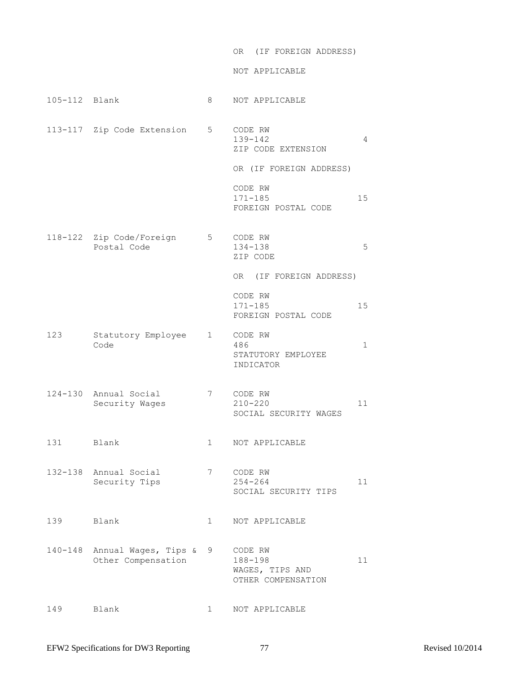| OR (IF FOREIGN ADDRESS) |
|-------------------------|
|-------------------------|

NOT APPLICABLE

| 105-112 Blank |                                                    | 8              | NOT APPLICABLE                                                                                                       |              |
|---------------|----------------------------------------------------|----------------|----------------------------------------------------------------------------------------------------------------------|--------------|
|               | 113-117 Zip Code Extension 5                       |                | CODE RW<br>139-142<br>ZIP CODE EXTENSION<br>OR (IF FOREIGN ADDRESS)<br>CODE RW<br>$171 - 185$<br>FOREIGN POSTAL CODE | 4<br>15      |
|               | 118-122 Zip Code/Foreign<br>Postal Code            | $5\overline{}$ | CODE RW<br>134-138<br>ZIP CODE<br>OR (IF FOREIGN ADDRESS)<br>CODE RW<br>$171 - 185$                                  | 5<br>15      |
| 123           | Statutory Employee<br>Code                         | $\mathbf{1}$   | FOREIGN POSTAL CODE<br>CODE RW<br>486<br>STATUTORY EMPLOYEE<br>INDICATOR                                             | $\mathbf{1}$ |
|               | 124-130 Annual Social<br>Security Wages            | 7              | CODE RW<br>$210 - 220$<br>SOCIAL SECURITY WAGES                                                                      | 11           |
| 131 Blank     |                                                    | $\mathbf{1}$   | NOT APPLICABLE                                                                                                       |              |
|               | 132-138 Annual Social<br>Security Tips             | 7              | CODE RW<br>254-264<br>SOCIAL SECURITY TIPS                                                                           | 11           |
| 139 Blank     |                                                    | $\mathbf{1}$   | NOT APPLICABLE                                                                                                       |              |
|               | 140-148 Annual Wages, Tips &<br>Other Compensation | 9              | CODE RW<br>188-198<br>WAGES, TIPS AND<br>OTHER COMPENSATION                                                          | 11           |
| 149           | Blank                                              | $\mathbf{1}$   | NOT APPLICABLE                                                                                                       |              |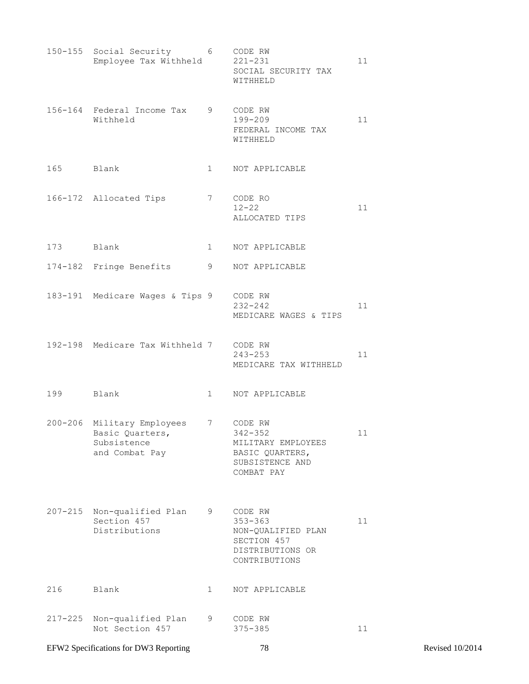|             | 150-155 Social Security 6 CODE RW<br>Employee Tax Withheld                     |                | 221-231<br>SOCIAL SECURITY TAX<br>WITHHELD                                                       | 11 |
|-------------|--------------------------------------------------------------------------------|----------------|--------------------------------------------------------------------------------------------------|----|
|             | 156-164 Federal Income Tax<br>Withheld                                         | 9              | CODE RW<br>199-209<br>FEDERAL INCOME TAX<br>WITHHELD                                             | 11 |
| 165 Blank   |                                                                                | $\mathbf{1}$   | NOT APPLICABLE                                                                                   |    |
|             | 166-172 Allocated Tips                                                         | 7              | CODE RO<br>$12 - 22$<br>ALLOCATED TIPS                                                           | 11 |
| 173 Blank   |                                                                                | $1 \quad \Box$ | NOT APPLICABLE                                                                                   |    |
|             | 174-182 Fringe Benefits                                                        | 9              | NOT APPLICABLE                                                                                   |    |
|             | 183-191 Medicare Wages & Tips 9                                                |                | CODE RW<br>$232 - 242$<br>MEDICARE WAGES & TIPS                                                  | 11 |
|             | 192-198 Medicare Tax Withheld 7                                                |                | CODE RW<br>$243 - 253$<br>MEDICARE TAX WITHHELD                                                  | 11 |
| 199         | Blank                                                                          | 1              | NOT APPLICABLE                                                                                   |    |
|             | 200-206 Military Employees<br>Basic Quarters,<br>Subsistence<br>and Combat Pay | 7              | CODE RW<br>342-352<br>MILITARY EMPLOYEES<br>BASIC QUARTERS,<br>SUBSISTENCE AND<br>COMBAT PAY     | 11 |
| $207 - 215$ | Non-qualified Plan<br>Section 457<br>Distributions                             | 9              | CODE RW<br>$353 - 363$<br>NON-QUALIFIED PLAN<br>SECTION 457<br>DISTRIBUTIONS OR<br>CONTRIBUTIONS | 11 |
| 216         | Blank                                                                          | $\mathbf 1$    | NOT APPLICABLE                                                                                   |    |
| $217 - 225$ | Non-qualified Plan<br>Not Section 457                                          | 9              | CODE RW<br>$375 - 385$                                                                           | 11 |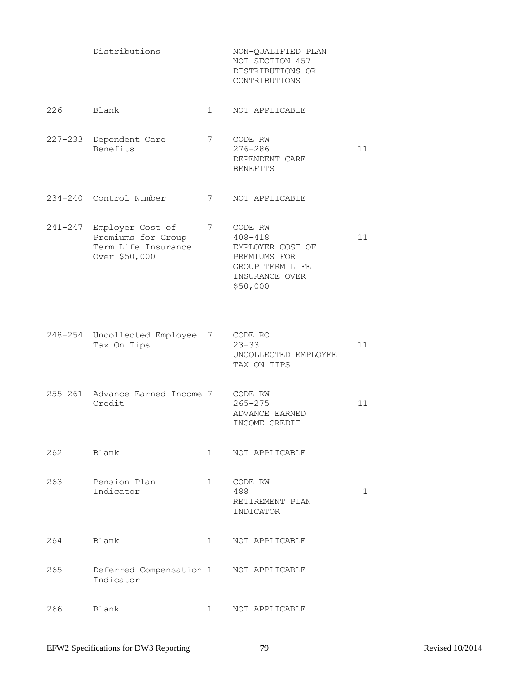| Distributions | NON-OUALIFIED PLAN |
|---------------|--------------------|
|               | NOT SECTION 457    |
|               | DISTRIBUTIONS OR   |
|               | CONTRIBUTIONS      |
|               |                    |

- 226 Blank 1 NOT APPLICABLE
- 227-233 Dependent Care 7 CODE RW Benefits 276-286 11 DEPENDENT CARE BENEFITS
- 234-240 Control Number 7 NOT APPLICABLE

241-247 Employer Cost of 7 CODE RW Premiums for Group  $408-418$  11 Term Life Insurance EMPLOYER COST OF Over \$50,000 PREMIUMS FOR GROUP TERM LIFE INSURANCE OVER \$50,000

- 248-254 Uncollected Employee 7 CODE RO Tax On Tips 23-33 11 UNCOLLECTED EMPLOYEE TAX ON TIPS
- 255-261 Advance Earned Income 7 CODE RW Credit 265-275 11 ADVANCE EARNED INCOME CREDIT
- 262 Blank 1 NOT APPLICABLE
- 263 Pension Plan 1 CODE RW Indicator 488 1 RETIREMENT PLAN INDICATOR
- 264 Blank 1 NOT APPLICABLE 265 Deferred Compensation 1 NOT APPLICABLE Indicator
- 266 Blank 1 NOT APPLICABLE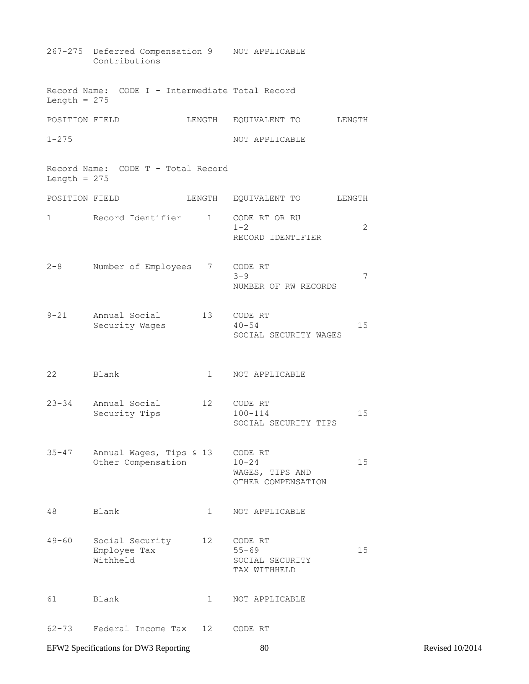|                | 267-275 Deferred Compensation 9 NOT APPLICABLE<br>Contributions |                 |                                                               |    |
|----------------|-----------------------------------------------------------------|-----------------|---------------------------------------------------------------|----|
| Length = $275$ | Record Name: CODE I - Intermediate Total Record                 |                 |                                                               |    |
| POSITION FIELD |                                                                 |                 | LENGTH EQUIVALENT TO<br>LENGTH                                |    |
| $1 - 275$      |                                                                 |                 | NOT APPLICABLE                                                |    |
| Length = $275$ | Record Name: CODE T - Total Record                              |                 |                                                               |    |
| POSITION FIELD |                                                                 |                 | LENGTH EQUIVALENT TO<br>LENGTH                                |    |
| 1              | Record Identifier 1                                             |                 | CODE RT OR RU<br>$1 - 2$<br>RECORD IDENTIFIER                 | 2  |
| $2 - 8$        | Number of Employees                                             |                 | 7 CODE RT<br>$3 - 9$<br>NUMBER OF RW RECORDS                  | 7  |
| $9 - 21$       | Annual Social<br>Security Wages                                 | 13              | CODE RT<br>$40 - 54$<br>SOCIAL SECURITY WAGES                 | 15 |
| 22             | Blank                                                           | $\mathbf{1}$    | NOT APPLICABLE                                                |    |
| $23 - 34$      | Annual Social<br>Security Tips                                  | 12 <sup>°</sup> | CODE RT<br>$100 - 114$<br>SOCIAL SECURITY TIPS                | 15 |
| $35 - 47$      | Annual Wages, Tips & 13<br>Other Compensation                   |                 | CODE RT<br>$10 - 24$<br>WAGES, TIPS AND<br>OTHER COMPENSATION | 15 |
| 48             | Blank                                                           | $\mathbf 1$     | NOT APPLICABLE                                                |    |
| $49 - 60$      | Social Security<br>Employee Tax<br>Withheld                     | 12              | CODE RT<br>$55 - 69$<br>SOCIAL SECURITY<br>TAX WITHHELD       | 15 |
| 61             | Blank                                                           | $\mathbf 1$     | NOT APPLICABLE                                                |    |
| $62 - 73$      | Federal Income Tax                                              | 12              | CODE RT                                                       |    |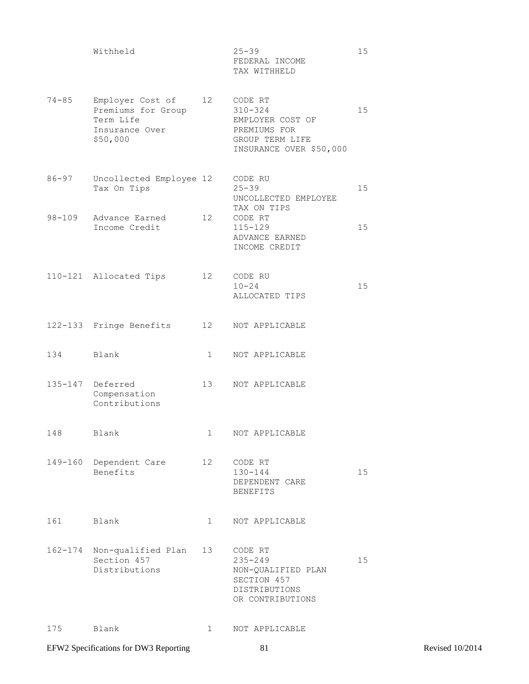$Withheld$   $25-39$   $15$  FEDERAL INCOME TAX WITHHELD

- 74-85 Employer Cost of 12 CODE RT Premiums for Group 310-324 15 Term Life **EMPLOYER COST OF** Insurance Over PREMIUMS FOR \$50,000 GROUP TERM LIFE INSURANCE OVER \$50,000
- 86-97 Uncollected Employee 12 CODE RU Tax On Tips 25-39 25-39 15 UNCOLLECTED EMPLOYEE TAX ON TIPS 98-109 Advance Earned 12 CODE RT Income Credit 115-129 15 ADVANCE EARNED INCOME CREDIT
- 110-121 Allocated Tips 12 CODE RU  $10-24$  15 ALLOCATED TIPS
- 122-133 Fringe Benefits 12 NOT APPLICABLE
- 134 Blank 1 NOT APPLICABLE
- 135-147 Deferred 13 NOT APPLICABLE Compensation Contributions
- 148 Blank 1 NOT APPLICABLE
- 149-160 Dependent Care 12 CODE RT Benefits 130-144 15 DEPENDENT CARE BENEFITS
- 161 Blank 1 NOT APPLICABLE
- 162-174 Non-qualified Plan 13 CODE RT Section 457 235-249 235-249 Distributions NON-QUALIFIED PLAN SECTION 457 DISTRIBUTIONS OR CONTRIBUTIONS
- 175 Blank 1 NOT APPLICABLE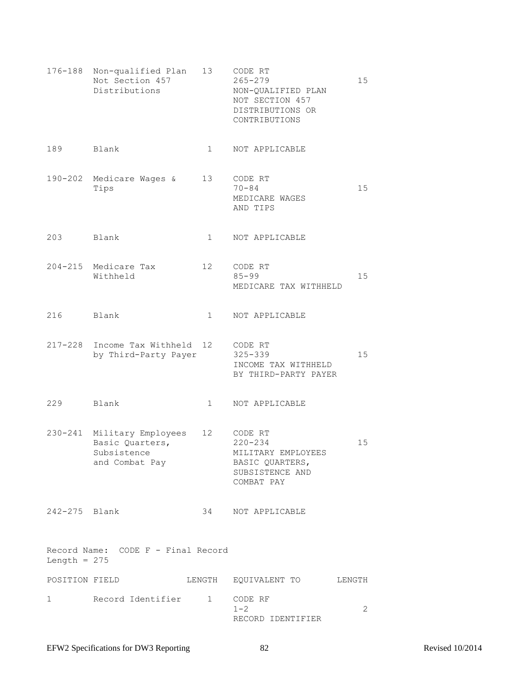|                | 176-188 Non-qualified Plan<br>Not Section 457<br>Distributions                 | 13                | CODE RT<br>$265 - 279$<br>NON-QUALIFIED PLAN<br>NOT SECTION 457<br>DISTRIBUTIONS OR<br>CONTRIBUTIONS | 15 |
|----------------|--------------------------------------------------------------------------------|-------------------|------------------------------------------------------------------------------------------------------|----|
| 189            | Blank                                                                          | $\mathbf{1}$      | NOT APPLICABLE                                                                                       |    |
| 190-202        | Medicare Wages &<br>Tips                                                       | 13                | CODE RT<br>$70 - 84$<br>MEDICARE WAGES<br>AND TIPS                                                   | 15 |
| 203            | Blank                                                                          | $\mathbf{1}$      | NOT APPLICABLE                                                                                       |    |
|                | 204-215 Medicare Tax<br>Withheld                                               | $12 \overline{ }$ | CODE RT<br>$85 - 99$<br>MEDICARE TAX WITHHELD                                                        | 15 |
| 216            | Blank                                                                          | $\mathbf{1}$      | NOT APPLICABLE                                                                                       |    |
|                | 217-228 Income Tax Withheld 12<br>by Third-Party Payer                         |                   | CODE RT<br>$325 - 339$<br>INCOME TAX WITHHELD<br>BY THIRD-PARTY PAYER                                | 15 |
| 229            | Blank                                                                          | $\mathbf{1}$      | NOT APPLICABLE                                                                                       |    |
|                | 230-241 Military Employees<br>Basic Quarters,<br>Subsistence<br>and Combat Pay | 12                | CODE RT<br>$220 - 234$<br>MILITARY EMPLOYEES<br>BASIC QUARTERS,<br>SUBSISTENCE AND<br>COMBAT PAY     | 15 |
| 242-275 Blank  |                                                                                |                   | 34 NOT APPLICABLE                                                                                    |    |
| Length = $275$ | Record Name: CODE F - Final Record                                             |                   |                                                                                                      |    |
| POSITION FIELD |                                                                                |                   | LENGTH EQUIVALENT TO LENGTH                                                                          |    |
| 1              | Record Identifier 1 CODE RF                                                    |                   | $1 - 2$<br>RECORD IDENTIFIER                                                                         | 2  |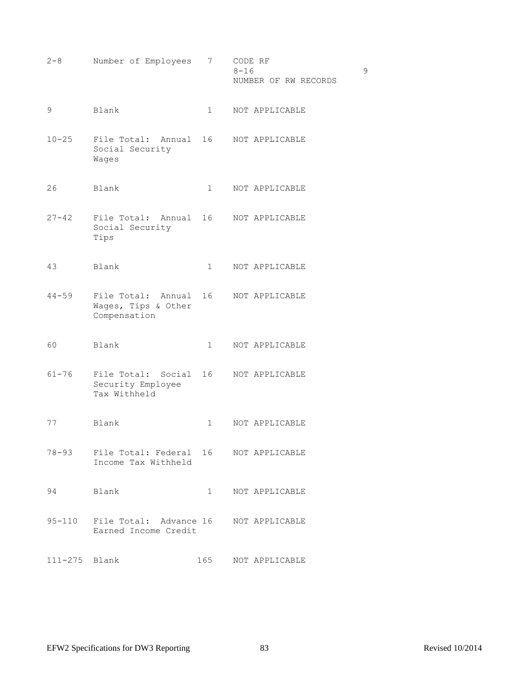2-8 Number of Employees 7 CODE RF  $8-16$  9 NUMBER OF RW RECORDS

- 9 Blank 1 NOT APPLICABLE
- 10-25 File Total: Annual 16 NOT APPLICABLE Social Security Wages
- 26 Blank 1 NOT APPLICABLE
- 27-42 File Total: Annual 16 NOT APPLICABLE Social Security Tips
- 43 Blank 1 NOT APPLICABLE
- 44-59 File Total: Annual 16 NOT APPLICABLE Wages, Tips & Other Compensation
- 60 Blank 1 NOT APPLICABLE
- 61-76 File Total: Social 16 NOT APPLICABLE Security Employee Tax Withheld
- 77 Blank 1 NOT APPLICABLE
- 78-93 File Total: Federal 16 NOT APPLICABLE Income Tax Withheld
- 94 Blank 1 NOT APPLICABLE
- 95-110 File Total: Advance 16 NOT APPLICABLE Earned Income Credit
- 111-275 Blank 165 NOT APPLICABLE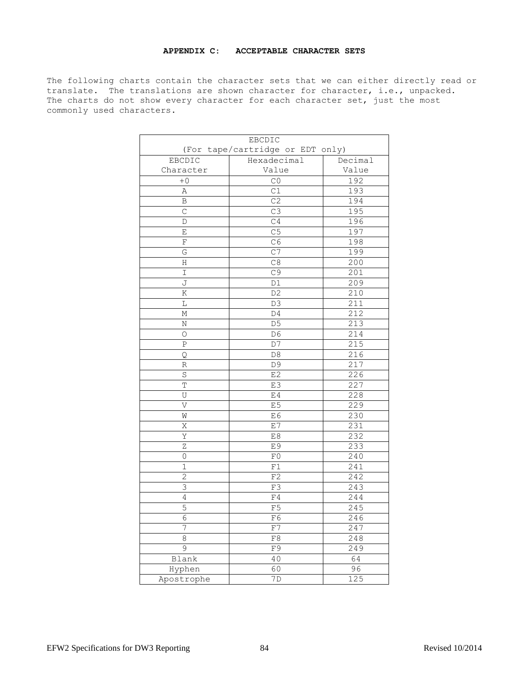#### **APPENDIX C: ACCEPTABLE CHARACTER SETS**

The following charts contain the character sets that we can either directly read or translate. The translations are shown character for character, i.e., unpacked. The charts do not show every character for each character set, just the most commonly used characters.

| EBCDIC                           |                 |                   |  |
|----------------------------------|-----------------|-------------------|--|
| (For tape/cartridge or EDT only) |                 |                   |  |
| EBCDIC                           | Hexadecimal     | Decimal           |  |
| Character                        | Value           | Value             |  |
| $+0$                             | CO              | 192               |  |
| Α                                | C1              | 193               |  |
| B                                | C <sub>2</sub>  | 194               |  |
| $\mathsf{C}$                     | C3              | 195               |  |
| D                                | C <sub>4</sub>  | 196               |  |
| Ε                                | C <sub>5</sub>  | 197               |  |
| F                                | $C\overline{6}$ | 198               |  |
| G                                | C <sub>7</sub>  | 199               |  |
| Η                                | C8              | 200               |  |
| I                                | C9              | 201               |  |
| J                                | D1              | 209               |  |
| Κ                                | D <sub>2</sub>  | 210               |  |
| L                                | D3              | 211               |  |
| М                                | D4              | 212               |  |
| Ν                                | D <sub>5</sub>  | 213               |  |
| O                                | D6              | 214               |  |
| Ρ                                | D7              | 215               |  |
| Q                                | D <sub>8</sub>  | 216               |  |
| R                                | D9              | 217               |  |
| $\rm S$                          | E2              | 226               |  |
| $\mathbb T$                      | E3              | 227               |  |
| U                                | E4              | 228               |  |
| V                                | E <sub>5</sub>  | 229               |  |
| W                                | E6              | 230               |  |
| Χ                                | E7              | 231               |  |
| Υ                                | E8              | 232               |  |
| $\overline{z}$                   | E9              | 233               |  |
| 0                                | F0              | $\overline{2}$ 40 |  |
| 1                                | F1              | 241               |  |
| $\overline{2}$                   | F2              | 242               |  |
| 3                                | F3              | 243               |  |
| $\overline{4}$                   | F4              | 244               |  |
| 5                                | F <sub>5</sub>  | 245               |  |
| $\sqrt{6}$                       | F6              | 246               |  |
| 7                                | ${\rm F7}$      | 247               |  |
| 8                                | F8              | 248               |  |
| $\overline{9}$                   | F9              | 249               |  |
| Blank                            | 40              | 64                |  |
| Hyphen                           | 60              | 96                |  |
| Apostrophe                       | 7D              | 125               |  |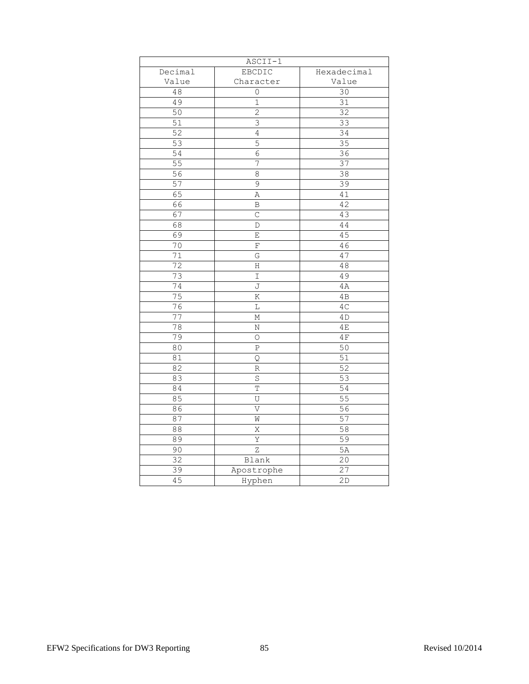| $\overline{\text{ASC}}\text{II}-1$ |                |                 |  |
|------------------------------------|----------------|-----------------|--|
| Decimal                            | <b>EBCDIC</b>  | Hexadecimal     |  |
| Value                              | Character      | Value           |  |
| 48                                 | $\mathsf{O}$   | 30              |  |
| 49                                 | $\mathbf 1$    | 31              |  |
| $\overline{50}$                    | $\overline{2}$ | 32              |  |
| 51                                 | $\overline{3}$ | 33              |  |
| $\overline{52}$                    | $\overline{4}$ | 34              |  |
| 53                                 | 5              | 35              |  |
| $\overline{54}$                    | $\overline{6}$ | 36              |  |
| $\overline{55}$                    | 7              | $\overline{3}7$ |  |
| 56                                 | 8              | $\overline{38}$ |  |
| 57                                 | 9              | 39              |  |
| 65                                 | Α              | 41              |  |
| 66                                 | B              | 42              |  |
| 67                                 | $\mathsf C$    | 43              |  |
| 68                                 | D              | 44              |  |
| 69                                 | Е              | 45              |  |
| $\overline{70}$                    | $\mathbf F$    | 46              |  |
| $\overline{71}$                    | G              | 47              |  |
| $\overline{72}$                    | Η              | 48              |  |
| 73                                 | I              | 49              |  |
| 74                                 | J              | 4A              |  |
| 75                                 | K              | 4B              |  |
| $\overline{76}$                    | L              | 4C              |  |
| $\overline{77}$                    | Μ              | 4D              |  |
| 78                                 | Ν              | 4E              |  |
| 79                                 | O              | $4\,\mathrm{F}$ |  |
| 80                                 | Ρ              | 50              |  |
| 81                                 | Q              | $\overline{51}$ |  |
| 82                                 | R              | 52              |  |
| 83                                 | $\rm S$        | $\overline{53}$ |  |
| 84                                 | $\mathbb T$    | 54              |  |
| 85                                 | U              | 55              |  |
| 86                                 | V              | 56              |  |
| 87                                 | W              | 57              |  |
| 88                                 | Χ              | $\overline{58}$ |  |
| 89                                 | Υ              | 59              |  |
| 90                                 | Ζ              | 5A              |  |
| 32                                 | Blank          | 20              |  |
| 39                                 | Apostrophe     | $\overline{27}$ |  |
| 45                                 | Hyphen         | 2D              |  |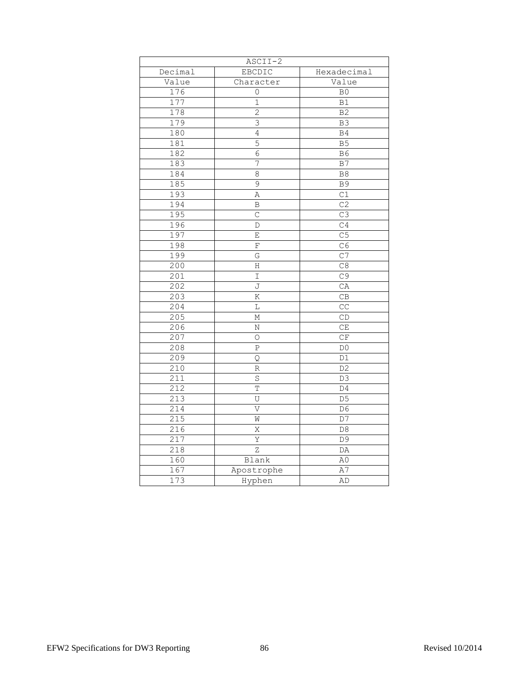| $ASCIII-2$       |                         |                        |  |  |
|------------------|-------------------------|------------------------|--|--|
| Decimal          | EBCDIC                  | Hexadecimal            |  |  |
| Value            | Character               | Value                  |  |  |
| 176              | 0                       | B <sub>0</sub>         |  |  |
| 177              | $\mathbf 1$             | B1                     |  |  |
| 178              | $\overline{c}$          | B <sub>2</sub>         |  |  |
| 179              | 3                       | B <sub>3</sub>         |  |  |
| 180              | $\overline{4}$          | B <sub>4</sub>         |  |  |
| 181              | 5                       | B <sub>5</sub>         |  |  |
| 182              | $\overline{6}$          | B6                     |  |  |
| 183              | 7                       | B <sub>7</sub>         |  |  |
| 184              | 8                       | B8                     |  |  |
| 185              | 9                       | <b>B9</b>              |  |  |
| 193              | Α                       | C1                     |  |  |
| 194              | B                       | C <sub>2</sub>         |  |  |
| 195              | $\mathcal{C}$           | C3                     |  |  |
| 196              | D                       | C4                     |  |  |
| 197              | Ε                       | C <sub>5</sub>         |  |  |
| 198              | $\rm F$                 | C6                     |  |  |
| 199              | G                       | C <sub>7</sub>         |  |  |
| 200              | Η                       | C8                     |  |  |
| 201              | I                       | C9                     |  |  |
| 202              | J                       | CA                     |  |  |
| 203              | K                       | CB                     |  |  |
| 204              | L                       | CC                     |  |  |
| 205              | Μ                       | $\mathbb{C}\mathbb{D}$ |  |  |
| 206              | Ν                       | CE                     |  |  |
| 207              | $\circ$                 | CF                     |  |  |
| 208              | P                       | D <sub>0</sub>         |  |  |
| 209              | Q                       | D1                     |  |  |
| 210              | R                       | D <sub>2</sub>         |  |  |
| $\overline{211}$ | $\rm S$                 | D3                     |  |  |
| 212              | $\mathbb T$             | D4                     |  |  |
| 213              | U                       | D <sub>5</sub>         |  |  |
| 214              | $\overline{\mathsf{V}}$ | D <sub>6</sub>         |  |  |
| 215              | W                       | D7                     |  |  |
| 216              | Χ                       | $\mathsf{D}8$          |  |  |
| 217              | Υ                       | D <sub>9</sub>         |  |  |
| $\overline{218}$ | Ζ                       | DA                     |  |  |
| 160              | Blank                   | A0                     |  |  |
| 167              | Apostrophe              | A7                     |  |  |
| 173              | Hyphen                  | AD                     |  |  |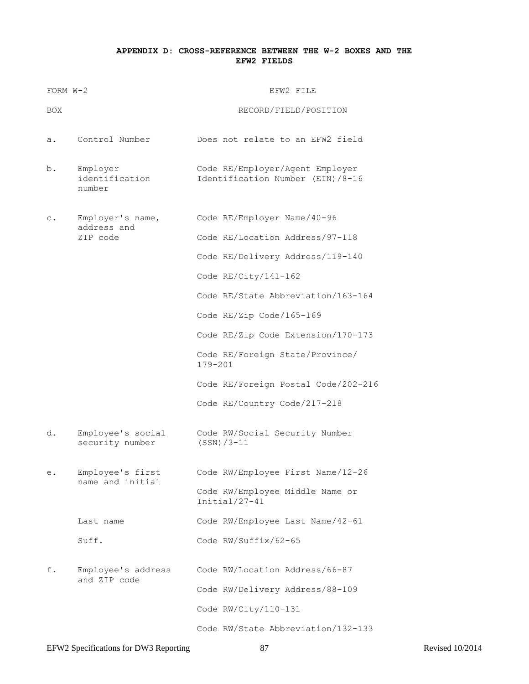### **APPENDIX D: CROSS-REFERENCE BETWEEN THE W-2 BOXES AND THE EFW2 FIELDS**

| FORM W-2 |                                             | EFW2 FILE                                                                                                                                                                                                                                                                                                                                                   |
|----------|---------------------------------------------|-------------------------------------------------------------------------------------------------------------------------------------------------------------------------------------------------------------------------------------------------------------------------------------------------------------------------------------------------------------|
| BOX      |                                             | RECORD/FIELD/POSITION                                                                                                                                                                                                                                                                                                                                       |
| а.       | Control Number                              | Does not relate to an EFW2 field                                                                                                                                                                                                                                                                                                                            |
| b.       | Employer<br>identification<br>number        | Code RE/Employer/Agent Employer<br>Identification Number (EIN) /8-16                                                                                                                                                                                                                                                                                        |
| с.       | Employer's name,<br>address and<br>ZIP code | Code RE/Employer Name/40-96<br>Code RE/Location Address/97-118<br>Code RE/Delivery Address/119-140<br>Code RE/City/141-162<br>Code RE/State Abbreviation/163-164<br>Code RE/Zip Code/165-169<br>Code RE/Zip Code Extension/170-173<br>Code RE/Foreign State/Province/<br>$179 - 201$<br>Code RE/Foreign Postal Code/202-216<br>Code RE/Country Code/217-218 |
| d.       | Employee's social<br>security number        | Code RW/Social Security Number<br>$(SSN)/3-11$                                                                                                                                                                                                                                                                                                              |
| е.       | Employee's first<br>name and initial        | Code RW/Employee First Name/12-26<br>Code RW/Employee Middle Name or<br>$Initial/27-41$                                                                                                                                                                                                                                                                     |
|          | Last name                                   | Code RW/Employee Last Name/42-61                                                                                                                                                                                                                                                                                                                            |
|          | Suff.                                       | Code RW/Suffix/62-65                                                                                                                                                                                                                                                                                                                                        |
| f.       | Employee's address<br>and ZIP code          | Code RW/Location Address/66-87<br>Code RW/Delivery Address/88-109<br>Code RW/City/110-131<br>Code RW/State Abbreviation/132-133                                                                                                                                                                                                                             |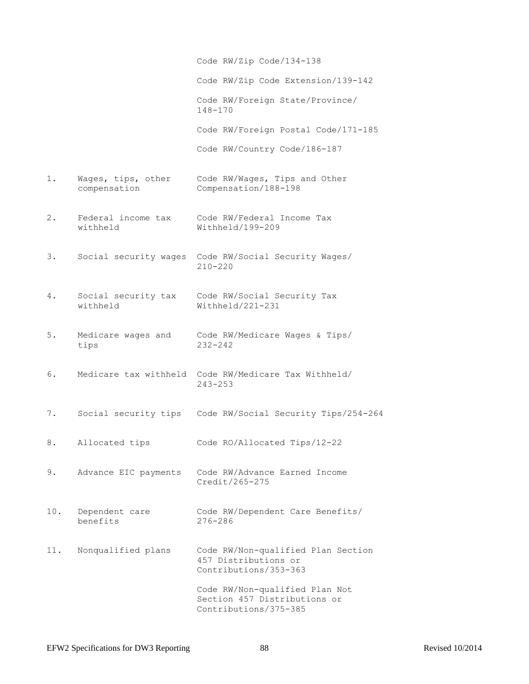Code RW/Zip Code/134-138 Code RW/Zip Code Extension/139-142 Code RW/Foreign State/Province/ 148-170 Code RW/Foreign Postal Code/171-185 Code RW/Country Code/186-187 1. Wages, tips, other Code RW/Wages, Tips and Other compensation Compensation/188-198 2. Federal income tax Code RW/Federal Income Tax withheld Withheld/199-209 3. Social security wages Code RW/Social Security Wages/ 210-220 4. Social security tax Code RW/Social Security Tax withheld Withheld/221-231 5. Medicare wages and Code RW/Medicare Wages & Tips/ tips 232-242 6. Medicare tax withheld Code RW/Medicare Tax Withheld/ 243-253 7. Social security tips Code RW/Social Security Tips/254-264 8. Allocated tips Code RO/Allocated Tips/12-22 9. Advance EIC payments Code RW/Advance Earned Income Credit/265-275 10. Dependent care Code RW/Dependent Care Benefits/ benefits 276-286 11. Nonqualified plans Code RW/Non-qualified Plan Section 457 Distributions or Contributions/353-363 Code RW/Non-qualified Plan Not Section 457 Distributions or Contributions/375-385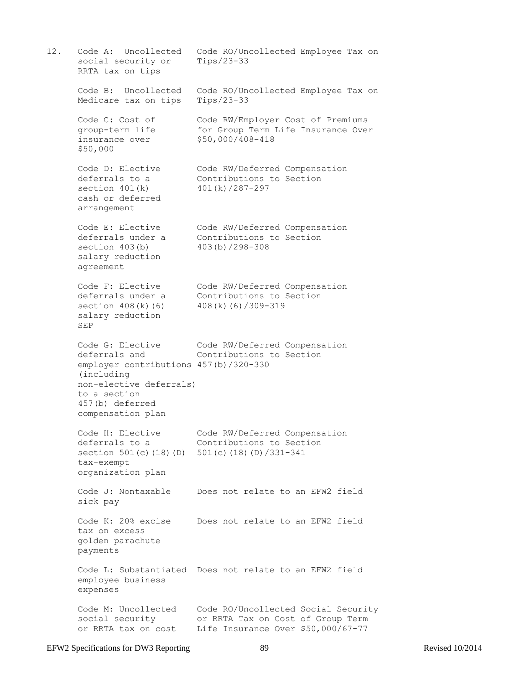12. Code A: Uncollected Code RO/Uncollected Employee Tax on social security or Tips/23-33 RRTA tax on tips Code B: Uncollected Code RO/Uncollected Employee Tax on Medicare tax on tips Tips/23-33 Code C: Cost of Code RW/Employer Cost of Premiums group-term life for Group Term Life Insurance Over insurance over \$50,000/408-418 \$50,000 Code D: Elective Code RW/Deferred Compensation<br>deferrals to a Contributions to Section Contributions to Section section 401(k) 401(k)/287-297 cash or deferred arrangement Code E: Elective Code RW/Deferred Compensation deferrals under a Contributions to Section section 403(b) 403(b)/298-308 salary reduction agreement Code F: Elective Code RW/Deferred Compensation deferrals under a Contributions to Section section 408(k)(6) 408(k)(6)/309-319 salary reduction SEP Code G: Elective Code RW/Deferred Compensation deferrals and Contributions to Section employer contributions 457(b)/320-330 (including non-elective deferrals) to a section 457(b) deferred compensation plan Code H: Elective Code RW/Deferred Compensation deferrals to a Contributions to Section section 501(c)(18)(D) 501(c)(18)(D)/331-341 tax-exempt organization plan Code J: Nontaxable Does not relate to an EFW2 field sick pay Code K: 20% excise Does not relate to an EFW2 field tax on excess golden parachute payments Code L: Substantiated Does not relate to an EFW2 field employee business expenses Code M: Uncollected Code RO/Uncollected Social Security social security or RRTA Tax on Cost of Group Term or RRTA tax on cost Life Insurance Over \$50,000/67-77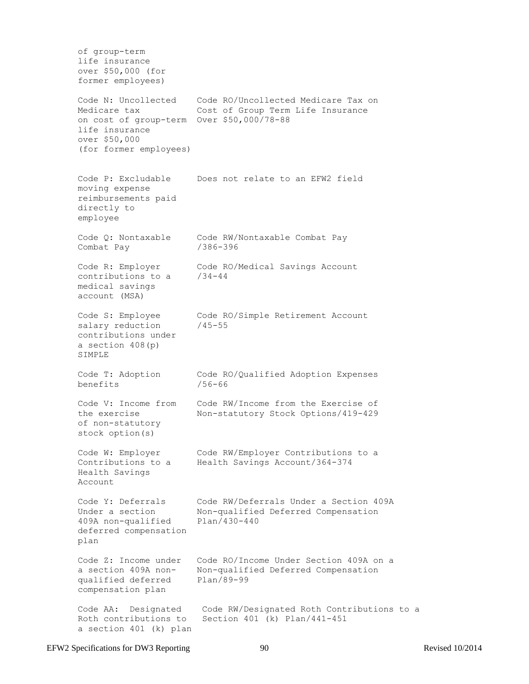of group-term life insurance over \$50,000 (for former employees) Code N: Uncollected Code RO/Uncollected Medicare Tax on Medicare tax Cost of Group Term Life Insurance on cost of group-term Over \$50,000/78-88 life insurance over \$50,000 (for former employees) Code P: Excludable Does not relate to an EFW2 field moving expense reimbursements paid directly to employee Code Q: Nontaxable Code RW/Nontaxable Combat Pay Combat Pay /386-396 Code R: Employer Code RO/Medical Savings Account contributions to a /34-44 medical savings account (MSA) Code S: Employee Code RO/Simple Retirement Account salary reduction /45-55 contributions under a section 408(p) SIMPLE Code T: Adoption Code RO/Qualified Adoption Expenses benefits /56-66 Code V: Income from Code RW/Income from the Exercise of the exercise Non-statutory Stock Options/419-429 of non-statutory stock option(s) Code W: Employer Code RW/Employer Contributions to a Contributions to a Health Savings Account/364-374 Health Savings Account Code Y: Deferrals Code RW/Deferrals Under a Section 409A Under a section Non-qualified Deferred Compensation 409A non-qualified Plan/430-440 deferred compensation plan Code Z: Income under Code RO/Income Under Section 409A on a a section 409A non- Non-qualified Deferred Compensation qualified deferred Plan/89-99 compensation plan Code AA: Designated Code RW/Designated Roth Contributions to a Roth contributions to Section 401 (k) Plan/441-451 a section 401 (k) plan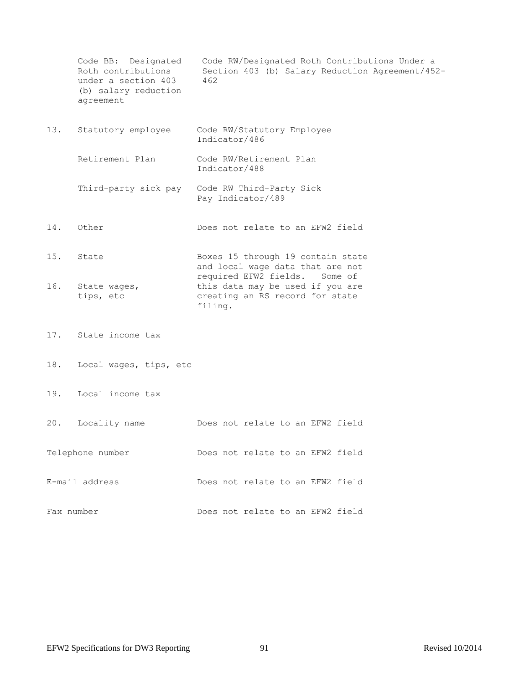|            | Code BB: Designated<br>Roth contributions<br>under a section 403<br>(b) salary reduction<br>agreement | Code RW/Designated Roth Contributions Under a<br>Section 403 (b) Salary Reduction Agreement/452-<br>462         |
|------------|-------------------------------------------------------------------------------------------------------|-----------------------------------------------------------------------------------------------------------------|
| 13.        | Statutory employee                                                                                    | Code RW/Statutory Employee<br>Indicator/486                                                                     |
|            | Retirement Plan                                                                                       | Code RW/Retirement Plan<br>Indicator/488                                                                        |
|            | Third-party sick pay                                                                                  | Code RW Third-Party Sick<br>Pay Indicator/489                                                                   |
| 14.        | Other                                                                                                 | Does not relate to an EFW2 field                                                                                |
| 15.        | State                                                                                                 | Boxes 15 through 19 contain state<br>and local wage data that are not                                           |
| 16.        | State wages,<br>tips, etc                                                                             | required EFW2 fields. Some of<br>this data may be used if you are<br>creating an RS record for state<br>filing. |
| 17.        | State income tax                                                                                      |                                                                                                                 |
| 18.        | Local wages, tips, etc                                                                                |                                                                                                                 |
| 19.        | Local income tax                                                                                      |                                                                                                                 |
| 20.        | Locality name                                                                                         | Does not relate to an EFW2 field                                                                                |
|            | Telephone number                                                                                      | Does not relate to an EFW2 field                                                                                |
|            | E-mail address                                                                                        | Does not relate to an EFW2 field                                                                                |
| Fax number |                                                                                                       | Does not relate to an EFW2 field                                                                                |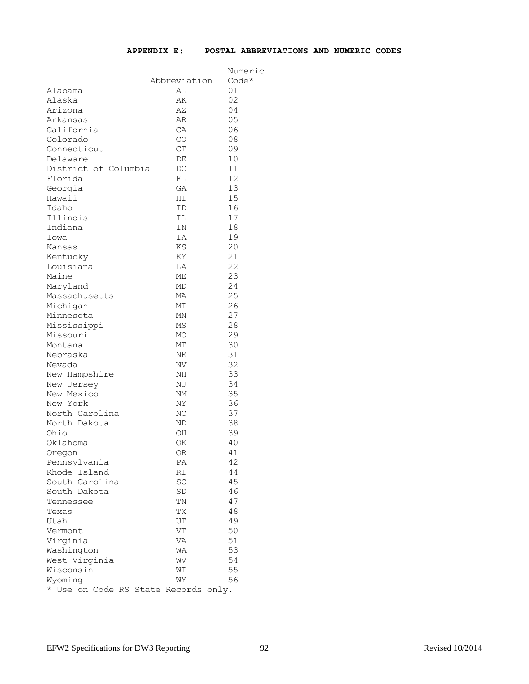|                                |              | Numeric |
|--------------------------------|--------------|---------|
|                                | Abbreviation | $Code*$ |
| Alabama                        | AL           | 01      |
| Alaska                         | AК           | 02      |
| Arizona                        | ΑZ           | 04      |
| Arkansas                       | AR           | 05      |
| California                     | СA           | 06      |
| Colorado                       | CO           | 08      |
| Connecticut                    | CT           | 09      |
| Delaware                       | DE           | 10      |
| District of Columbia           | DC           | 11      |
| Florida                        | FL           | 12      |
| Georgia                        | GА           | 13      |
| Hawaii                         | ΗI           | 15      |
| Idaho                          | ΙD           | 16      |
| Illinois                       | ΙL           | 17      |
| Indiana                        | ΙN           | 18      |
| Iowa                           | IA           | 19      |
|                                | KS           | 20      |
| Kansas                         |              | 21      |
| Kentucky                       | ΚY           | 22      |
| Louisiana                      | LΑ           |         |
| Maine                          | МE           | 23      |
| Maryland                       | МD           | 24      |
| Massachusetts                  | МA           | 25      |
| Michigan                       | MΙ           | 26      |
| Minnesota                      | ΜN           | 27      |
| Mississippi                    | ΜS           | 28      |
| Missouri                       | МO           | 29      |
| Montana                        | MТ           | 30      |
| Nebraska                       | ΝE           | 31      |
| Nevada                         | ΝV           | 32      |
| New Hampshire                  | ΝH           | 33      |
| New Jersey                     | ΝJ           | 34      |
| New Mexico                     | NM           | 35      |
| New York                       | NΥ           | 36      |
| North Carolina                 | ΝC           | 37      |
| North Dakota                   | ΝD           | 38      |
| Ohio                           | OН           | 39      |
| Oklahoma                       | ΟK           | 40      |
| Oregon                         | ΟR           | 41      |
| Pennsylvania                   | ΡA           | 42      |
| Rhode Island                   | RI           | 44      |
| South Carolina                 | SC           | 45      |
| South Dakota                   | SD           | 46      |
| Tennessee                      | ΤN           | 47      |
| Texas                          | ТX           | 48      |
| Utah                           | UT           | 49      |
| Vermont                        | VT           | 50      |
| Virginia                       | VA           | 51      |
| Washington                     | WA           | 53      |
| West Virginia                  | WV           | 54      |
| Wisconsin                      | WΙ           | 55      |
| Wyoming                        | WΥ           | 56      |
| * Use on Code RS State Records |              | only.   |
|                                |              |         |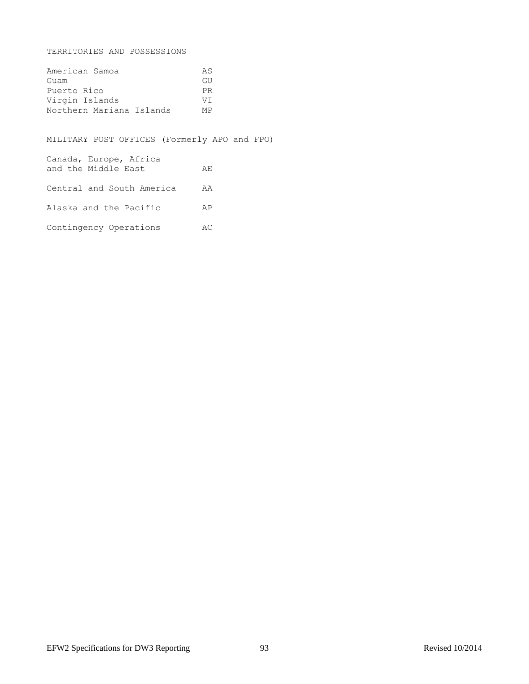TERRITORIES AND POSSESSIONS

| American Samoa           | ΆS  |
|--------------------------|-----|
| Guam                     | GU  |
| Puerto Rico              | PR  |
| Virgin Islands           | VT. |
| Northern Mariana Islands | МP  |

MILITARY POST OFFICES (Formerly APO and FPO)

Canada, Europe, Africa and the Middle East AE Central and South America AA Alaska and the Pacific AP Contingency Operations AC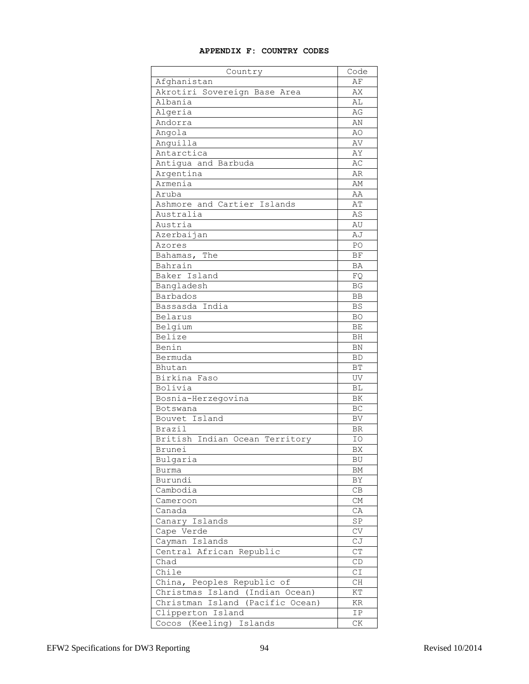# **APPENDIX F: COUNTRY CODES**

| Country                          | Code                   |
|----------------------------------|------------------------|
| Afghanistan                      | ΑF                     |
| Akrotiri Sovereign Base Area     | AX                     |
| Albania                          | AL                     |
| Algeria                          | AG                     |
| Andorra                          | ΆN                     |
| Angola                           | AO                     |
| Anguilla                         | AV                     |
| Antarctica                       | ΆY                     |
| Antiqua and Barbuda              | AC                     |
| Argentina                        | AR                     |
| Armenia                          | ΆM                     |
| Aruba                            | ΆA                     |
| Ashmore and Cartier Islands      | AΤ                     |
| Australia                        | AS                     |
| Austria                          | AU                     |
| Azerbaijan                       | AJ                     |
| Azores                           | PO                     |
|                                  | ΒF                     |
| Bahamas, The<br>Bahrain          |                        |
|                                  | BA                     |
| Baker Island                     | FQ.                    |
| Bangladesh                       | ΒG                     |
| <b>Barbados</b>                  | ВB                     |
| Bassasda India                   | <b>BS</b>              |
| Belarus                          | BO                     |
| Belgium                          | BE                     |
| Belize                           | BH                     |
| Benin                            | BN                     |
| Bermuda                          | BD.                    |
| Bhutan                           | ВT                     |
| Birkina Faso                     | UV                     |
| Bolivia                          | ВL                     |
| Bosnia-Herzegovina               | ΒK                     |
| Botswana                         | BC                     |
| Bouvet Island                    | BV                     |
| Brazil                           | <b>BR</b>              |
| British Indian Ocean Territory   | IΟ                     |
| Brunei                           | ΒX                     |
| Bulgaria                         | BU                     |
| <b>Burma</b>                     | ΒM                     |
| Burundi                          | ΒY                     |
| Cambodia                         | CВ                     |
| Cameroon                         | СM                     |
| Canada                           | CA                     |
| Canary Islands                   | SP                     |
| Cape Verde                       | ${\rm CV}$             |
| Cayman Islands                   | СJ                     |
| Central African Republic         | ${\cal C}{\cal T}$     |
| Chad                             | CD                     |
| Chile                            | СI                     |
| China, Peoples Republic of       | CH                     |
| Christmas Island (Indian Ocean)  | ΚT                     |
| Christman Island (Pacific Ocean) | KR                     |
| Clipperton Island                | IP                     |
| Cocos (Keeling) Islands          | $\mathrm{C}\mathrm{K}$ |
|                                  |                        |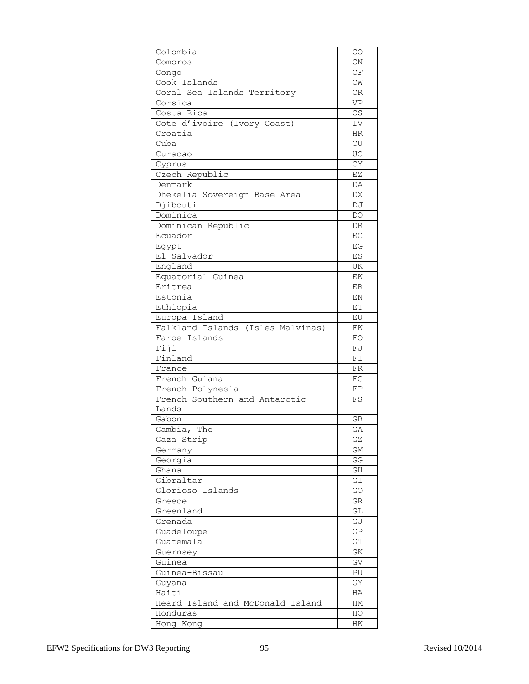| Colombia                          | CO                       |
|-----------------------------------|--------------------------|
| Comoros                           | CN                       |
| Congo                             | $\mathbb{C}\mathcal{F}$  |
| Cook Islands                      | CW                       |
| Coral Sea Islands Territory       | CR                       |
| Corsica                           | VP                       |
| Costa Rica                        | CS                       |
| Cote d'ivoire (Ivory Coast)       | IV                       |
| Croatia                           | HR                       |
| Cuba                              | CU                       |
| Curacao                           | UC                       |
| Cyprus                            | CY                       |
| Czech Republic                    | EZ                       |
| Denmark                           | DA                       |
| Dhekelia Sovereign Base Area      | DX                       |
| Diibouti                          | DJ                       |
| Dominica                          | DO                       |
| Dominican Republic                | DR                       |
| Ecuador                           | EC                       |
| Egypt                             | EG                       |
| El Salvador                       | ES                       |
| England                           | UK                       |
| Equatorial Guinea                 | ΕK                       |
| Eritrea                           | ER                       |
| Estonia                           | ΕN                       |
| Ethiopia                          | ЕT                       |
| Europa Island                     | EU                       |
| Falkland Islands (Isles Malvinas) | FK                       |
| Faroe Islands                     | FO                       |
| Fiji                              | FJ                       |
| Finland                           | FI                       |
| France                            | FR                       |
| French Guiana                     | FG                       |
| French Polynesia                  | FP                       |
| French Southern and Antarctic     | FS                       |
| Lands                             |                          |
| Gabon                             | GB                       |
| Gambia,<br>The                    | GA                       |
| Gaza Strip                        | GZ                       |
| Germany                           | GM                       |
| Georgia                           | GG                       |
| Ghana<br>Gibraltar                | GH<br>GI                 |
| Glorioso Islands                  | GO                       |
| Greece                            | GR                       |
| Greenland                         | GL                       |
| Grenada                           | GJ                       |
| Guadeloupe                        | GP                       |
| Guatemala                         | ${\mathbb G}{\mathbb T}$ |
| Guernsey                          | GΚ                       |
| Guinea                            | GV                       |
| Guinea-Bissau                     | PU                       |
| Guyana                            | GY                       |
| Haiti                             | НA                       |
| Heard Island and McDonald Island  | HМ                       |
| Honduras                          | HO                       |
| Hong Kong                         | ΗK                       |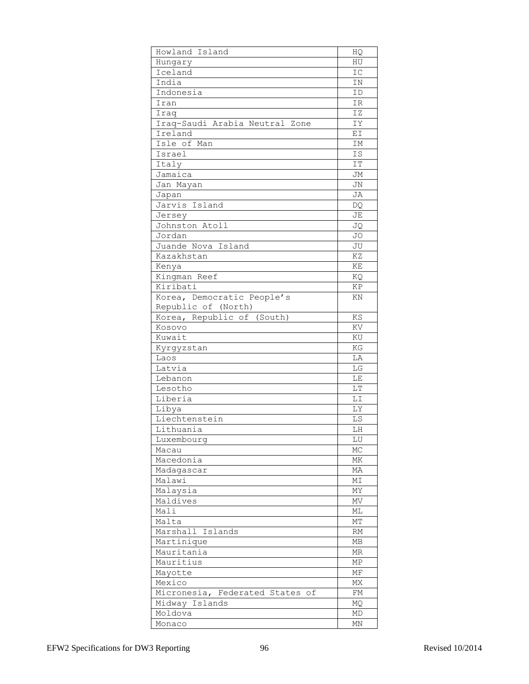| Howland Island                  | HQ         |
|---------------------------------|------------|
| Hungary                         | ΗU         |
| Iceland                         | IC         |
| India                           | ΙN         |
| Indonesia                       | ΙD         |
| Iran                            | ΙR         |
| Iraq                            | IZ         |
| Iraq-Saudi Arabia Neutral Zone  | IΥ         |
| Ireland                         | ΕI         |
| Isle of Man                     | ΙM         |
| Israel                          | IS.        |
| Italy                           | IT         |
| Jamaica                         | JМ         |
| Jan Mayan                       | JN         |
| Japan                           | JA         |
| Jarvis Island                   | DQ         |
| Jersey                          | JE         |
| Johnston Atoll                  | JQ         |
| Jordan                          | JO         |
| Juande Nova Island              | JU         |
| Kazakhstan                      | ΚZ         |
| Kenya                           | ΚE         |
| Kingman Reef                    | ΚQ         |
| Kiribati                        | ΚP         |
| Korea, Democratic People's      | ΚN         |
| Republic of (North)             |            |
| Korea, Republic of (South)      | KS         |
| Kosovo                          | ΚV         |
| Kuwait                          | ΚU         |
| Kyrgyzstan                      | ΚG         |
| Laos                            | LA         |
| Latvia                          | LG         |
| Lebanon<br>Lesotho              | LΕ<br>LΤ   |
| Liberia                         | LI         |
| Libya                           | LY         |
| Liechtenstein                   | LS         |
| Lithuania                       | LΗ         |
| Luxembourg                      | LU         |
| Macau                           | MC         |
| Macedonia                       | ΜK         |
| Madagascar                      | МA         |
| Malawi                          | ΜI         |
| Malaysia                        | MΥ         |
| Maldives                        | ΜV         |
| Mali                            | МL         |
| Malta                           | МT         |
| Marshall Islands                | RM         |
| Martinique                      | МB         |
| Mauritania                      | MR.        |
| Mauritius                       | ${\tt MP}$ |
| Mayotte                         | МF         |
| Mexico                          | MX         |
| Micronesia, Federated States of | FΜ         |
| Midway Islands                  | MQ         |
| Moldova                         | MD         |
| Monaco                          | ΜN         |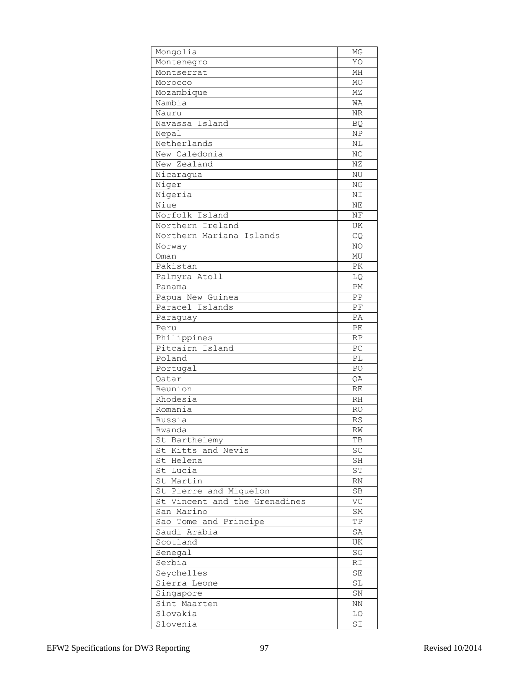| Mongolia                      | ΜG         |
|-------------------------------|------------|
| Montenegro                    | YO         |
| Montserrat                    | МH         |
| Morocco                       | MO         |
| Mozambique                    | MZ         |
| Nambia                        | WA         |
| Nauru                         | ΝR         |
| Navassa Island                | <b>BQ</b>  |
| Nepal                         | NP         |
| Netherlands                   | ΝL         |
| New Caledonia                 | NC         |
| New Zealand                   | ΝZ         |
| Nicaragua                     | NU         |
| Niger                         | NG         |
| Nigeria                       | NΙ         |
| Niue                          | ΝE         |
| Norfolk Island                | ΝF         |
| Northern Ireland              | UK         |
| Northern Mariana Islands      | CQ         |
| Norway                        | ΝO         |
| Oman                          | MU         |
| Pakistan                      | PK         |
| Palmyra Atoll                 | LQ         |
| Panama                        | PМ         |
| Papua New Guinea              | ΡP         |
| Paracel Islands               | PF         |
| Paraguay                      | PA         |
| Peru                          | PE         |
| Philippines                   | RP         |
| Pitcairn Island               | PC         |
| Poland                        | РL         |
| Portugal                      | PO         |
| Qatar                         | QΑ         |
| Reunion                       | RE         |
| Rhodesia                      | RH         |
| Romania                       | RO         |
| Russia                        | RS         |
| Rwanda                        | RW         |
| St Barthelemy                 | TB         |
| St Kitts and Nevis            | SC         |
| St Helena                     | SH         |
| St Lucia                      | ST         |
| St Martin                     | RN         |
| St Pierre and Miquelon        | <b>SB</b>  |
| St Vincent and the Grenadines | VC         |
| San Marino                    | SM         |
| Sao Tome and Principe         | ΤP         |
| Saudi Arabia                  | SA         |
| Scotland                      | UK         |
| Senegal                       | SG         |
| Serbia                        | RI         |
| Seychelles                    | SE         |
| Sierra Leone                  | SL         |
| Singapore                     | ${\rm SN}$ |
| Sint Maarten<br>Slovakia      | NN<br>LO   |
|                               |            |
| Slovenia                      | SI         |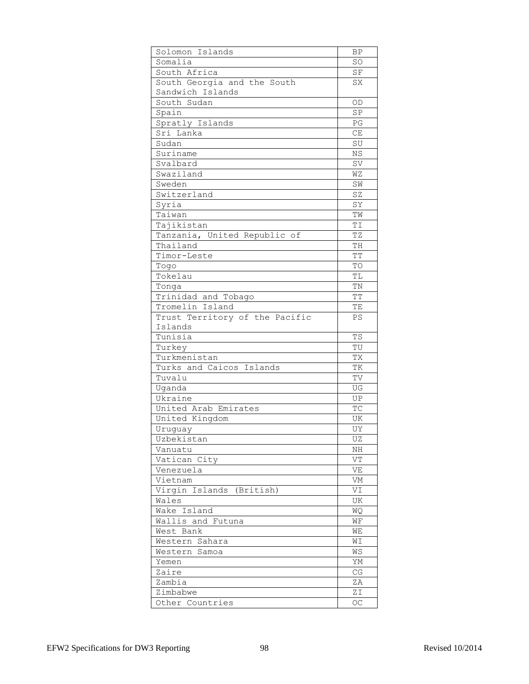| Solomon Islands                          | ΒP                     |
|------------------------------------------|------------------------|
| Somalia                                  | SO                     |
| South Africa                             | SF                     |
| South Georgia and the South              | SX                     |
| Sandwich Islands                         |                        |
| South Sudan                              | 0D                     |
| Spain                                    | SP                     |
| Spratly Islands                          | PG                     |
| Sri Lanka                                | CE                     |
| Sudan                                    | SU                     |
| Suriname                                 | NS                     |
| Svalbard                                 | SV                     |
| Swaziland                                | WΖ                     |
| Sweden                                   | SW                     |
| Switzerland                              | SZ                     |
| Syria                                    | SY                     |
| Taiwan                                   | ТW                     |
| Tajikistan                               | ΤI                     |
| Tanzania, United Republic of             | ΤZ                     |
| Thailand                                 | TH                     |
| Timor-Leste                              | ТT                     |
| Togo                                     | TO                     |
| Tokelau                                  | TL                     |
| Tonga                                    | TN                     |
| Trinidad and Tobago                      | ТT                     |
| Tromelin Island                          | ΤE                     |
| Trust Territory of the Pacific           | PS                     |
| Islands                                  |                        |
| Tunisia                                  | <b>TS</b><br>TU        |
| Turkey                                   |                        |
| Turkmenistan<br>Turks and Caicos Islands | ТX<br>TК               |
| Tuvalu                                   | TV                     |
| Uganda                                   | UG                     |
| Ukraine                                  | UP                     |
| United Arab Emirates                     | TC                     |
| United Kingdom                           | UK                     |
| Uruquay                                  | UΥ                     |
| Uzbekistan                               | UZ                     |
| Vanuatu                                  | ΝH                     |
| Vatican City                             | VT                     |
| Venezuela                                | VE                     |
| Vietnam                                  | VM                     |
| Virgin Islands (British)                 | VI                     |
| Wales                                    | UK                     |
| Wake Island                              | <b>WQ</b>              |
| Wallis and Futuna                        | WF                     |
| West Bank                                | WЕ                     |
| Western Sahara                           | WΙ                     |
| Western Samoa                            | WS                     |
| Yemen                                    | YM                     |
| Zaire                                    | $\mathbb{C}\mathbb{G}$ |
| Zambia                                   | ΖA                     |
| Zimbabwe                                 | ZΙ                     |
| Other Countries                          | OC                     |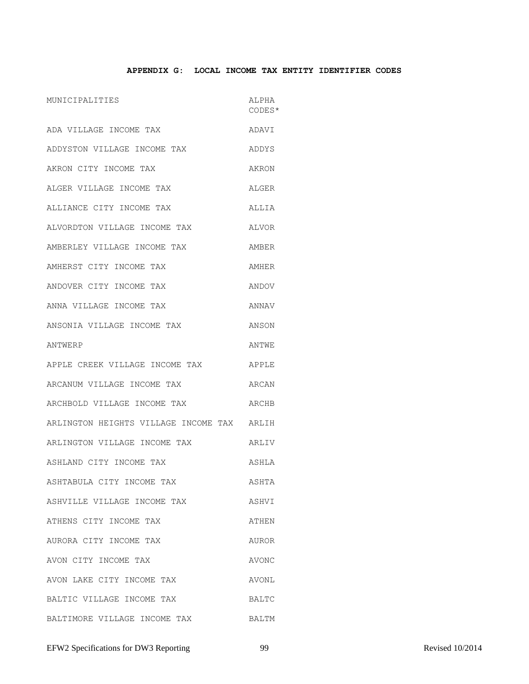### **APPENDIX G: LOCAL INCOME TAX ENTITY IDENTIFIER CODES**

| MUNICIPALITIES                             | ALPHA<br>CODES* |
|--------------------------------------------|-----------------|
| ADA VILLAGE INCOME TAX                     | ADAVI           |
| ADDYSTON VILLAGE INCOME TAX                | ADDYS           |
| AKRON CITY INCOME TAX                      | AKRON           |
| ALGER VILLAGE INCOME TAX                   | ALGER           |
| ALLIANCE CITY INCOME TAX                   | ALLIA           |
| ALVORDTON VILLAGE INCOME TAX               | ALVOR           |
| AMBERLEY VILLAGE INCOME TAX                | AMBER           |
| AMHERST CITY INCOME TAX                    | AMHER           |
| ANDOVER CITY INCOME TAX                    | ANDOV           |
| ANNA VILLAGE INCOME TAX                    | ANNAV           |
| ANSONIA VILLAGE INCOME TAX                 | ANSON           |
| ANTWERP                                    | ANTWE           |
| APPLE CREEK VILLAGE INCOME TAX             | APPLE           |
| ARCANUM VILLAGE INCOME TAX                 | ARCAN           |
| ARCHBOLD VILLAGE INCOME TAX                | ARCHB           |
| ARLINGTON HEIGHTS VILLAGE INCOME TAX ARLIH |                 |
| ARLINGTON VILLAGE INCOME TAX               | ARLIV           |
| ASHLAND CITY INCOME TAX                    | ASHLA           |
| ASHTABULA CITY INCOME TAX                  | ASHTA           |
| ASHVILLE VILLAGE INCOME TAX                | ASHVI           |
| ATHENS CITY INCOME TAX                     | ATHEN           |
| AURORA CITY INCOME TAX                     | AUROR           |
| AVON CITY INCOME TAX                       | AVONC           |
| AVON LAKE CITY INCOME TAX                  | AVONL           |
| BALTIC VILLAGE INCOME TAX                  | BALTC           |
| BALTIMORE VILLAGE INCOME TAX               | BALTM           |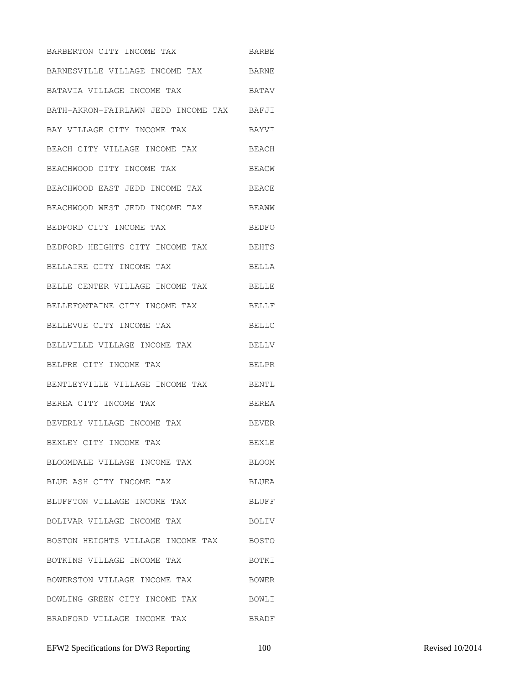BARBERTON CITY INCOME TAX BARBE BARNESVILLE VILLAGE INCOME TAX BARNE BATAVIA VILLAGE INCOME TAX BATAV BATH-AKRON-FAIRLAWN JEDD INCOME TAX BAFJI BAY VILLAGE CITY INCOME TAX BAYVI BEACH CITY VILLAGE INCOME TAX BEACH BEACHWOOD CITY INCOME TAX BEACW BEACHWOOD EAST JEDD INCOME TAX BEACE BEACHWOOD WEST JEDD INCOME TAX BEAWW BEDFORD CITY INCOME TAX BEDFO BEDFORD HEIGHTS CITY INCOME TAX BEHTS BELLAIRE CITY INCOME TAX BELLA BELLE CENTER VILLAGE INCOME TAX BELLE BELLEFONTAINE CITY INCOME TAX BELLF BELLEVUE CITY INCOME TAX BELLC BELLVILLE VILLAGE INCOME TAX BELLV BELPRE CITY INCOME TAX BELPR BENTLEYVILLE VILLAGE INCOME TAX BENTL BEREA CITY INCOME TAX BEREA BEVERLY VILLAGE INCOME TAX BEVER BEXLEY CITY INCOME TAX BEXLE BLOOMDALE VILLAGE INCOME TAX BLOOM BLUE ASH CITY INCOME TAX BLUEA BLUFFTON VILLAGE INCOME TAX BLUFF BOLIVAR VILLAGE INCOME TAX BOSTON HEIGHTS VILLAGE INCOME TAX BOSTO BOTKINS VILLAGE INCOME TAX BOTKI BOWERSTON VILLAGE INCOME TAX BOWER BOWLING GREEN CITY INCOME TAX BOWLI BRADFORD VILLAGE INCOME TAX BRADF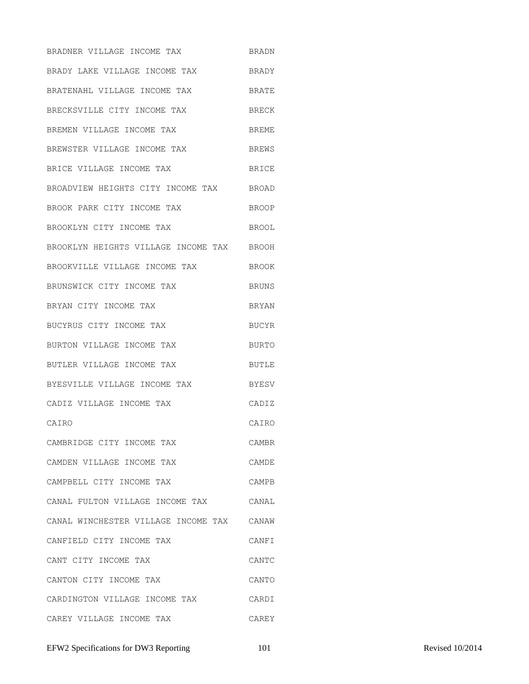BRADNER VILLAGE INCOME TAX BRADN BRADY LAKE VILLAGE INCOME TAX BRADY BRATENAHL VILLAGE INCOME TAX BRATE BRECKSVILLE CITY INCOME TAX BRECK BREMEN VILLAGE INCOME TAX BREME BREWSTER VILLAGE INCOME TAX BREWS BRICE VILLAGE INCOME TAX BRICE BROADVIEW HEIGHTS CITY INCOME TAX BROAD BROOK PARK CITY INCOME TAX BROOP BROOKLYN CITY INCOME TAX BROOL BROOKLYN HEIGHTS VILLAGE INCOME TAX BROOH BROOKVILLE VILLAGE INCOME TAX BROOK BRUNSWICK CITY INCOME TAX BRUNS BRYAN CITY INCOME TAX BRYAN BUCYRUS CITY INCOME TAX BUCYR BURTON VILLAGE INCOME TAX BURTO BUTLER VILLAGE INCOME TAX BUTLE BYESVILLE VILLAGE INCOME TAX BYESV CADIZ VILLAGE INCOME TAX CADIZ CAIRO CAIRO CAMBRIDGE CITY INCOME TAX CAMBR CAMDEN VILLAGE INCOME TAX CAMDE CAMPBELL CITY INCOME TAX CAMPB CANAL FULTON VILLAGE INCOME TAX CANAL CANAL WINCHESTER VILLAGE INCOME TAX CANAW CANFIELD CITY INCOME TAX CANFI CANT CITY INCOME TAX CANTC CANTON CITY INCOME TAX CANTO CARDINGTON VILLAGE INCOME TAX CARDI CAREY VILLAGE INCOME TAX CAREY

EFW2 Specifications for DW3 Reporting 101 Revised 10/2014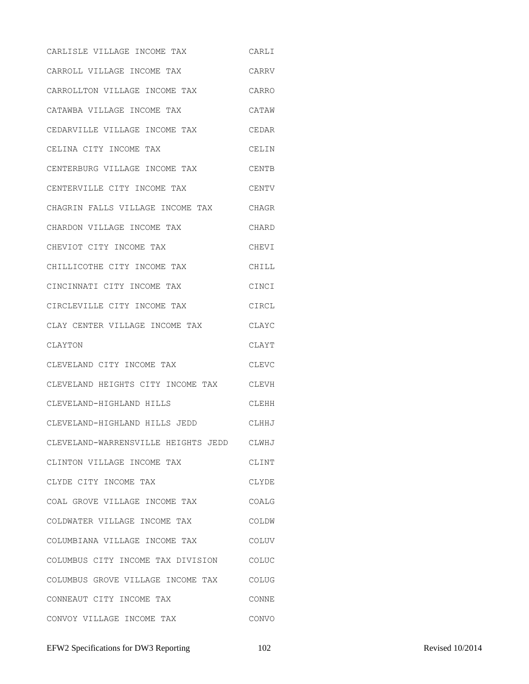CARLISLE VILLAGE INCOME TAX CARLI CARROLL VILLAGE INCOME TAX CARRV CARROLLTON VILLAGE INCOME TAX CARRO CATAWBA VILLAGE INCOME TAX CATAW CEDARVILLE VILLAGE INCOME TAX CEDAR CELINA CITY INCOME TAX CELIN CENTERBURG VILLAGE INCOME TAX CENTB CENTERVILLE CITY INCOME TAX CENTV CHAGRIN FALLS VILLAGE INCOME TAX CHAGR CHARDON VILLAGE INCOME TAX CHARD CHEVIOT CITY INCOME TAX CHEVI CHILLICOTHE CITY INCOME TAX CHILL CINCINNATI CITY INCOME TAX CINCI CIRCLEVILLE CITY INCOME TAX CIRCL CLAY CENTER VILLAGE INCOME TAX CLAYC CLAYTON CLAYT CLEVELAND CITY INCOME TAX CLEVC CLEVELAND HEIGHTS CITY INCOME TAX CLEVH CLEVELAND-HIGHLAND HILLS CLEHH CLEVELAND-HIGHLAND HILLS JEDD CLHHJ CLEVELAND-WARRENSVILLE HEIGHTS JEDD CLWHJ CLINTON VILLAGE INCOME TAX CLINT CLYDE CITY INCOME TAX CLYDE COAL GROVE VILLAGE INCOME TAX COALG COLDWATER VILLAGE INCOME TAX COLDW COLUMBIANA VILLAGE INCOME TAX COLUV COLUMBUS CITY INCOME TAX DIVISION COLUC COLUMBUS GROVE VILLAGE INCOME TAX COLUG CONNEAUT CITY INCOME TAX CONNE CONVOY VILLAGE INCOME TAX CONVO

EFW2 Specifications for DW3 Reporting 102 Revised 10/2014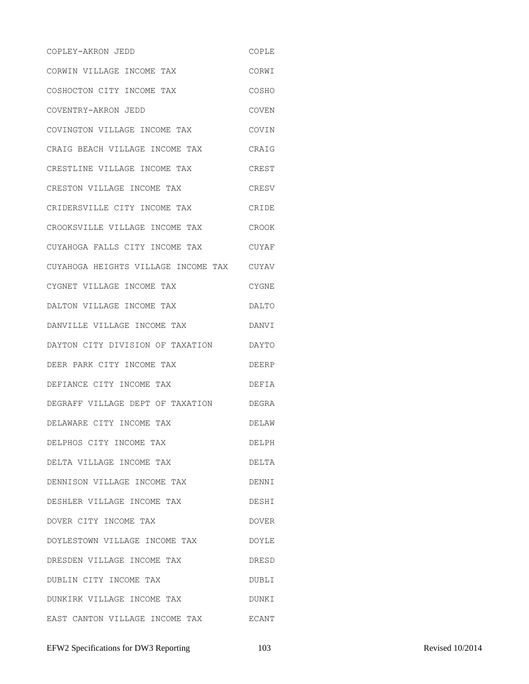COPLEY-AKRON JEDD COPLE CORWIN VILLAGE INCOME TAX CORWI COSHOCTON CITY INCOME TAX COSHO COVENTRY-AKRON JEDD COVEN COVINGTON VILLAGE INCOME TAX COVIN CRAIG BEACH VILLAGE INCOME TAX CRAIG CRESTLINE VILLAGE INCOME TAX CREST CRESTON VILLAGE INCOME TAX CRESV CRIDERSVILLE CITY INCOME TAX CRIDE CROOKSVILLE VILLAGE INCOME TAX CROOK CUYAHOGA FALLS CITY INCOME TAX CUYAF CUYAHOGA HEIGHTS VILLAGE INCOME TAX CUYAV CYGNET VILLAGE INCOME TAX CYGNE DALTON VILLAGE INCOME TAX DALTO DANVILLE VILLAGE INCOME TAX DANVI DAYTON CITY DIVISION OF TAXATION DAYTO DEER PARK CITY INCOME TAX DEERP DEFIANCE CITY INCOME TAX DEFIA DEGRAFF VILLAGE DEPT OF TAXATION DEGRA DELAWARE CITY INCOME TAX DELAW DELPHOS CITY INCOME TAX DELPH DELTA VILLAGE INCOME TAX DELTA DENNISON VILLAGE INCOME TAX DENNI DESHLER VILLAGE INCOME TAX DESHI DOVER CITY INCOME TAX DOVER DOYLESTOWN VILLAGE INCOME TAX DOYLE DRESDEN VILLAGE INCOME TAX DRESD DUBLIN CITY INCOME TAX DUBLI DUNKIRK VILLAGE INCOME TAX DUNKI EAST CANTON VILLAGE INCOME TAX ECANT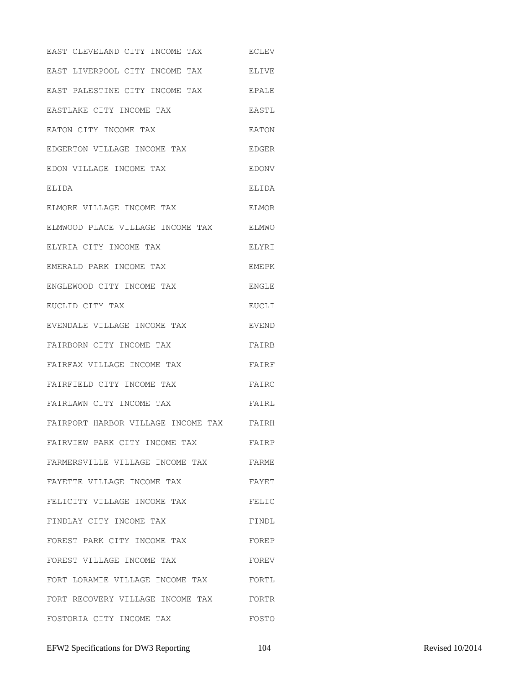| EAST CLEVELAND CITY INCOME TAX     | <b>ECLEV</b> |
|------------------------------------|--------------|
| EAST LIVERPOOL CITY INCOME TAX     | <b>ELIVE</b> |
| EAST PALESTINE CITY INCOME TAX     | <b>EPALE</b> |
| EASTLAKE CITY INCOME TAX           | EASTL        |
| EATON CITY INCOME TAX              | EATON        |
| EDGERTON VILLAGE INCOME TAX        | EDGER        |
| EDON VILLAGE INCOME TAX            | <b>EDONV</b> |
| ELIDA                              | ELIDA        |
| ELMORE VILLAGE INCOME TAX          | ELMOR        |
| ELMWOOD PLACE VILLAGE INCOME TAX   | ELMWO        |
| ELYRIA CITY INCOME TAX             | ELYRI        |
| EMERALD PARK INCOME TAX            | EMEPK        |
| ENGLEWOOD CITY INCOME TAX          | <b>ENGLE</b> |
| EUCLID CITY TAX                    | EUCLI        |
| EVENDALE VILLAGE INCOME TAX        | EVEND        |
| FAIRBORN CITY INCOME TAX           | FAIRB        |
| FAIRFAX VILLAGE INCOME TAX         | FAIRF        |
| FAIRFIELD CITY INCOME TAX          | FAIRC        |
| FAIRLAWN CITY INCOME TAX           | FAIRL        |
| FAIRPORT HARBOR VILLAGE INCOME TAX | FAIRH        |
| FAIRVIEW PARK CITY INCOME TAX      | FAIRP        |
| FARMERSVILLE VILLAGE INCOME TAX    | FARME        |
| FAYETTE VILLAGE INCOME TAX         | FAYET        |
| FELICITY VILLAGE INCOME TAX        | FELIC        |
| FINDLAY CITY INCOME TAX            | FINDL        |
| FOREST PARK CITY INCOME TAX        | FOREP        |
| FOREST VILLAGE INCOME TAX          | FOREV        |
| FORT LORAMIE VILLAGE INCOME TAX    | FORTL        |
| FORT RECOVERY VILLAGE INCOME TAX   | FORTR        |
| FOSTORIA CITY INCOME TAX           | FOSTO        |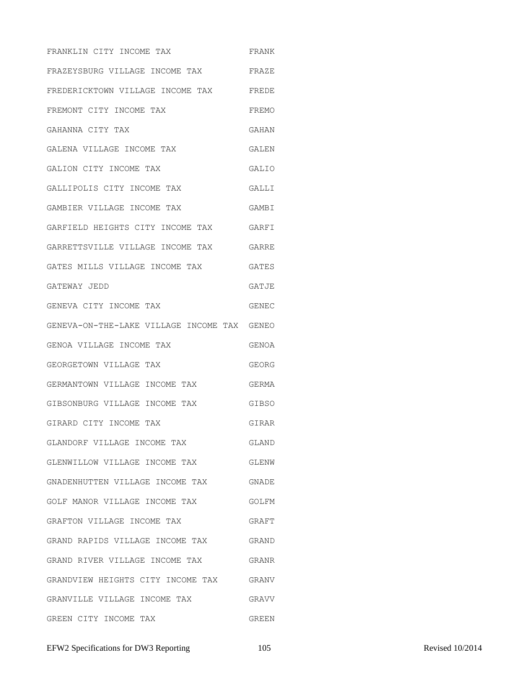FRANKLIN CITY INCOME TAX FRANK FRAZEYSBURG VILLAGE INCOME TAX FRAZE FREDERICKTOWN VILLAGE INCOME TAX FREDE FREMONT CITY INCOME TAX FREMO GAHANNA CITY TAX GAHAN GALENA VILLAGE INCOME TAX GALEN GALION CITY INCOME TAX GALIO GALLIPOLIS CITY INCOME TAX GALLI GAMBIER VILLAGE INCOME TAX GAMBI GARFIELD HEIGHTS CITY INCOME TAX GARFI GARRETTSVILLE VILLAGE INCOME TAX GARRE GATES MILLS VILLAGE INCOME TAX GATES GATEWAY JEDD GATJE GENEVA CITY INCOME TAX GENEC GENEVA-ON-THE-LAKE VILLAGE INCOME TAX GENEO GENOA VILLAGE INCOME TAX GENOA GEORGETOWN VILLAGE TAX GEORG GERMANTOWN VILLAGE INCOME TAX GERMA GIBSONBURG VILLAGE INCOME TAX GIBSO GIRARD CITY INCOME TAX GIRAR GLANDORF VILLAGE INCOME TAX GLAND GLENWILLOW VILLAGE INCOME TAX GLENW GNADENHUTTEN VILLAGE INCOME TAX GNADE GOLF MANOR VILLAGE INCOME TAX GOLFM GRAFTON VILLAGE INCOME TAX GRAFT GRAND RAPIDS VILLAGE INCOME TAX GRAND GRAND RIVER VILLAGE INCOME TAX GRANR GRANDVIEW HEIGHTS CITY INCOME TAX GRANV GRANVILLE VILLAGE INCOME TAX GRAVV GREEN CITY INCOME TAX GREEN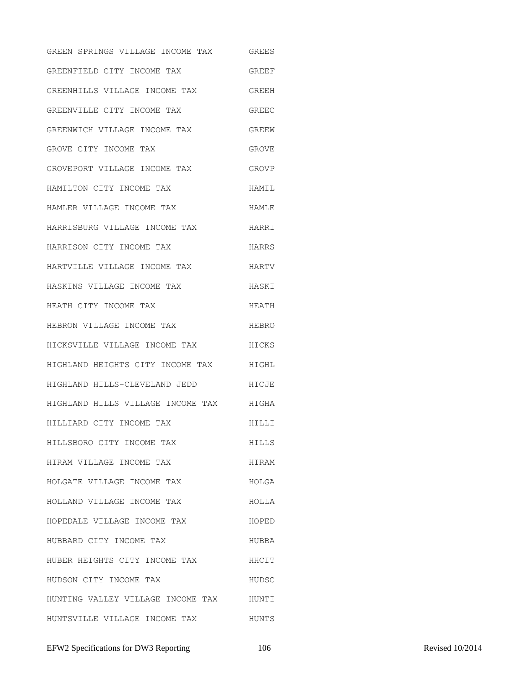GREEN SPRINGS VILLAGE INCOME TAX GREES GREENFIELD CITY INCOME TAX GREEF GREENHILLS VILLAGE INCOME TAX GREEH GREENVILLE CITY INCOME TAX GREEC GREENWICH VILLAGE INCOME TAX GREEW GROVE CITY INCOME TAX GROVE GROVEPORT VILLAGE INCOME TAX GROVP HAMILTON CITY INCOME TAX **HAMIL** HAMLER VILLAGE INCOME TAX HAMLE HARRISBURG VILLAGE INCOME TAX HARRI HARRISON CITY INCOME TAX HARRS HARTVILLE VILLAGE INCOME TAX HARTV HASKINS VILLAGE INCOME TAX **HASKI** HEATH CITY INCOME TAX **HEATH** HEBRON VILLAGE INCOME TAX HEBRO HICKSVILLE VILLAGE INCOME TAX HICKS HIGHLAND HEIGHTS CITY INCOME TAX HIGHL HIGHLAND HILLS-CLEVELAND JEDD HICJE HIGHLAND HILLS VILLAGE INCOME TAX HIGHA HILLIARD CITY INCOME TAX HILLI HILLSBORO CITY INCOME TAX HILLS HIRAM VILLAGE INCOME TAX **HIRAM** HOLGATE VILLAGE INCOME TAX HOLGA HOLLAND VILLAGE INCOME TAX HOLLA HOPEDALE VILLAGE INCOME TAX HOPED HUBBARD CITY INCOME TAX **HUBBA** HUBER HEIGHTS CITY INCOME TAX HHCIT HUDSON CITY INCOME TAX HUDSC HUNTING VALLEY VILLAGE INCOME TAX HUNTI HUNTSVILLE VILLAGE INCOME TAX HUNTS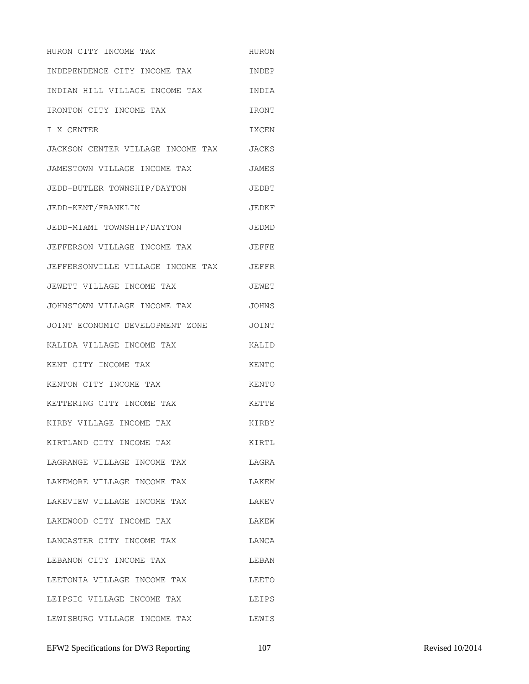HURON CITY INCOME TAX **HURON** INDEPENDENCE CITY INCOME TAX INDEP INDIAN HILL VILLAGE INCOME TAX INDIA IRONTON CITY INCOME TAX **IRONT** I X CENTER IXCEN JACKSON CENTER VILLAGE INCOME TAX JACKS JAMESTOWN VILLAGE INCOME TAX JAMES JEDD-BUTLER TOWNSHIP/DAYTON JEDBT JEDD-KENT/FRANKLIN JEDKF JEDD-MIAMI TOWNSHIP/DAYTON JEDMD JEFFERSON VILLAGE INCOME TAX JEFFE JEFFERSONVILLE VILLAGE INCOME TAX JEFFR JEWETT VILLAGE INCOME TAX JEWET JOHNSTOWN VILLAGE INCOME TAX JOHNS JOINT ECONOMIC DEVELOPMENT ZONE JOINT KALIDA VILLAGE INCOME TAX KALID KENT CITY INCOME TAX **KENTC** KENTON CITY INCOME TAX KENTO KETTERING CITY INCOME TAX **KETTE** KIRBY VILLAGE INCOME TAX KIRBY KIRTLAND CITY INCOME TAX KIRTL LAGRANGE VILLAGE INCOME TAX LAGRA LAKEMORE VILLAGE INCOME TAX LAKEM LAKEVIEW VILLAGE INCOME TAX LAKEV LAKEWOOD CITY INCOME TAX **LAKEW** LANCASTER CITY INCOME TAX LANCA LEBANON CITY INCOME TAX LEBAN LEETONIA VILLAGE INCOME TAX LEETO LEIPSIC VILLAGE INCOME TAX LEIPS LEWISBURG VILLAGE INCOME TAX LEWIS

EFW2 Specifications for DW3 Reporting 107 107 Revised 10/2014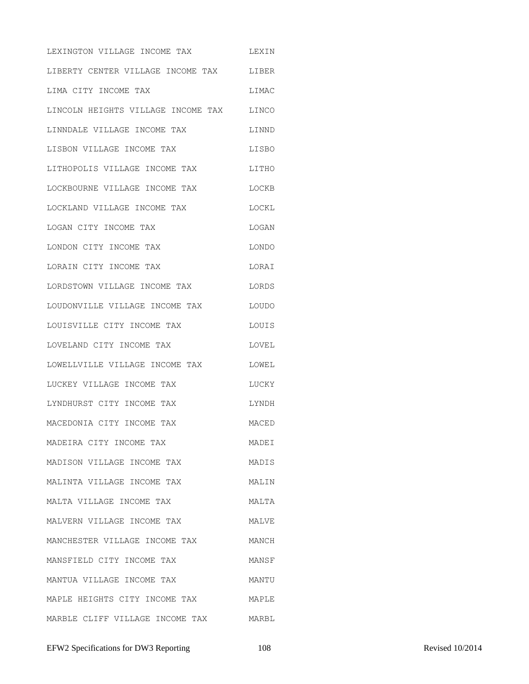LEXINGTON VILLAGE INCOME TAX LEXIN LIBERTY CENTER VILLAGE INCOME TAX LIBER LIMA CITY INCOME TAX LIMAC LINCOLN HEIGHTS VILLAGE INCOME TAX LINCO LINNDALE VILLAGE INCOME TAX LINND LISBON VILLAGE INCOME TAX LISBO LITHOPOLIS VILLAGE INCOME TAX LITHO LOCKBOURNE VILLAGE INCOME TAX LOCKB LOCKLAND VILLAGE INCOME TAX LOCKL LOGAN CITY INCOME TAX LOGAN LONDON CITY INCOME TAX LONDO LORAIN CITY INCOME TAX LORAI LORDSTOWN VILLAGE INCOME TAX LORDS LOUDONVILLE VILLAGE INCOME TAX LOUDO LOUISVILLE CITY INCOME TAX LOUIS LOVELAND CITY INCOME TAX LOVEL LOWELLVILLE VILLAGE INCOME TAX LOWEL LUCKEY VILLAGE INCOME TAX LUCKY LYNDHURST CITY INCOME TAX LYNDH MACEDONIA CITY INCOME TAX MACED MADEIRA CITY INCOME TAX MADEI MADISON VILLAGE INCOME TAX MADIS MALINTA VILLAGE INCOME TAX MALIN MALTA VILLAGE INCOME TAX MALTA MALVERN VILLAGE INCOME TAX MALVE MANCHESTER VILLAGE INCOME TAX MANCH MANSFIELD CITY INCOME TAX MANSF MANTUA VILLAGE INCOME TAX MANTU MAPLE HEIGHTS CITY INCOME TAX MAPLE MARBLE CLIFF VILLAGE INCOME TAX MARBL

EFW2 Specifications for DW3 Reporting 108 108 Revised 10/2014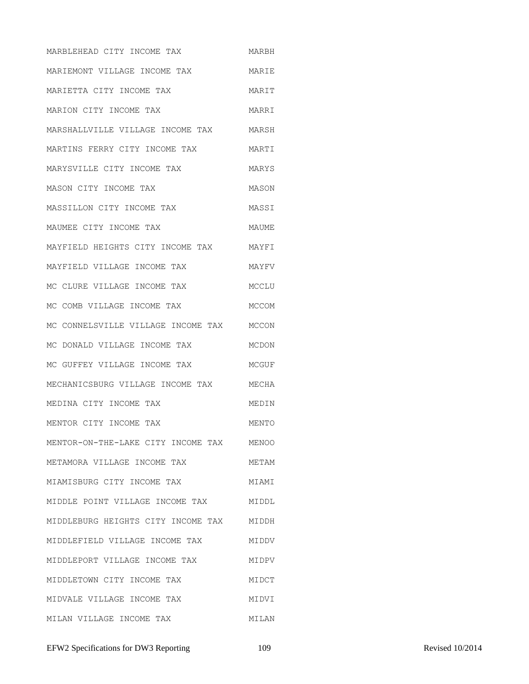MARBLEHEAD CITY INCOME TAX MARBH MARIEMONT VILLAGE INCOME TAX MARIE MARIETTA CITY INCOME TAX MARIT MARION CITY INCOME TAX **MARRI** MARSHALLVILLE VILLAGE INCOME TAX MARSH MARTINS FERRY CITY INCOME TAX MARTI MARYSVILLE CITY INCOME TAX MARYS MASON CITY INCOME TAX MASON MASSILLON CITY INCOME TAX MASSI MAUMEE CITY INCOME TAX MAUME MAYFIELD HEIGHTS CITY INCOME TAX MAYFI MAYFIELD VILLAGE INCOME TAX **MAYFU** MC CLURE VILLAGE INCOME TAX MCCLU MC COMB VILLAGE INCOME TAX MCCOM MC CONNELSVILLE VILLAGE INCOME TAX MCCON MC DONALD VILLAGE INCOME TAX MCDON MC GUFFEY VILLAGE INCOME TAX MCGUF MECHANICSBURG VILLAGE INCOME TAX MECHA MEDINA CITY INCOME TAX MEDIN MENTOR CITY INCOME TAX **MENTO** MENTOR-ON-THE-LAKE CITY INCOME TAX MENOO METAMORA VILLAGE INCOME TAX METAM MIAMISBURG CITY INCOME TAX MIAMI MIDDLE POINT VILLAGE INCOME TAX MIDDL MIDDLEBURG HEIGHTS CITY INCOME TAX MIDDH MIDDLEFIELD VILLAGE INCOME TAX MIDDV MIDDLEPORT VILLAGE INCOME TAX MIDPV MIDDLETOWN CITY INCOME TAX MIDCT MIDVALE VILLAGE INCOME TAX MIDVI MILAN VILLAGE INCOME TAX MILAN

EFW2 Specifications for DW3 Reporting 109 109 Revised 10/2014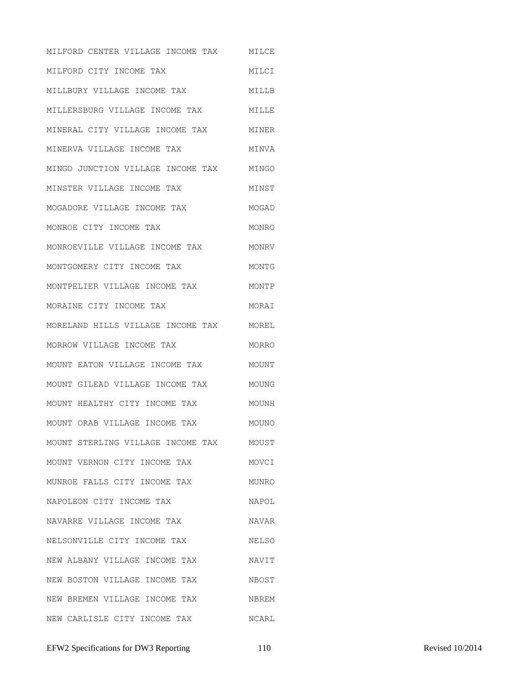MILFORD CENTER VILLAGE INCOME TAX MILCE MILFORD CITY INCOME TAX MILCI MILLBURY VILLAGE INCOME TAX MILLB MILLERSBURG VILLAGE INCOME TAX MILLE MINERAL CITY VILLAGE INCOME TAX MINER MINERVA VILLAGE INCOME TAX MINVA MINGO JUNCTION VILLAGE INCOME TAX MINGO MINSTER VILLAGE INCOME TAX MINST MOGADORE VILLAGE INCOME TAX MOGAD MONROE CITY INCOME TAX MONRO MONROEVILLE VILLAGE INCOME TAX MONRV MONTGOMERY CITY INCOME TAX MONTG MONTPELIER VILLAGE INCOME TAX MONTP MORAINE CITY INCOME TAX MORAI MORELAND HILLS VILLAGE INCOME TAX MOREL MORROW VILLAGE INCOME TAX MORRO MOUNT EATON VILLAGE INCOME TAX MOUNT MOUNT GILEAD VILLAGE INCOME TAX MOUNG MOUNT HEALTHY CITY INCOME TAX MOUNH MOUNT ORAB VILLAGE INCOME TAX MOUNO MOUNT STERLING VILLAGE INCOME TAX MOUST MOUNT VERNON CITY INCOME TAX MOVCI MUNROE FALLS CITY INCOME TAX MUNRO NAPOLEON CITY INCOME TAX NAPOL NAVARRE VILLAGE INCOME TAX NAVAR NELSONVILLE CITY INCOME TAX NELSO NEW ALBANY VILLAGE INCOME TAX NAVIT NEW BOSTON VILLAGE INCOME TAX NBOST NEW BREMEN VILLAGE INCOME TAX NBREM NEW CARLISLE CITY INCOME TAX NCARL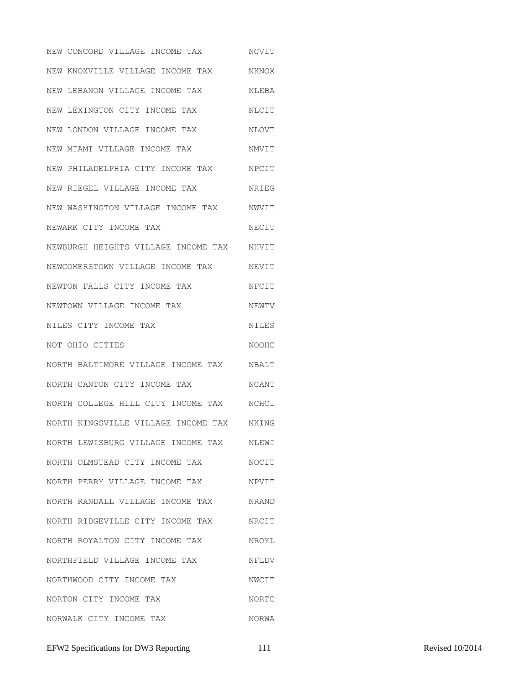NEW CONCORD VILLAGE INCOME TAX NCVIT NEW KNOXVILLE VILLAGE INCOME TAX NKNOX NEW LEBANON VILLAGE INCOME TAX NLEBA NEW LEXINGTON CITY INCOME TAX NLCIT NEW LONDON VILLAGE INCOME TAX NLOVT NEW MIAMI VILLAGE INCOME TAX NMVIT NEW PHILADELPHIA CITY INCOME TAX NPCIT NEW RIEGEL VILLAGE INCOME TAX NRIEG NEW WASHINGTON VILLAGE INCOME TAX NWVIT NEWARK CITY INCOME TAX NECIT NEWBURGH HEIGHTS VILLAGE INCOME TAX NHVIT NEWCOMERSTOWN VILLAGE INCOME TAX NEVIT NEWTON FALLS CITY INCOME TAX MFCIT NEWTOWN VILLAGE INCOME TAX NEWTV NILES CITY INCOME TAX NOT OHIO CITIES NOOHC NORTH BALTIMORE VILLAGE INCOME TAX NBALT NORTH CANTON CITY INCOME TAX NCANT NORTH COLLEGE HILL CITY INCOME TAX NCHCI NORTH KINGSVILLE VILLAGE INCOME TAX NKING NORTH LEWISBURG VILLAGE INCOME TAX NLEWI NORTH OLMSTEAD CITY INCOME TAX NOCIT NORTH PERRY VILLAGE INCOME TAX NPVIT NORTH RANDALL VILLAGE INCOME TAX NRAND NORTH RIDGEVILLE CITY INCOME TAX NRCIT NORTH ROYALTON CITY INCOME TAX NROYL NORTHFIELD VILLAGE INCOME TAX NFLDV NORTHWOOD CITY INCOME TAX NWCIT NORTON CITY INCOME TAX NORTC NORWALK CITY INCOME TAX NORWA

EFW2 Specifications for DW3 Reporting 111 Revised 10/2014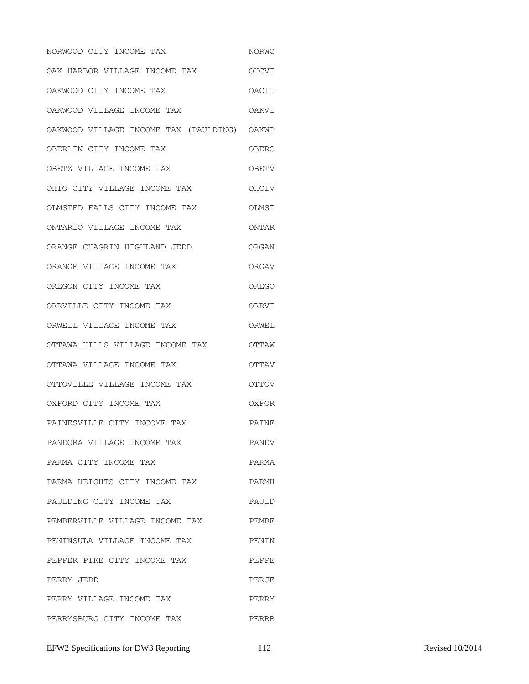NORWOOD CITY INCOME TAX NORWC OAK HARBOR VILLAGE INCOME TAX OHCVI OAKWOOD CITY INCOME TAX OACIT OAKWOOD VILLAGE INCOME TAX OAKVI OAKWOOD VILLAGE INCOME TAX (PAULDING) OAKWP OBERLIN CITY INCOME TAX OBERC OBETZ VILLAGE INCOME TAX OBETV OHIO CITY VILLAGE INCOME TAX OHCIV OLMSTED FALLS CITY INCOME TAX OLMST ONTARIO VILLAGE INCOME TAX ONTAR ORANGE CHAGRIN HIGHLAND JEDD ORGAN ORANGE VILLAGE INCOME TAX ORGAV OREGON CITY INCOME TAX OREGO ORRVILLE CITY INCOME TAX ORRVI ORWELL VILLAGE INCOME TAX ORWEL OTTAWA HILLS VILLAGE INCOME TAX OTTAW OTTAWA VILLAGE INCOME TAX OTTAV OTTOVILLE VILLAGE INCOME TAX OTTOV OXFORD CITY INCOME TAX OXFOR PAINESVILLE CITY INCOME TAX PAINE PANDORA VILLAGE INCOME TAX PANDV PARMA CITY INCOME TAX **PARMA** PARMA HEIGHTS CITY INCOME TAX PARMH PAULDING CITY INCOME TAX PAULD PEMBERVILLE VILLAGE INCOME TAX PEMBE PENINSULA VILLAGE INCOME TAX PENIN PEPPER PIKE CITY INCOME TAX PEPPE PERRY JEDD PERJE PERRY VILLAGE INCOME TAX PERRY PERRYSBURG CITY INCOME TAX PERRB

EFW2 Specifications for DW3 Reporting 112 Revised 10/2014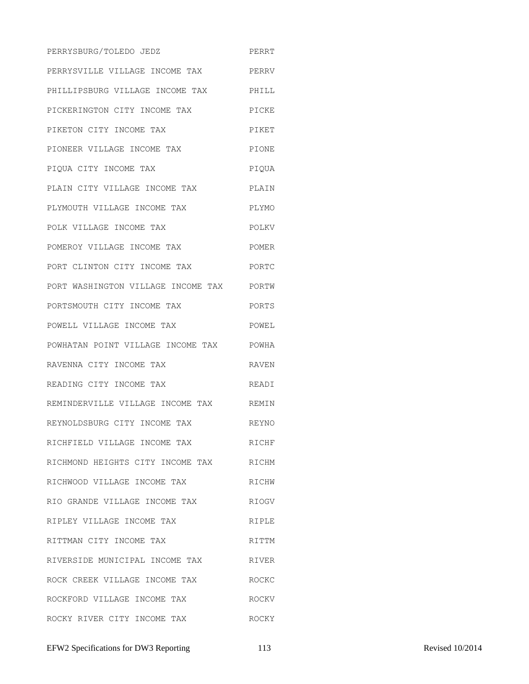PERRYSBURG/TOLEDO JEDZ PERRT PERRYSVILLE VILLAGE INCOME TAX PERRV PHILLIPSBURG VILLAGE INCOME TAX PHILL PICKERINGTON CITY INCOME TAX PICKE PIKETON CITY INCOME TAX PIKET PIONEER VILLAGE INCOME TAX PIONE PIQUA CITY INCOME TAX PIQUA PLAIN CITY VILLAGE INCOME TAX PLAIN PLYMOUTH VILLAGE INCOME TAX PLYMO POLK VILLAGE INCOME TAX POLKV POMEROY VILLAGE INCOME TAX POMER PORT CLINTON CITY INCOME TAX PORTC PORT WASHINGTON VILLAGE INCOME TAX PORTW PORTSMOUTH CITY INCOME TAX PORTS POWELL VILLAGE INCOME TAX POWEL POWHATAN POINT VILLAGE INCOME TAX POWHA RAVENNA CITY INCOME TAX **RAVEN** READING CITY INCOME TAX READI REMINDERVILLE VILLAGE INCOME TAX REMIN REYNOLDSBURG CITY INCOME TAX REYNO RICHFIELD VILLAGE INCOME TAX RICHF RICHMOND HEIGHTS CITY INCOME TAX RICHM RICHWOOD VILLAGE INCOME TAX RICHW RIO GRANDE VILLAGE INCOME TAX RIOGV RIPLEY VILLAGE INCOME TAX RIPLE RITTMAN CITY INCOME TAX RITTM RIVERSIDE MUNICIPAL INCOME TAX RIVER ROCK CREEK VILLAGE INCOME TAX ROCKC ROCKFORD VILLAGE INCOME TAX ROCKV ROCKY RIVER CITY INCOME TAX BOCKY

EFW2 Specifications for DW3 Reporting 113 Revised 10/2014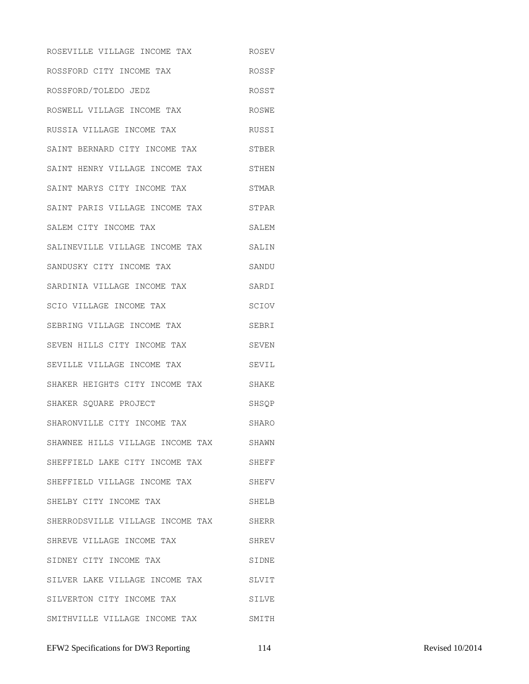ROSEVILLE VILLAGE INCOME TAX ROSEV ROSSFORD CITY INCOME TAX ROSSF ROSSFORD/TOLEDO JEDZ **ROSST** ROSWELL VILLAGE INCOME TAX ROSWE RUSSIA VILLAGE INCOME TAX RUSSI SAINT BERNARD CITY INCOME TAX STBER SAINT HENRY VILLAGE INCOME TAX STHEN SAINT MARYS CITY INCOME TAX STMAR SAINT PARIS VILLAGE INCOME TAX STPAR SALEM CITY INCOME TAX SALEM SALINEVILLE VILLAGE INCOME TAX SALIN SANDUSKY CITY INCOME TAX SANDU SARDINIA VILLAGE INCOME TAX SARDI SCIO VILLAGE INCOME TAX SCIOV SEBRING VILLAGE INCOME TAX SEBRI SEVEN HILLS CITY INCOME TAX SEVEN SEVILLE VILLAGE INCOME TAX SEVIL SHAKER HEIGHTS CITY INCOME TAX SHAKE SHAKER SQUARE PROJECT SHSQP SHARONVILLE CITY INCOME TAX SHARO SHAWNEE HILLS VILLAGE INCOME TAX SHAWN SHEFFIELD LAKE CITY INCOME TAX SHEFF SHEFFIELD VILLAGE INCOME TAX SHEFV SHELBY CITY INCOME TAX SHELB SHERRODSVILLE VILLAGE INCOME TAX SHERR SHREVE VILLAGE INCOME TAX SHREV SIDNEY CITY INCOME TAX SIDNE SILVER LAKE VILLAGE INCOME TAX SLVIT SILVERTON CITY INCOME TAX SILVE SMITHVILLE VILLAGE INCOME TAX SMITH

EFW2 Specifications for DW3 Reporting 114 Revised 10/2014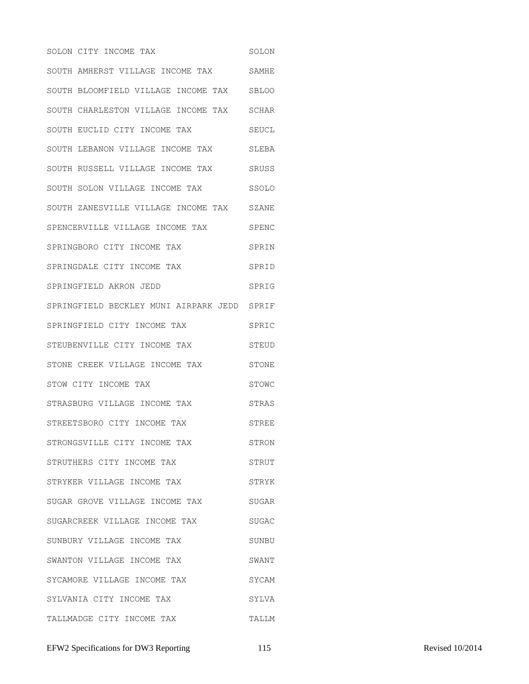SOLON CITY INCOME TAX SOLON SOUTH AMHERST VILLAGE INCOME TAX SAMHE SOUTH BLOOMFIELD VILLAGE INCOME TAX SBLOO SOUTH CHARLESTON VILLAGE INCOME TAX SCHAR SOUTH EUCLID CITY INCOME TAX SEUCL SOUTH LEBANON VILLAGE INCOME TAX SLEBA SOUTH RUSSELL VILLAGE INCOME TAX SRUSS SOUTH SOLON VILLAGE INCOME TAX SSOLO SOUTH ZANESVILLE VILLAGE INCOME TAX SZANE SPENCERVILLE VILLAGE INCOME TAX SPENC SPRINGBORO CITY INCOME TAX SPRIN SPRINGDALE CITY INCOME TAX SPRID SPRINGFIELD AKRON JEDD SPRIG SPRINGFIELD BECKLEY MUNI AIRPARK JEDD SPRIF SPRINGFIELD CITY INCOME TAX SPRIC STEUBENVILLE CITY INCOME TAX STEUD STONE CREEK VILLAGE INCOME TAX STONE STOW CITY INCOME TAX STOWC STRASBURG VILLAGE INCOME TAX STRAS STREETSBORO CITY INCOME TAX STREE STRONGSVILLE CITY INCOME TAX STRON STRUTHERS CITY INCOME TAX STRUT STRYKER VILLAGE INCOME TAX STRYK SUGAR GROVE VILLAGE INCOME TAX SUGAR SUGARCREEK VILLAGE INCOME TAX SUGAC SUNBURY VILLAGE INCOME TAX SUNBU SWANTON VILLAGE INCOME TAX SWANT SYCAMORE VILLAGE INCOME TAX SYCAM SYLVANIA CITY INCOME TAX SYLVA TALLMADGE CITY INCOME TAX TALLM

EFW2 Specifications for DW3 Reporting 115 Revised 10/2014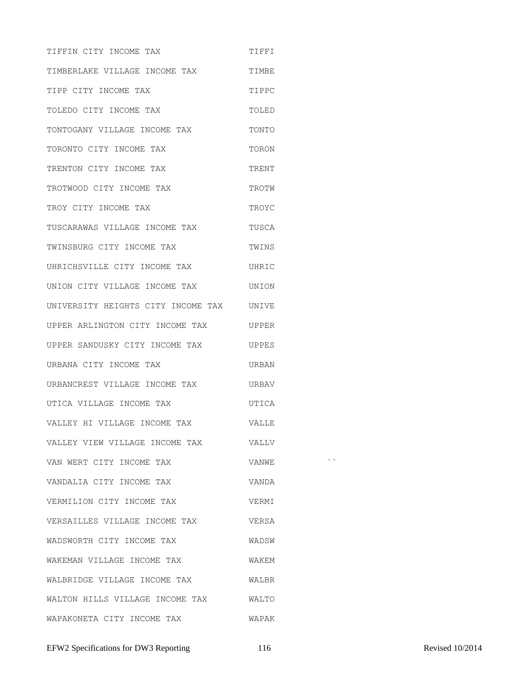TIFFIN CITY INCOME TAX **TIFFIN** TIMBERLAKE VILLAGE INCOME TAX TIMBE TIPP CITY INCOME TAX TIPPC TOLEDO CITY INCOME TAX **TOLED** TONTOGANY VILLAGE INCOME TAX TONTO TORONTO CITY INCOME TAX TORON TRENTON CITY INCOME TAX TRENT TROTWOOD CITY INCOME TAX TROTW TROY CITY INCOME TAX TROYC TUSCARAWAS VILLAGE INCOME TAX TUSCA TWINSBURG CITY INCOME TAX TWINS UHRICHSVILLE CITY INCOME TAX UHRIC UNION CITY VILLAGE INCOME TAX UNION UNIVERSITY HEIGHTS CITY INCOME TAX UNIVE UPPER ARLINGTON CITY INCOME TAX UPPER UPPER SANDUSKY CITY INCOME TAX UPPES URBANA CITY INCOME TAX URBAN URBANCREST VILLAGE INCOME TAX URBAV UTICA VILLAGE INCOME TAX UTICA VALLEY HI VILLAGE INCOME TAX VALLE VALLEY VIEW VILLAGE INCOME TAX VALLV VAN WERT CITY INCOME TAX  $\hfill$  VANWE  $\hfill$ VANDALIA CITY INCOME TAX VANDA VERMILION CITY INCOME TAX VERMI VERSAILLES VILLAGE INCOME TAX VERSA WADSWORTH CITY INCOME TAX WADSW WAKEMAN VILLAGE INCOME TAX WAKEM WALBRIDGE VILLAGE INCOME TAX WALBR WALTON HILLS VILLAGE INCOME TAX WALTO WAPAKONETA CITY INCOME TAX WAPAK

EFW2 Specifications for DW3 Reporting 116 16 Revised 10/2014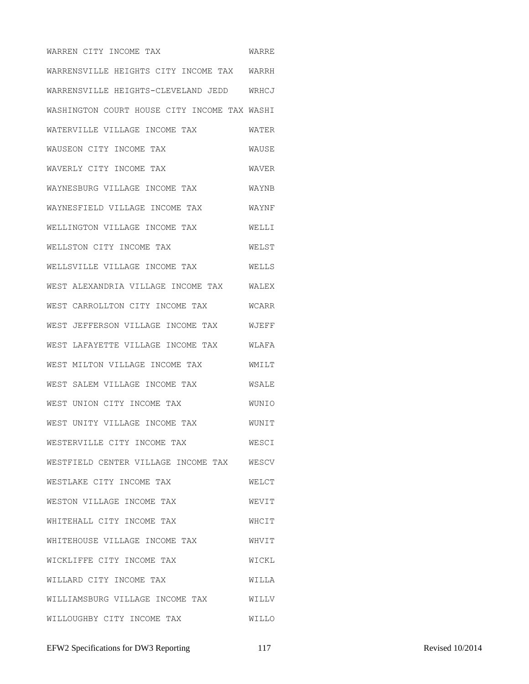WARREN CITY INCOME TAX WARRE WARRENSVILLE HEIGHTS CITY INCOME TAX WARRH WARRENSVILLE HEIGHTS-CLEVELAND JEDD WRHCJ WASHINGTON COURT HOUSE CITY INCOME TAX WASHI WATERVILLE VILLAGE INCOME TAX WATER WAUSEON CITY INCOME TAX WAUSE WAVERLY CITY INCOME TAX **WAVER** WAYNESBURG VILLAGE INCOME TAX WAYNB WAYNESFIELD VILLAGE INCOME TAX WAYNF WELLINGTON VILLAGE INCOME TAX WELLI WELLSTON CITY INCOME TAX WELST WELLSVILLE VILLAGE INCOME TAX WELLS WEST ALEXANDRIA VILLAGE INCOME TAX WALEX WEST CARROLLTON CITY INCOME TAX WCARR WEST JEFFERSON VILLAGE INCOME TAX WJEFF WEST LAFAYETTE VILLAGE INCOME TAX WLAFA WEST MILTON VILLAGE INCOME TAX WMILT WEST SALEM VILLAGE INCOME TAX WSALE WEST UNION CITY INCOME TAX WUNIO WEST UNITY VILLAGE INCOME TAX WUNIT WESTERVILLE CITY INCOME TAX WESCI WESTFIELD CENTER VILLAGE INCOME TAX WESCV WESTLAKE CITY INCOME TAX WELCT WESTON VILLAGE INCOME TAX WEVIT WHITEHALL CITY INCOME TAX WHITEHOUSE VILLAGE INCOME TAX WHVIT WICKLIFFE CITY INCOME TAX WICKL WILLARD CITY INCOME TAX WILLA WILLIAMSBURG VILLAGE INCOME TAX WILLV WILLOUGHBY CITY INCOME TAX WILLO

EFW2 Specifications for DW3 Reporting 117 117 Revised 10/2014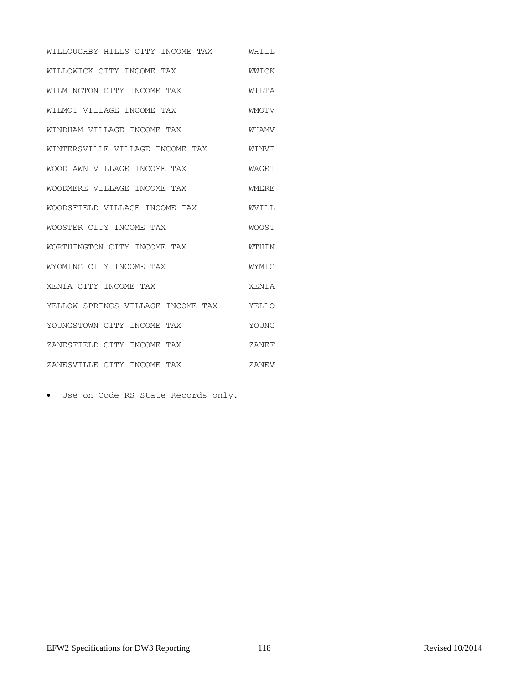WILLOUGHBY HILLS CITY INCOME TAX WHILL WILLOWICK CITY INCOME TAX WWICK WILMINGTON CITY INCOME TAX WILTA WILMOT VILLAGE INCOME TAX WMOTV WINDHAM VILLAGE INCOME TAX WHAMV WINTERSVILLE VILLAGE INCOME TAX WINVI WOODLAWN VILLAGE INCOME TAX WAGET WOODMERE VILLAGE INCOME TAX WMERE WOODSFIELD VILLAGE INCOME TAX WVILL WOOSTER CITY INCOME TAX WOOST WORTHINGTON CITY INCOME TAX WTHIN WYOMING CITY INCOME TAX WYMIG XENIA CITY INCOME TAX XENIA YELLOW SPRINGS VILLAGE INCOME TAX YELLO YOUNGSTOWN CITY INCOME TAX YOUNG ZANESFIELD CITY INCOME TAX ZANEF ZANESVILLE CITY INCOME TAX ZANEV

Use on Code RS State Records only.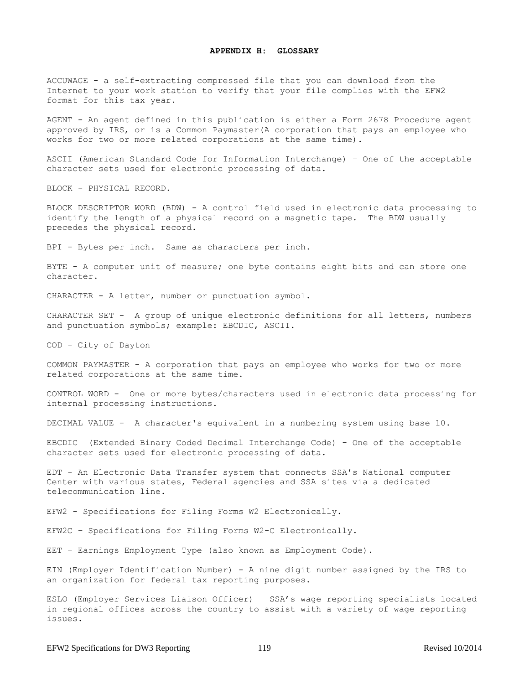ACCUWAGE - a self-extracting compressed file that you can download from the Internet to your work station to verify that your file complies with the EFW2 format for this tax year.

AGENT - An agent defined in this publication is either a Form 2678 Procedure agent approved by IRS, or is a Common Paymaster(A corporation that pays an employee who works for two or more related corporations at the same time).

ASCII (American Standard Code for Information Interchange) – One of the acceptable character sets used for electronic processing of data.

BLOCK - PHYSICAL RECORD.

BLOCK DESCRIPTOR WORD (BDW) - A control field used in electronic data processing to identify the length of a physical record on a magnetic tape. The BDW usually precedes the physical record.

BPI - Bytes per inch. Same as characters per inch.

BYTE - A computer unit of measure; one byte contains eight bits and can store one character.

CHARACTER - A letter, number or punctuation symbol.

CHARACTER SET - A group of unique electronic definitions for all letters, numbers and punctuation symbols; example: EBCDIC, ASCII.

COD - City of Dayton

COMMON PAYMASTER - A corporation that pays an employee who works for two or more related corporations at the same time.

CONTROL WORD - One or more bytes/characters used in electronic data processing for internal processing instructions.

DECIMAL VALUE - A character's equivalent in a numbering system using base 10.

EBCDIC (Extended Binary Coded Decimal Interchange Code) - One of the acceptable character sets used for electronic processing of data.

EDT - An Electronic Data Transfer system that connects SSA's National computer Center with various states, Federal agencies and SSA sites via a dedicated telecommunication line.

EFW2 - Specifications for Filing Forms W2 Electronically.

EFW2C – Specifications for Filing Forms W2-C Electronically.

EET – Earnings Employment Type (also known as Employment Code).

EIN (Employer Identification Number) - A nine digit number assigned by the IRS to an organization for federal tax reporting purposes.

ESLO (Employer Services Liaison Officer) – SSA's wage reporting specialists located in regional offices across the country to assist with a variety of wage reporting issues.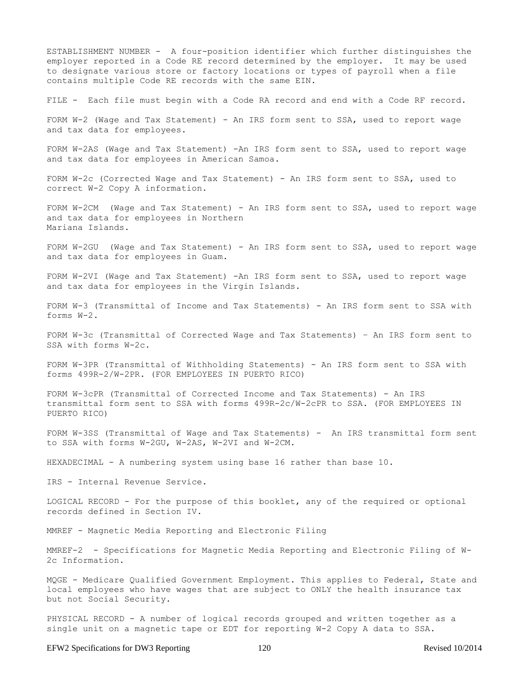ESTABLISHMENT NUMBER - A four-position identifier which further distinguishes the employer reported in a Code RE record determined by the employer. It may be used to designate various store or factory locations or types of payroll when a file contains multiple Code RE records with the same EIN.

FILE - Each file must begin with a Code RA record and end with a Code RF record.

FORM W-2 (Wage and Tax Statement) - An IRS form sent to SSA, used to report wage and tax data for employees.

FORM W-2AS (Wage and Tax Statement) -An IRS form sent to SSA, used to report wage and tax data for employees in American Samoa.

FORM W-2c (Corrected Wage and Tax Statement) - An IRS form sent to SSA, used to correct W-2 Copy A information.

FORM W-2CM (Wage and Tax Statement) - An IRS form sent to SSA, used to report wage and tax data for employees in Northern Mariana Islands.

FORM W-2GU (Wage and Tax Statement) - An IRS form sent to SSA, used to report wage and tax data for employees in Guam.

FORM W-2VI (Wage and Tax Statement) -An IRS form sent to SSA, used to report wage and tax data for employees in the Virgin Islands.

FORM W-3 (Transmittal of Income and Tax Statements) - An IRS form sent to SSA with forms W-2.

FORM W-3c (Transmittal of Corrected Wage and Tax Statements) – An IRS form sent to SSA with forms W-2c.

FORM W-3PR (Transmittal of Withholding Statements) - An IRS form sent to SSA with forms 499R-2/W-2PR. (FOR EMPLOYEES IN PUERTO RICO)

FORM W-3cPR (Transmittal of Corrected Income and Tax Statements) - An IRS transmittal form sent to SSA with forms 499R-2c/W-2cPR to SSA. (FOR EMPLOYEES IN PUERTO RICO)

FORM W-3SS (Transmittal of Wage and Tax Statements) - An IRS transmittal form sent to SSA with forms W-2GU, W-2AS, W-2VI and W-2CM.

HEXADECIMAL - A numbering system using base 16 rather than base 10.

IRS - Internal Revenue Service.

LOGICAL RECORD - For the purpose of this booklet, any of the required or optional records defined in Section IV.

MMREF - Magnetic Media Reporting and Electronic Filing

MMREF-2 - Specifications for Magnetic Media Reporting and Electronic Filing of W-2c Information.

MQGE - Medicare Qualified Government Employment. This applies to Federal, State and local employees who have wages that are subject to ONLY the health insurance tax but not Social Security.

PHYSICAL RECORD - A number of logical records grouped and written together as a single unit on a magnetic tape or EDT for reporting W-2 Copy A data to SSA.